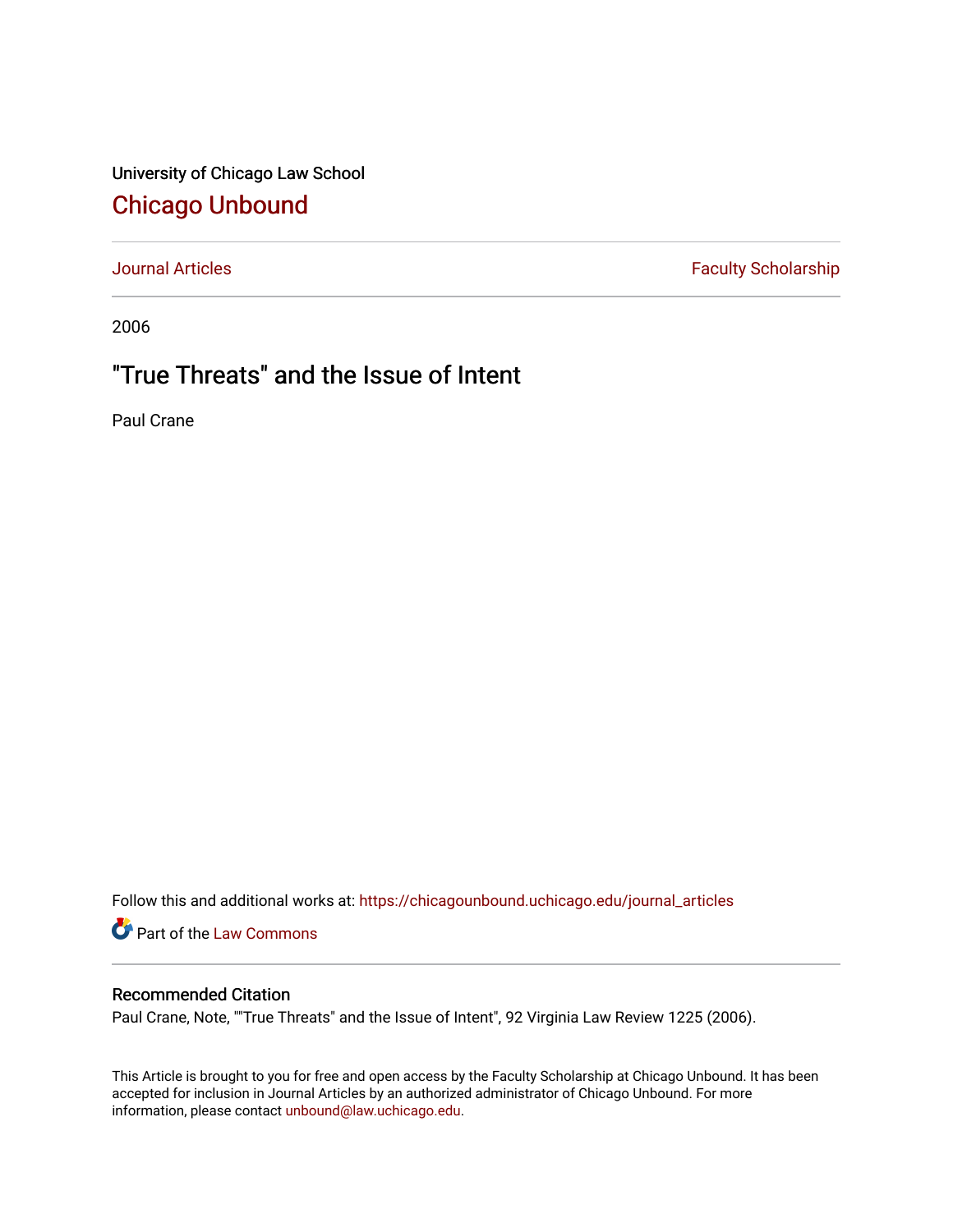University of Chicago Law School [Chicago Unbound](https://chicagounbound.uchicago.edu/)

[Journal Articles](https://chicagounbound.uchicago.edu/journal_articles) **Faculty Scholarship Faculty Scholarship** 

2006

# "True Threats" and the Issue of Intent

Paul Crane

Follow this and additional works at: [https://chicagounbound.uchicago.edu/journal\\_articles](https://chicagounbound.uchicago.edu/journal_articles?utm_source=chicagounbound.uchicago.edu%2Fjournal_articles%2F4270&utm_medium=PDF&utm_campaign=PDFCoverPages) 

Part of the [Law Commons](http://network.bepress.com/hgg/discipline/578?utm_source=chicagounbound.uchicago.edu%2Fjournal_articles%2F4270&utm_medium=PDF&utm_campaign=PDFCoverPages)

# Recommended Citation

Paul Crane, Note, ""True Threats" and the Issue of Intent", 92 Virginia Law Review 1225 (2006).

This Article is brought to you for free and open access by the Faculty Scholarship at Chicago Unbound. It has been accepted for inclusion in Journal Articles by an authorized administrator of Chicago Unbound. For more information, please contact [unbound@law.uchicago.edu](mailto:unbound@law.uchicago.edu).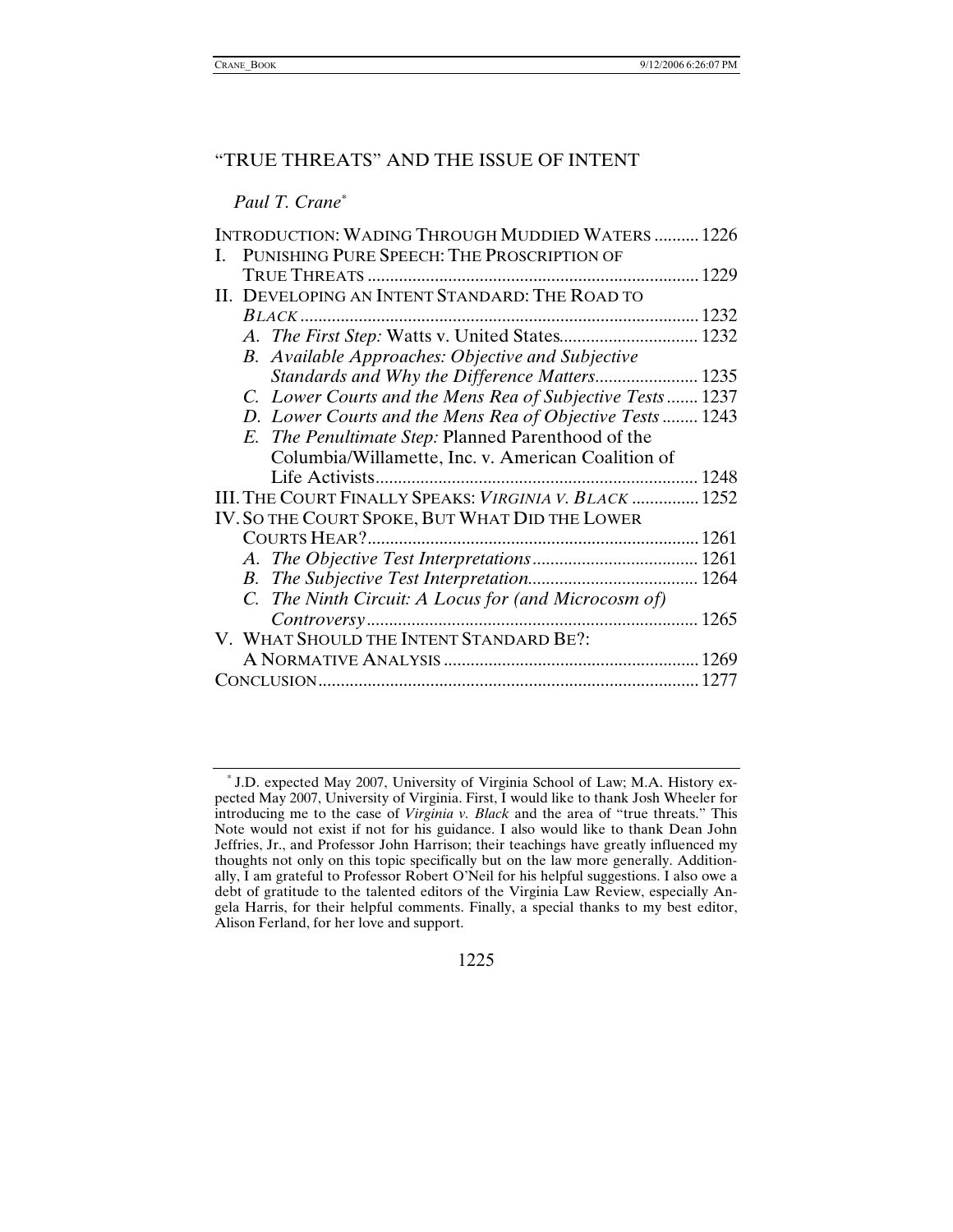#### "TRUE THREATS" AND THE ISSUE OF INTENT

*Paul T. Cran[e\\*](#page-1-0)*

| INTRODUCTION: WADING THROUGH MUDDIED WATERS 1226          |  |
|-----------------------------------------------------------|--|
| PUNISHING PURE SPEECH: THE PROSCRIPTION OF                |  |
|                                                           |  |
| II. DEVELOPING AN INTENT STANDARD: THE ROAD TO            |  |
|                                                           |  |
|                                                           |  |
| <b>B.</b> Available Approaches: Objective and Subjective  |  |
| Standards and Why the Difference Matters 1235             |  |
| C. Lower Courts and the Mens Rea of Subjective Tests 1237 |  |
| D. Lower Courts and the Mens Rea of Objective Tests  1243 |  |
| E. The Penultimate Step: Planned Parenthood of the        |  |
| Columbia/Willamette, Inc. v. American Coalition of        |  |
|                                                           |  |
| III. THE COURT FINALLY SPEAKS: VIRGINIA V. BLACK  1252    |  |
| IV. SO THE COURT SPOKE, BUT WHAT DID THE LOWER            |  |
|                                                           |  |
|                                                           |  |
|                                                           |  |
| C. The Ninth Circuit: A Locus for (and Microcosm of)      |  |
|                                                           |  |
| V. WHAT SHOULD THE INTENT STANDARD BE?:                   |  |
|                                                           |  |
|                                                           |  |
|                                                           |  |

1225

<span id="page-1-0"></span><sup>\*</sup> J.D. expected May 2007, University of Virginia School of Law; M.A. History expected May 2007, University of Virginia. First, I would like to thank Josh Wheeler for introducing me to the case of *Virginia v. Black* and the area of "true threats." This Note would not exist if not for his guidance. I also would like to thank Dean John Jeffries, Jr., and Professor John Harrison; their teachings have greatly influenced my thoughts not only on this topic specifically but on the law more generally. Additionally, I am grateful to Professor Robert O'Neil for his helpful suggestions. I also owe a debt of gratitude to the talented editors of the Virginia Law Review, especially Angela Harris, for their helpful comments. Finally, a special thanks to my best editor, Alison Ferland, for her love and support.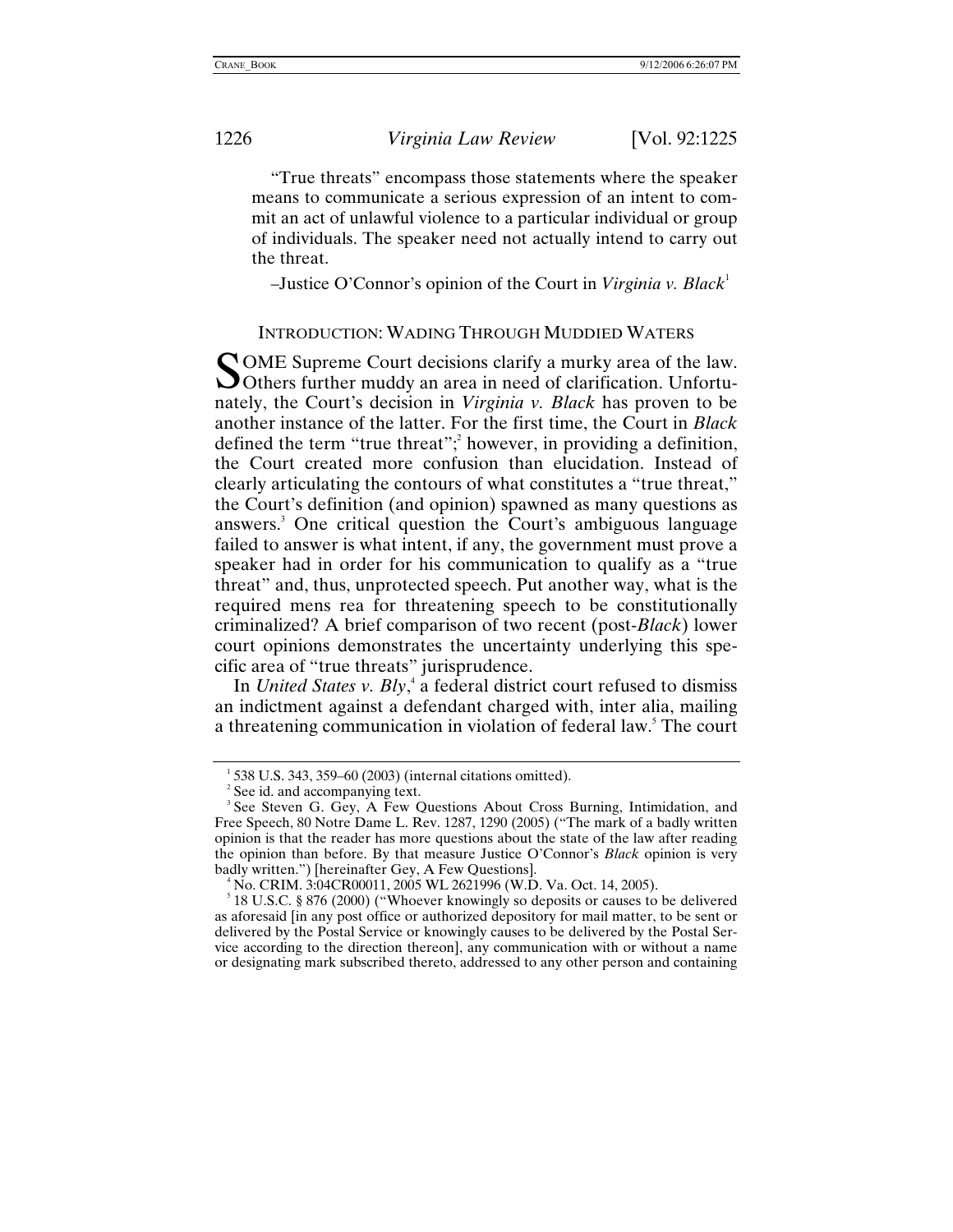<span id="page-2-0"></span>

"True threats" encompass those statements where the speaker means to communicate a serious expression of an intent to commit an act of unlawful violence to a particular individual or group of individuals. The speaker need not actually intend to carry out the threat.

 $-$ Justice O'Connor's opinion of the Court in *Virginia v. Black*<sup>[1](#page-2-1)</sup>

### INTRODUCTION: WADING THROUGH MUDDIED WATERS

OME Supreme Court decisions clarify a murky area of the law. SOME Supreme Court decisions clarify a murky area of the law.<br>Others further muddy an area in need of clarification. Unfortunately, the Court's decision in *Virginia v. Black* has proven to be another instance of the latter. For the first time, the Court in *Black* defined the term "true threat";<sup>[2](#page-2-2)</sup> however, in providing a definition, the Court created more confusion than elucidation. Instead of clearly articulating the contours of what constitutes a "true threat," the Court's definition (and opinion) spawned as many questions as answers.<sup>3</sup>One critical question the Court's ambiguous language failed to answer is what intent, if any, the government must prove a speaker had in order for his communication to qualify as a "true threat" and, thus, unprotected speech. Put another way, what is the required mens rea for threatening speech to be constitutionally criminalized? A brief comparison of two recent (post-*Black*) lower court opinions demonstrates the uncertainty underlying this specific area of "true threats" jurisprudence.

In*United States v. Bly*,<sup>4</sup> a federal district court refused to dismiss an indictment against a defendant charged with, inter alia, mailing a threatening communication in violation of federal law.<sup>5</sup> The court

<span id="page-2-1"></span> $^{1}$  538 U.S. 343, 359–60 (2003) (internal citations omitted).

<span id="page-2-2"></span> $2$  See id. and accompanying text.

<span id="page-2-3"></span><sup>&</sup>lt;sup>3</sup> See Steven G. Gey, A Few Questions About Cross Burning, Intimidation, and Free Speech, 80 Notre Dame L. Rev. 1287, 1290 (2005) ("The mark of a badly written opinion is that the reader has more questions about the state of the law after reading the opinion than before. By that measure Justice O'Connor's *Black* opinion is very badly written.") [hereinafter Gey, A Few Questions].

<span id="page-2-4"></span> $4$  No. CRIM. 3:04CR00011, 2005 WL 2621996 (W.D. Va. Oct. 14, 2005).

<span id="page-2-5"></span><sup>18</sup> U.S.C. § 876 (2000) ("Whoever knowingly so deposits or causes to be delivered as aforesaid [in any post office or authorized depository for mail matter, to be sent or delivered by the Postal Service or knowingly causes to be delivered by the Postal Service according to the direction thereon], any communication with or without a name or designating mark subscribed thereto, addressed to any other person and containing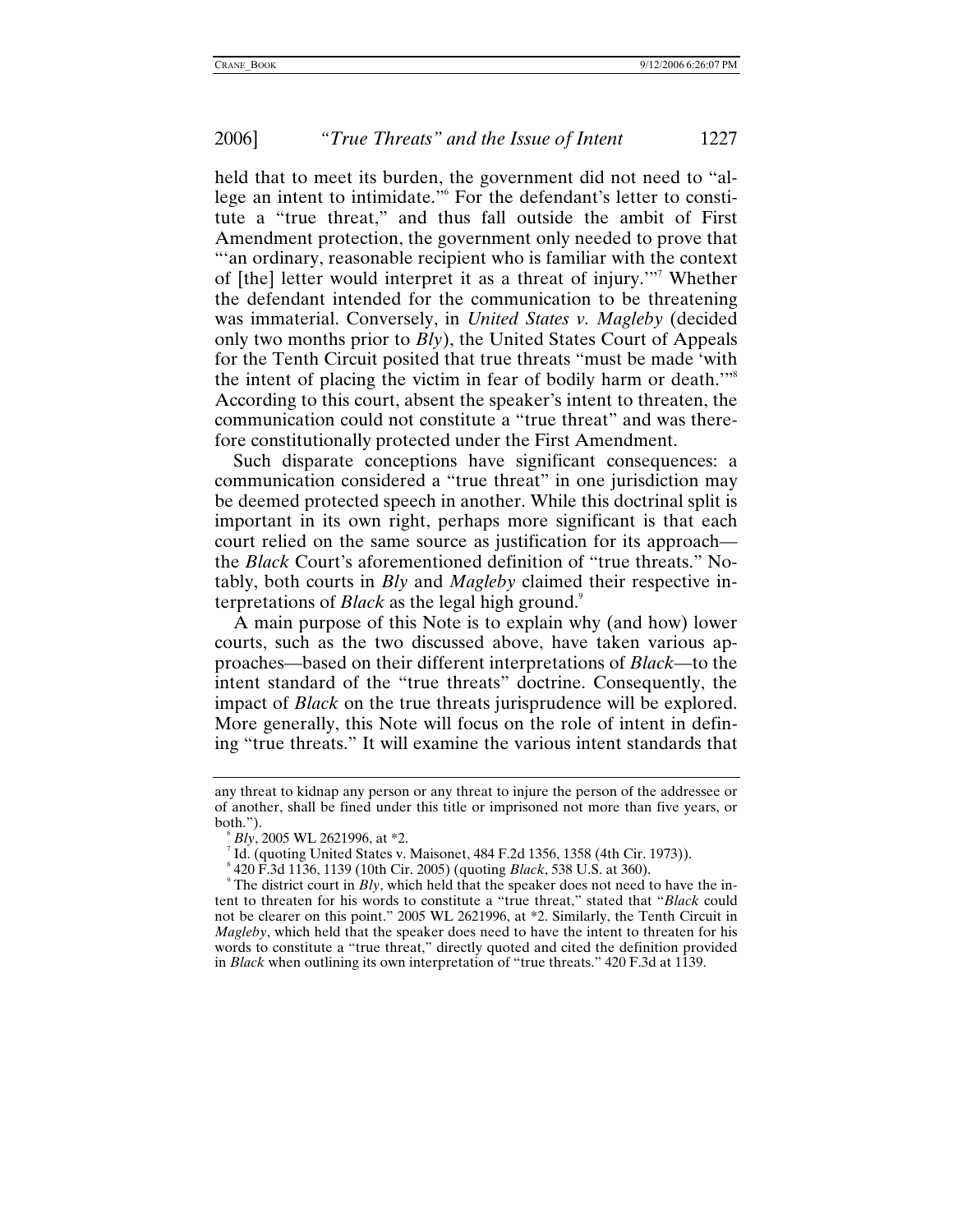held that to meet its burden, the government did not need to "al-lege an intent to intimidate."<sup>[6](#page-3-0)</sup> For the defendant's letter to constitute a "true threat," and thus fall outside the ambit of First Amendment protection, the government only needed to prove that "'an ordinary, reasonable recipient who is familiar with the context of [the] letter would interpret it as a threat of injury.'"[7](#page-3-1) Whether the defendant intended for the communication to be threatening was immaterial. Conversely, in *United States v. Magleby* (decided only two months prior to *Bly*), the United States Court of Appeals for the Tenth Circuit posited that true threats "must be made 'with the intent of placing the victim in fear of bodily harm or death.<sup>"["8](#page-3-2)</sup> According to this court, absent the speaker's intent to threaten, the communication could not constitute a "true threat" and was therefore constitutionally protected under the First Amendment.

Such disparate conceptions have significant consequences: a communication considered a "true threat" in one jurisdiction may be deemed protected speech in another. While this doctrinal split is important in its own right, perhaps more significant is that each court relied on the same source as justification for its approach the *Black* Court's aforementioned definition of "true threats." Notably, both courts in *Bly* and *Magleby* claimed their respective interpretations of *Black* as the legal high ground.<sup>[9](#page-3-3)</sup>

A main purpose of this Note is to explain why (and how) lower courts, such as the two discussed above, have taken various approaches—based on their different interpretations of *Black*—to the intent standard of the "true threats" doctrine. Consequently, the impact of *Black* on the true threats jurisprudence will be explored. More generally, this Note will focus on the role of intent in defining "true threats." It will examine the various intent standards that

any threat to kidnap any person or any threat to injure the person of the addressee or of another, shall be fined under this title or imprisoned not more than five years, or both.").

<span id="page-3-0"></span>*Bly*, 2005 WL 2621996, at \*2.

<span id="page-3-1"></span>Id. (quoting United States v. Maisonet, 484 F.2d 1356, 1358 (4th Cir. 1973)).

<span id="page-3-2"></span><sup>&</sup>lt;sup>8</sup> 420 F.3d 1136, 1139 (10th Cir. 2005) (quoting *Black*, 538 U.S. at 360).

<span id="page-3-3"></span><sup>&</sup>lt;sup>9</sup> The district court in  $Bly$ , which held that the speaker does not need to have the intent to threaten for his words to constitute a "true threat," stated that "*Black* could not be clearer on this point." 2005 WL 2621996, at \*2. Similarly, the Tenth Circuit in *Magleby*, which held that the speaker does need to have the intent to threaten for his words to constitute a "true threat," directly quoted and cited the definition provided in *Black* when outlining its own interpretation of "true threats." 420 F.3d at 1139.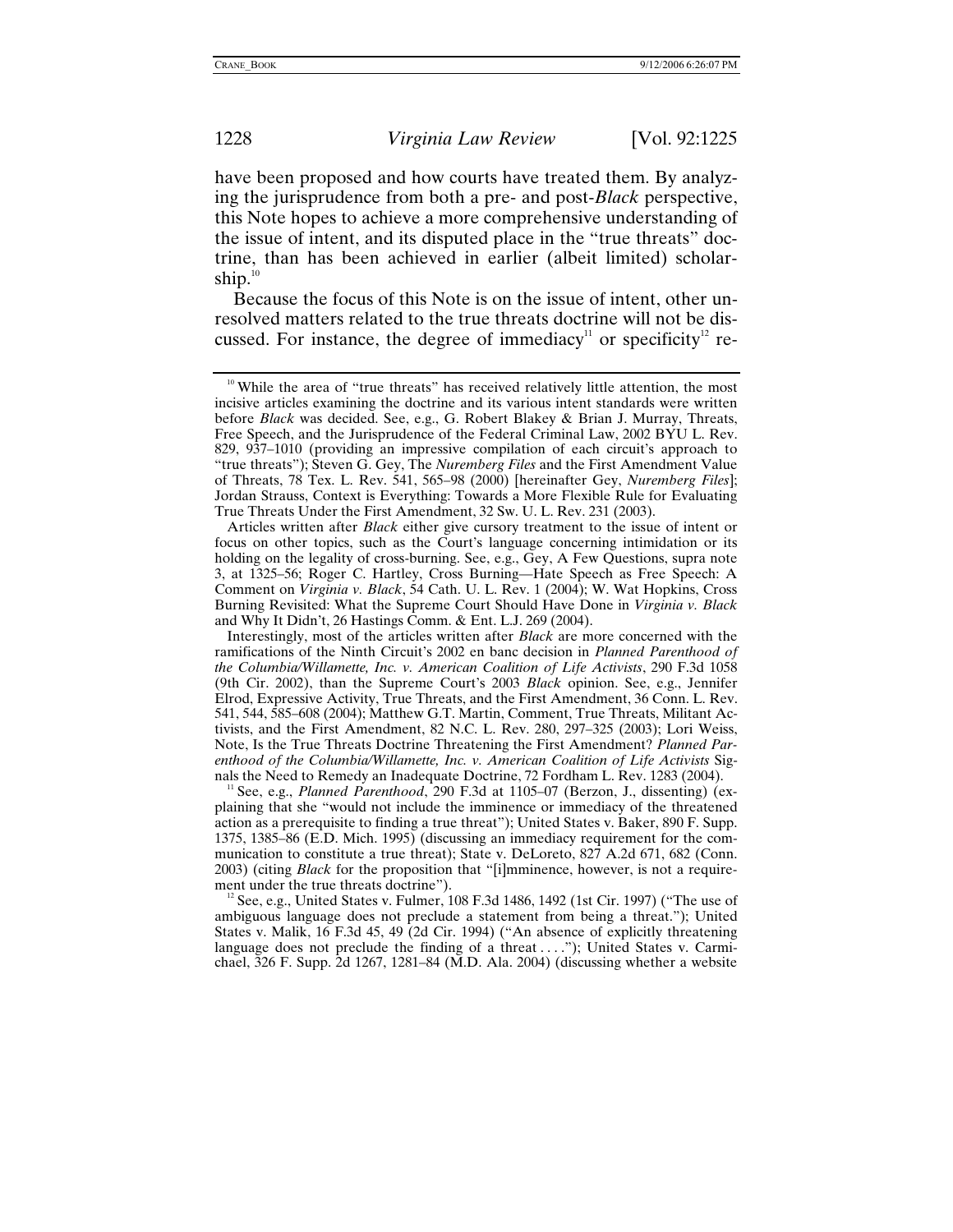have been proposed and how courts have treated them. By analyzing the jurisprudence from both a pre- and post-*Black* perspective, this Note hopes to achieve a more comprehensive understanding of the issue of intent, and its disputed place in the "true threats" doctrine, than has been achieved in earlier (albeit limited) scholarship. $^{10}$ 

Because the focus of this Note is on the issue of intent, other unresolved matters related to the true threats doctrine will not be discussed. For instance, the degree of immediacy<sup>11</sup> or specificity<sup>12</sup> re-

 Articles written after *Black* either give cursory treatment to the issue of intent or focus on other topics, such as the Court's language concerning intimidation or its holding on the legality of cross-burning. See, e.g., Gey, A Few Questions, supra note 3, at 1325–56; Roger C. Hartley, Cross Burning—Hate Speech as Free Speech: A Comment on *Virginia v. Black*, 54 Cath. U. L. Rev. 1 (2004); W. Wat Hopkins, Cross Burning Revisited: What the Supreme Court Should Have Done in *Virginia v. Black* and Why It Didn't, 26 Hastings Comm. & Ent. L.J. 269 (2004).

<span id="page-4-1"></span>plaining that she "would not include the imminence or immediacy of the threatened action as a prerequisite to finding a true threat"); United States v. Baker, 890 F. Supp. 1375, 1385–86 (E.D. Mich. 1995) (discussing an immediacy requirement for the communication to constitute a true threat); State v. DeLoreto, 827 A.2d 671, 682 (Conn. 2003) (citing *Black* for the proposition that "[i]mminence, however, is not a requirement under the true threats doctrine").<br><sup>12</sup> See, e.g., United States v. Fulmer, 108 F.3d 1486, 1492 (1st Cir. 1997) ("The use of

<span id="page-4-2"></span>ambiguous language does not preclude a statement from being a threat."); United States v. Malik, 16 F.3d 45, 49 (2d Cir. 1994) ("An absence of explicitly threatening language does not preclude the finding of a threat . . . ."); United States v. Carmichael, 326 F. Supp. 2d 1267, 1281–84 (M.D. Ala. 2004) (discussing whether a website

<span id="page-4-0"></span><sup>&</sup>lt;sup>10</sup> While the area of "true threats" has received relatively little attention, the most incisive articles examining the doctrine and its various intent standards were written before *Black* was decided. See, e.g., G. Robert Blakey & Brian J. Murray, Threats, Free Speech, and the Jurisprudence of the Federal Criminal Law, 2002 BYU L. Rev. 829, 937–1010 (providing an impressive compilation of each circuit's approach to "true threats"); Steven G. Gey, The *Nuremberg Files* and the First Amendment Value of Threats, 78 Tex. L. Rev. 541, 565–98 (2000) [hereinafter Gey, *Nuremberg Files*]; Jordan Strauss, Context is Everything: Towards a More Flexible Rule for Evaluating True Threats Under the First Amendment, 32 Sw. U. L. Rev. 231 (2003).

Interestingly, most of the articles written after *Black* are more concerned with the ramifications of the Ninth Circuit's 2002 en banc decision in *Planned Parenthood of the Columbia/Willamette, Inc. v. American Coalition of Life Activists*, 290 F.3d 1058 (9th Cir. 2002), than the Supreme Court's 2003 *Black* opinion. See, e.g., Jennifer Elrod, Expressive Activity, True Threats, and the First Amendment, 36 Conn. L. Rev. 541, 544, 585–608 (2004); Matthew G.T. Martin, Comment, True Threats, Militant Activists, and the First Amendment, 82 N.C. L. Rev. 280, 297–325 (2003); Lori Weiss, Note, Is the True Threats Doctrine Threatening the First Amendment? *Planned Parenthood of the Columbia/Willamette, Inc. v. American Coalition of Life Activists* Signals the Need to Remedy an Inadequate Doctrine, 72 Fordham L. Rev. 1283 (2004).<br><sup>11</sup> See, e.g., *Planned Parenthood*, 290 F.3d at 1105–07 (Berzon, J., dissenting) (ex-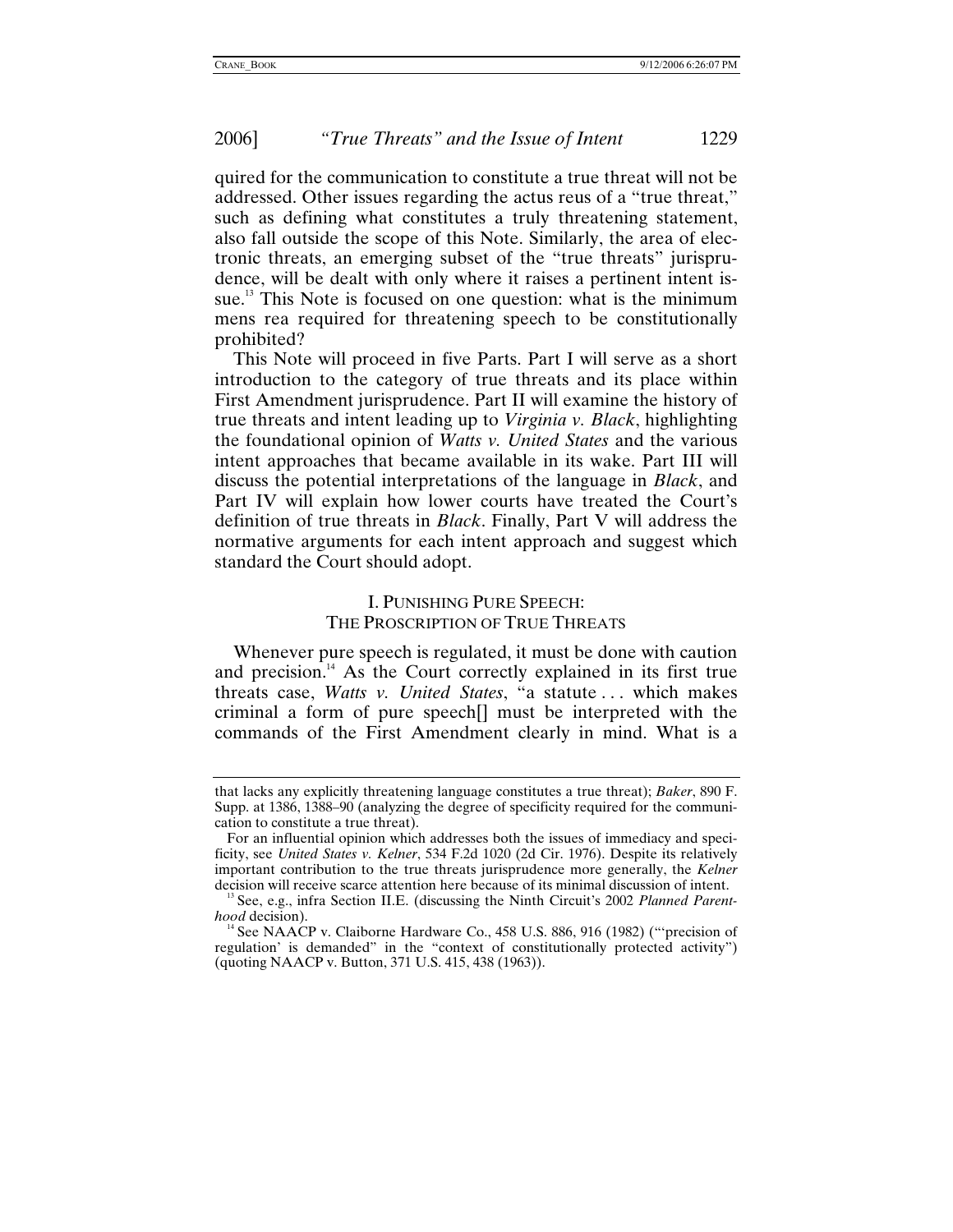<span id="page-5-0"></span>quired for the communication to constitute a true threat will not be addressed. Other issues regarding the actus reus of a "true threat," such as defining what constitutes a truly threatening statement, also fall outside the scope of this Note. Similarly, the area of electronic threats, an emerging subset of the "true threats" jurisprudence, will be dealt with only where it raises a pertinent intent issue.<sup>13</sup> This Note is focused on one question: what is the minimum mens rea required for threatening speech to be constitutionally prohibited?

This Note will proceed in five Parts. Part I will serve as a short introduction to the category of true threats and its place within First Amendment jurisprudence. Part II will examine the history of true threats and intent leading up to *Virginia v. Black*, highlighting the foundational opinion of *Watts v. United States* and the various intent approaches that became available in its wake. Part III will discuss the potential interpretations of the language in *Black*, and Part IV will explain how lower courts have treated the Court's definition of true threats in *Black*. Finally, Part V will address the normative arguments for each intent approach and suggest which standard the Court should adopt.

# I. PUNISHING PURE SPEECH: THE PROSCRIPTION OF TRUE THREATS

Whenever pure speech is regulated, it must be done with caution and precision. $14$  As the Court correctly explained in its first true threats case, *Watts v. United States*, "a statute . . . which makes criminal a form of pure speech[] must be interpreted with the commands of the First Amendment clearly in mind. What is a

that lacks any explicitly threatening language constitutes a true threat); *Baker*, 890 F. Supp. at 1386, 1388–90 (analyzing the degree of specificity required for the communication to constitute a true threat).

For an influential opinion which addresses both the issues of immediacy and specificity, see *United States v. Kelner*, 534 F.2d 1020 (2d Cir. 1976). Despite its relatively important contribution to the true threats jurisprudence more generally, the *Kelner* decision will receive scarce attention here because of its minimal discussion of intent. 13 See, e.g., infra Section II.E. (discussing the Ninth Circuit's 2002 *Planned Parent-*

<span id="page-5-1"></span>*hood* decision).<br><sup>14</sup> See NAACP v. Claiborne Hardware Co., 458 U.S. 886, 916 (1982) ("precision of

<span id="page-5-2"></span>regulation' is demanded" in the "context of constitutionally protected activity") (quoting NAACP v. Button, 371 U.S. 415, 438 (1963)).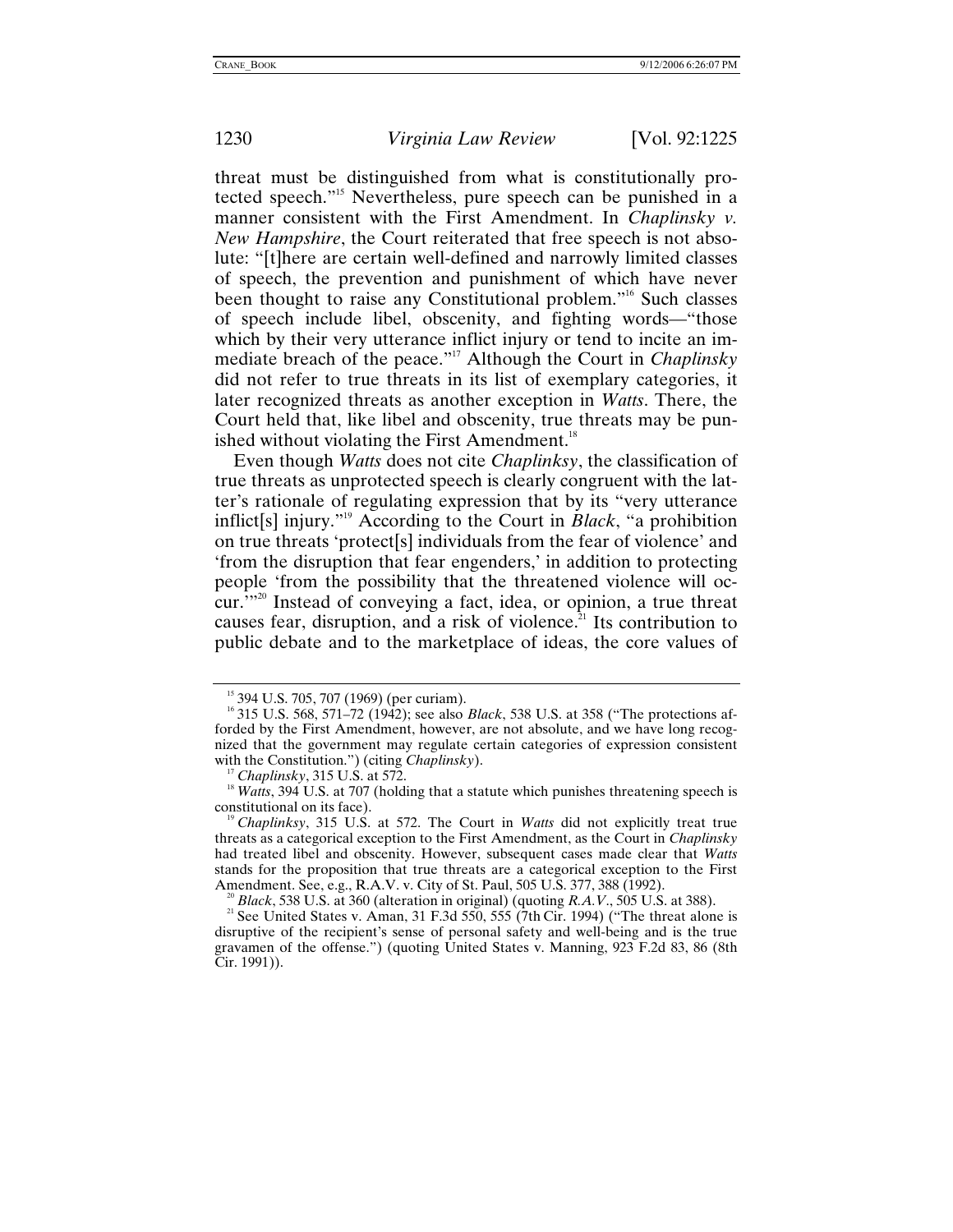threat must be distinguished from what is constitutionally protected speech."[15](#page-6-0) Nevertheless, pure speech can be punished in a manner consistent with the First Amendment. In *Chaplinsky v. New Hampshire*, the Court reiterated that free speech is not absolute: "[t]here are certain well-defined and narrowly limited classes of speech, the prevention and punishment of which have never been thought to raise any Constitutional problem.["16](#page-6-1) Such classes of speech include libel, obscenity, and fighting words—"those which by their very utterance inflict injury or tend to incite an immediate breach of the peace."[17](#page-6-2) Although the Court in *Chaplinsky* did not refer to true threats in its list of exemplary categories, it later recognized threats as another exception in *Watts*. There, the Court held that, like libel and obscenity, true threats may be pun-ished without violating the First Amendment.<sup>[18](#page-6-3)</sup>

Even though *Watts* does not cite *Chaplinksy*, the classification of true threats as unprotected speech is clearly congruent with the latter's rationale of regulating expression that by its "very utterance inflict[s] injury."[19](#page-6-4) According to the Court in *Black*, "a prohibition on true threats 'protect[s] individuals from the fear of violence' and 'from the disruption that fear engenders,' in addition to protecting people 'from the possibility that the threatened violence will occur.<sup>7,20</sup> Instead of conveying a fact, idea, or opinion, a true threat causes fear, disruption, and a risk of violence.<sup>21</sup> Its contribution to public debate and to the marketplace of ideas, the core values of

<span id="page-6-5"></span><sup>20</sup> *Black*, 538 U.S. at 360 (alteration in original) (quoting *R.A.V.*, 505 U.S. at 388).<br><sup>21</sup> See United States v. Aman, 31 F.3d 550, 555 (7th Cir. 1994) ("The threat alone is

<span id="page-6-1"></span>

<span id="page-6-0"></span><sup>&</sup>lt;sup>15</sup> 394 U.S. 705, 707 (1969) (per curiam).<br><sup>16</sup> 315 U.S. 568, 571–72 (1942); see also *Black*, 538 U.S. at 358 ("The protections afforded by the First Amendment, however, are not absolute, and we have long recognized that the government may regulate certain categories of expression consistent with the Constitution.") (citing *Chaplinsky*).

<span id="page-6-3"></span><span id="page-6-2"></span><sup>&</sup>lt;sup>17</sup> *Chaplinsky*, 315 U.S. at 572.<br><sup>18</sup> *Watts*, 394 U.S. at 707 (holding that a statute which punishes threatening speech is constitutional on its face). 19 *Chaplinksy*, 315 U.S. at 572. The Court in *Watts* did not explicitly treat true

<span id="page-6-4"></span>threats as a categorical exception to the First Amendment, as the Court in *Chaplinsky* had treated libel and obscenity. However, subsequent cases made clear that *Watts* stands for the proposition that true threats are a categorical exception to the First Amendment. See, e.g., R.A.V. v. City of St. Paul, 505 U.S. 377, 388 (1992).

<span id="page-6-6"></span>disruptive of the recipient's sense of personal safety and well-being and is the true gravamen of the offense.") (quoting United States v. Manning, 923 F.2d 83, 86 (8th Cir. 1991)).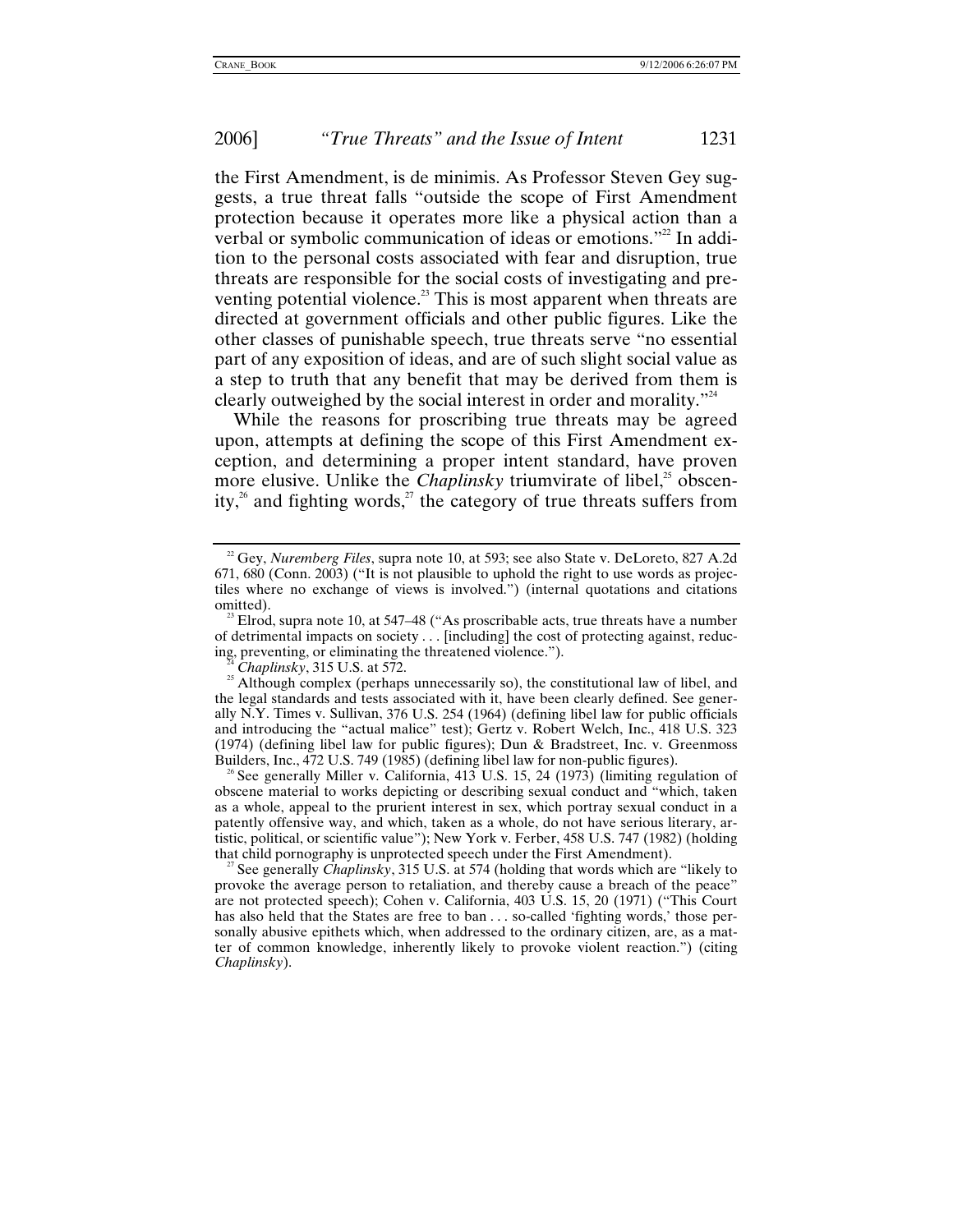the First Amendment, is de minimis. As Professor Steven Gey suggests, a true threat falls "outside the scope of First Amendment protection because it operates more like a physical action than a verbal or symbolic communication of ideas or emotions."<sup>22</sup> In addition to the personal costs associated with fear and disruption, true threats are responsible for the social costs of investigating and preventing potential violence.<sup>23</sup> This is most apparent when threats are directed at government officials and other public figures. Like the other classes of punishable speech, true threats serve "no essential part of any exposition of ideas, and are of such slight social value as a step to truth that any benefit that may be derived from them is clearly outweighed by the social interest in order and morality."[24](#page-7-2)

While the reasons for proscribing true threats may be agreed upon, attempts at defining the scope of this First Amendment exception, and determining a proper intent standard, have proven more elusive. Unlike the *Chaplinsky* triumvirate of libel,<sup>25</sup> obscenity,<sup>26</sup> and fighting words,<sup>27</sup> the category of true threats suffers from

<span id="page-7-0"></span><sup>&</sup>lt;sup>22</sup> Gey, *Nuremberg Files*, supra note 10, at 593; see also State v. DeLoreto, 827 A.2d 671, 680 (Conn. 2003) ("It is not plausible to uphold the right to use words as projectiles where no exchange of views is involved.") (internal quotations and citations

<span id="page-7-1"></span><sup>&</sup>lt;sup>23</sup> Elrod, supra note 10, at 547–48 ("As proscribable acts, true threats have a number of detrimental impacts on society . . . [including] the cost of protecting against, reducing, preventing, or eliminating the threatened violence.").

<span id="page-7-3"></span><span id="page-7-2"></span><sup>&</sup>lt;sup>24</sup> *Chaplinsky*, 315 U.S. at 572. 25 *Chaplinsky*, 315 U.S. at 572. 25 *Chaplinsky*, 315 U.S. at 572. the legal standards and tests associated with it, have been clearly defined. See generally N.Y. Times v. Sullivan, 376 U.S. 254 (1964) (defining libel law for public officials and introducing the "actual malice" test); Gertz v. Robert Welch, Inc., 418 U.S. 323 (1974) (defining libel law for public figures); Dun & Bradstreet, Inc. v. Greenmoss

<span id="page-7-4"></span><sup>&</sup>lt;sup>26</sup> See generally Miller v. California, 413 U.S. 15, 24 (1973) (limiting regulation of obscene material to works depicting or describing sexual conduct and "which, taken as a whole, appeal to the prurient interest in sex, which portray sexual conduct in a patently offensive way, and which, taken as a whole, do not have serious literary, artistic, political, or scientific value"); New York v. Ferber, 458 U.S. 747 (1982) (holding

<span id="page-7-5"></span><sup>&</sup>lt;sup>27</sup> See generally *Chaplinsky*, 315 U.S. at 574 (holding that words which are "likely to provoke the average person to retaliation, and thereby cause a breach of the peace" are not protected speech); Cohen v. California, 403 U.S. 15, 20 (1971) ("This Court has also held that the States are free to ban . . . so-called 'fighting words,' those personally abusive epithets which, when addressed to the ordinary citizen, are, as a matter of common knowledge, inherently likely to provoke violent reaction.") (citing *Chaplinsky*).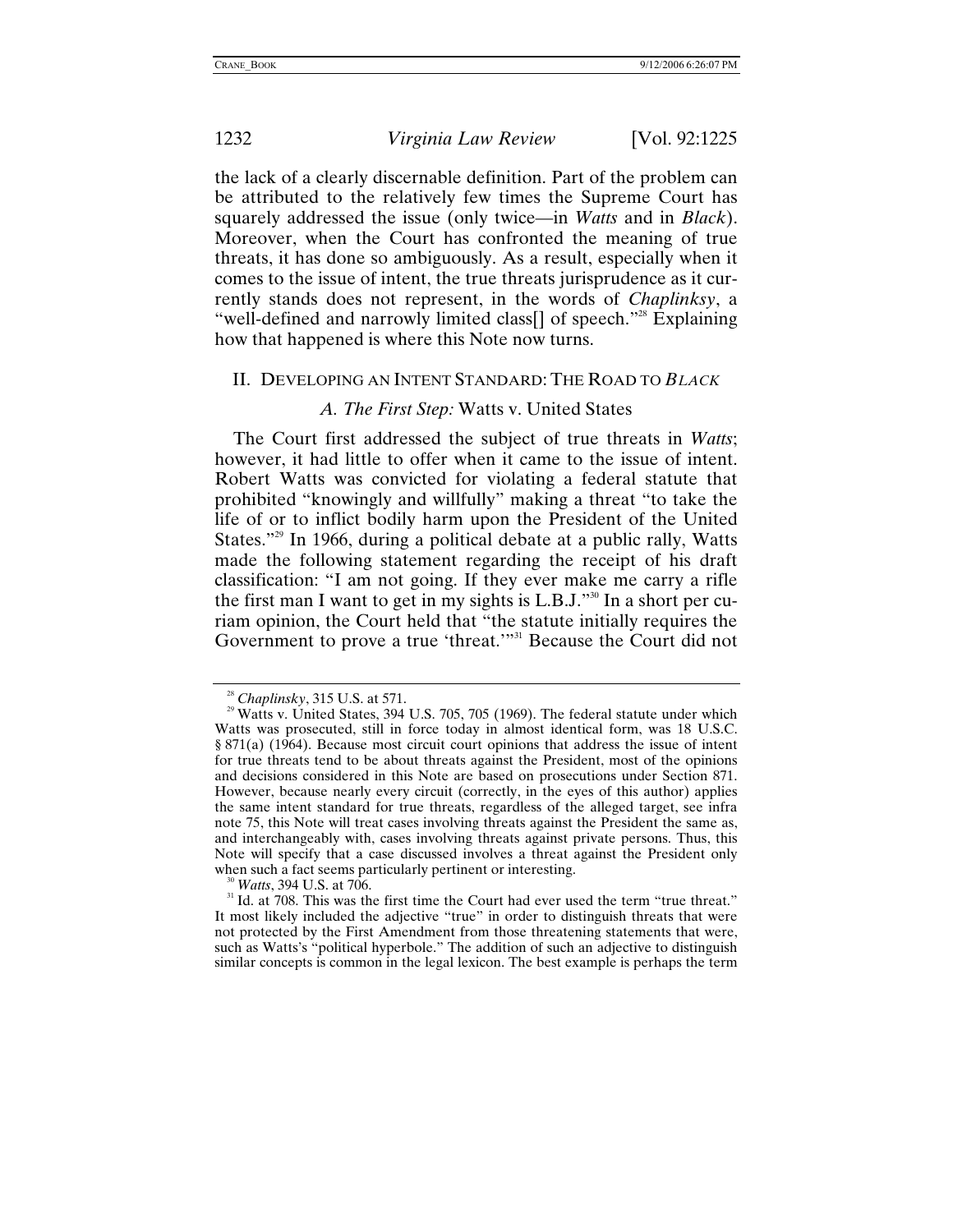<span id="page-8-0"></span>the lack of a clearly discernable definition. Part of the problem can be attributed to the relatively few times the Supreme Court has squarely addressed the issue (only twice—in *Watts* and in *Black*). Moreover, when the Court has confronted the meaning of true threats, it has done so ambiguously. As a result, especially when it comes to the issue of intent, the true threats jurisprudence as it currently stands does not represent, in the words of *Chaplinksy*, a "well-defined and narrowly limited class<sup>[]</sup> of speech."<sup>28</sup> Explaining how that happened is where this Note now turns.

### II. DEVELOPING AN INTENT STANDARD: THE ROAD TO *BLACK*

### *A. The First Step:* Watts v. United States

The Court first addressed the subject of true threats in *Watts*; however, it had little to offer when it came to the issue of intent. Robert Watts was convicted for violating a federal statute that prohibited "knowingly and willfully" making a threat "to take the life of or to inflict bodily harm upon the President of the United States."<sup>29</sup> In 1966, during a political debate at a public rally, Watts made the following statement regarding the receipt of his draft classification: "I am not going. If they ever make me carry a rifle the first man I want to get in my sights is  $L.B.J.^{30}$  In a short per curiam opinion, the Court held that "the statute initially requires the Government to prove a true 'threat.'"<sup>31</sup> Because the Court did not

<span id="page-8-4"></span>

<span id="page-8-2"></span><span id="page-8-1"></span><sup>&</sup>lt;sup>28</sup> *Chaplinsky*, 315 U.S. at 571.<br><sup>29</sup> Watts v. United States, 394 U.S. 705, 705 (1969). The federal statute under which Watts was prosecuted, still in force today in almost identical form, was 18 U.S.C. § 871(a) (1964). Because most circuit court opinions that address the issue of intent for true threats tend to be about threats against the President, most of the opinions and decisions considered in this Note are based on prosecutions under Section 871. However, because nearly every circuit (correctly, in the eyes of this author) applies the same intent standard for true threats, regardless of the alleged target, see infra note 75, this Note will treat cases involving threats against the President the same as, and interchangeably with, cases involving threats against private persons. Thus, this Note will specify that a case discussed involves a threat against the President only

<span id="page-8-3"></span>when such a fact seems particularly pertinent or interesting.<br><sup>30</sup> *Watts*, 394 U.S. at 706.<br><sup>31</sup> Id. at 708. This was the first time the Court had ever used the term "true threat." It most likely included the adjective "true" in order to distinguish threats that were not protected by the First Amendment from those threatening statements that were, such as Watts's "political hyperbole." The addition of such an adjective to distinguish similar concepts is common in the legal lexicon. The best example is perhaps the term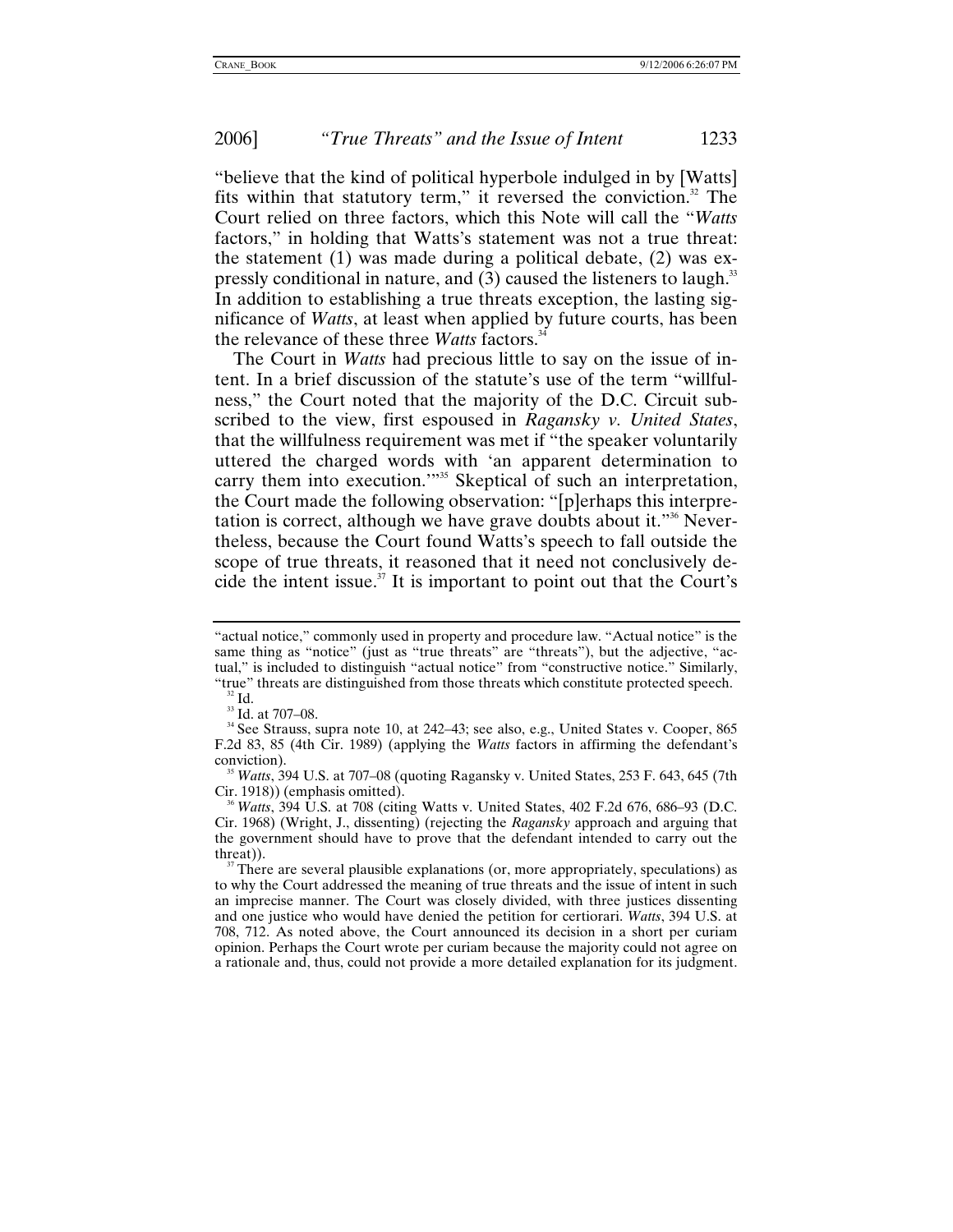"believe that the kind of political hyperbole indulged in by [Watts] fits within that statutory term," it reversed the conviction. $32$  The Court relied on three factors, which this Note will call the "*Watts* factors," in holding that Watts's statement was not a true threat: the statement (1) was made during a political debate, (2) was expressly conditional in nature, and  $(3)$  caused the listeners to laugh.<sup>33</sup> In addition to establishing a true threats exception, the lasting significance of *Watts*, at least when applied by future courts, has been the relevance of these three *Watts* factors.<sup>[34](#page-9-2)</sup>

The Court in *Watts* had precious little to say on the issue of intent. In a brief discussion of the statute's use of the term "willfulness," the Court noted that the majority of the D.C. Circuit subscribed to the view, first espoused in *Ragansky v. United States*, that the willfulness requirement was met if "the speaker voluntarily uttered the charged words with 'an apparent determination to carry them into execution."<sup>35</sup> Skeptical of such an interpretation, the Court made the following observation: "[p]erhaps this interpretation is correct, although we have grave doubts about it."<sup>36</sup> Nevertheless, because the Court found Watts's speech to fall outside the scope of true threats, it reasoned that it need not conclusively decide the intent issue.<sup>37</sup> It is important to point out that the Court's

<sup>&</sup>quot;actual notice," commonly used in property and procedure law. "Actual notice" is the same thing as "notice" (just as "true threats" are "threats"), but the adjective, "actual," is included to distinguish "actual notice" from "constructive notice." Similarly, "true" threats are distinguished from those threats which constitute protected speech.

<span id="page-9-1"></span>

<span id="page-9-2"></span>

<span id="page-9-0"></span><sup>&</sup>lt;sup>32</sup> Id.<br><sup>33</sup> Id. at 707–08. <br><sup>34</sup> See Strauss, supra note 10, at 242–43; see also, e.g., United States v. Cooper, 865 F.2d 83, 85 (4th Cir. 1989) (applying the *Watts* factors in affirming the defendant's

<span id="page-9-3"></span><sup>&</sup>lt;sup>35</sup> *Watts*, 394 U.S. at 707–08 (quoting Ragansky v. United States, 253 F. 643, 645 (7th Cir. 1918)) (emphasis omitted). 36 *Watts*, 394 U.S. at 708 (citing Watts v. United States, 402 F.2d 676, 686–93 (D.C.

<span id="page-9-4"></span>Cir. 1968) (Wright, J., dissenting) (rejecting the *Ragansky* approach and arguing that the government should have to prove that the defendant intended to carry out the

<span id="page-9-5"></span> $37$  There are several plausible explanations (or, more appropriately, speculations) as to why the Court addressed the meaning of true threats and the issue of intent in such an imprecise manner. The Court was closely divided, with three justices dissenting and one justice who would have denied the petition for certiorari. *Watts*, 394 U.S. at 708, 712. As noted above, the Court announced its decision in a short per curiam opinion. Perhaps the Court wrote per curiam because the majority could not agree on a rationale and, thus, could not provide a more detailed explanation for its judgment.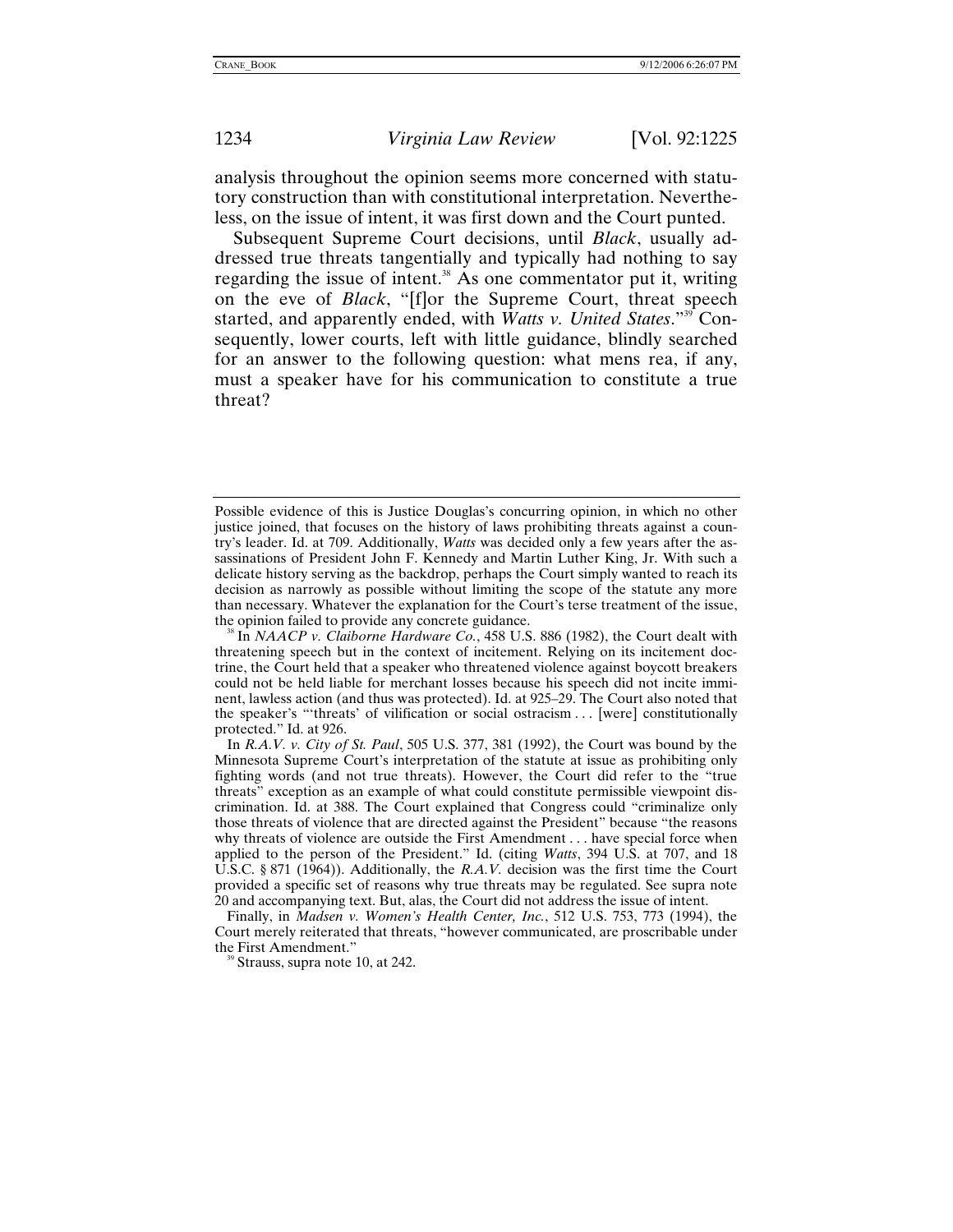analysis throughout the opinion seems more concerned with statutory construction than with constitutional interpretation. Nevertheless, on the issue of intent, it was first down and the Court punted.

Subsequent Supreme Court decisions, until *Black*, usually addressed true threats tangentially and typically had nothing to say regarding the issue of intent.<sup>38</sup> As one commentator put it, writing on the eve of *Black*, "[f]or the Supreme Court, threat speech started, and apparently ended, with *Watts v. United States*."[39](#page-10-1) Consequently, lower courts, left with little guidance, blindly searched for an answer to the following question: what mens rea, if any, must a speaker have for his communication to constitute a true threat?

 Finally, in *Madsen v. Women's Health Center, Inc.*, 512 U.S. 753, 773 (1994), the Court merely reiterated that threats, "however communicated, are proscribable under the First Amendment."<br> $39$  Strauss, supra note 10, at 242.

<span id="page-10-1"></span>

Possible evidence of this is Justice Douglas's concurring opinion, in which no other justice joined, that focuses on the history of laws prohibiting threats against a country's leader. Id. at 709. Additionally, *Watts* was decided only a few years after the assassinations of President John F. Kennedy and Martin Luther King, Jr. With such a delicate history serving as the backdrop, perhaps the Court simply wanted to reach its decision as narrowly as possible without limiting the scope of the statute any more than necessary. Whatever the explanation for the Court's terse treatment of the issue, the opinion failed to provide any concrete guidance.<br><sup>38</sup> In *NAACP v. Claiborne Hardware Co.*, 458 U.S. 886 (1982), the Court dealt with

<span id="page-10-0"></span>threatening speech but in the context of incitement. Relying on its incitement doctrine, the Court held that a speaker who threatened violence against boycott breakers could not be held liable for merchant losses because his speech did not incite imminent, lawless action (and thus was protected). Id. at 925–29. The Court also noted that the speaker's "'threats' of vilification or social ostracism . . . [were] constitutionally protected." Id. at 926.

In *R.A.V. v. City of St. Paul*, 505 U.S. 377, 381 (1992), the Court was bound by the Minnesota Supreme Court's interpretation of the statute at issue as prohibiting only fighting words (and not true threats). However, the Court did refer to the "true threats" exception as an example of what could constitute permissible viewpoint discrimination. Id. at 388. The Court explained that Congress could "criminalize only those threats of violence that are directed against the President" because "the reasons why threats of violence are outside the First Amendment . . . have special force when applied to the person of the President." Id. (citing *Watts*, 394 U.S. at 707, and 18 U.S.C. § 871 (1964)). Additionally, the *R.A.V.* decision was the first time the Court provided a specific set of reasons why true threats may be regulated. See supra note 20 and accompanying text. But, alas, the Court did not address the issue of intent.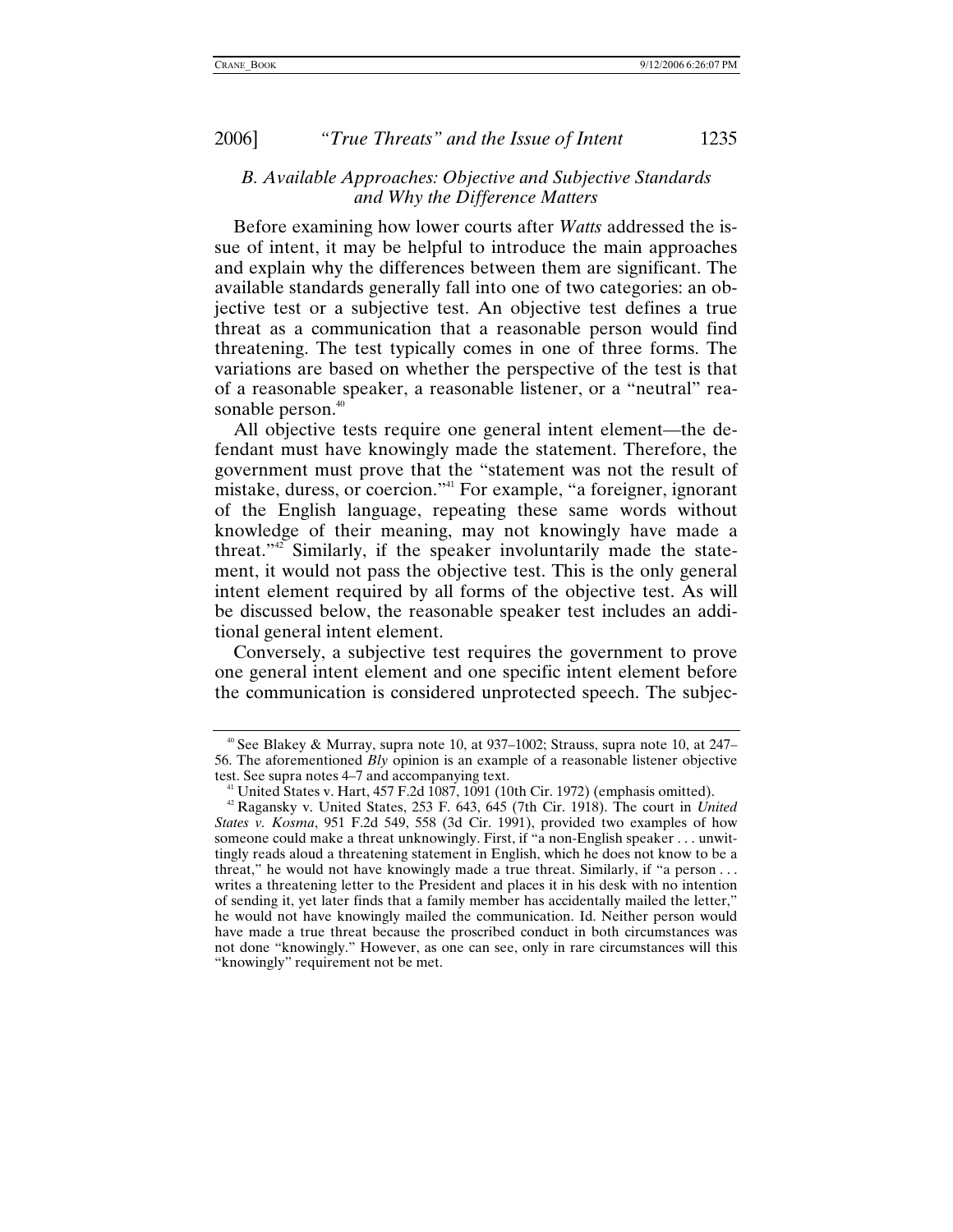### <span id="page-11-0"></span>*B. Available Approaches: Objective and Subjective Standards and Why the Difference Matters*

Before examining how lower courts after *Watts* addressed the issue of intent, it may be helpful to introduce the main approaches and explain why the differences between them are significant. The available standards generally fall into one of two categories: an objective test or a subjective test. An objective test defines a true threat as a communication that a reasonable person would find threatening. The test typically comes in one of three forms. The variations are based on whether the perspective of the test is that of a reasonable speaker, a reasonable listener, or a "neutral" reasonable person.<sup>40</sup>

All objective tests require one general intent element—the defendant must have knowingly made the statement. Therefore, the government must prove that the "statement was not the result of mistake, duress, or coercion."[41](#page-11-2) For example, "a foreigner, ignorant of the English language, repeating these same words without knowledge of their meaning, may not knowingly have made a threat."[42](#page-11-3) Similarly, if the speaker involuntarily made the statement, it would not pass the objective test. This is the only general intent element required by all forms of the objective test. As will be discussed below, the reasonable speaker test includes an additional general intent element.

Conversely, a subjective test requires the government to prove one general intent element and one specific intent element before the communication is considered unprotected speech. The subjec-

<span id="page-11-1"></span> $40$  See Blakey & Murray, supra note 10, at 937-1002; Strauss, supra note 10, at 247-56. The aforementioned *Bly* opinion is an example of a reasonable listener objective

<span id="page-11-3"></span>

<span id="page-11-2"></span>test. See supra notes 4–7 and accompanying text.<br><sup>41</sup> United States v. Hart, 457 F.2d 1087, 1091 (10th Cir. 1972) (emphasis omitted).<br><sup>42</sup> Ragansky v. United States, 253 F. 643, 645 (7th Cir. 1918). The court in *United States v. Kosma*, 951 F.2d 549, 558 (3d Cir. 1991), provided two examples of how someone could make a threat unknowingly. First, if "a non-English speaker . . . unwittingly reads aloud a threatening statement in English, which he does not know to be a threat," he would not have knowingly made a true threat. Similarly, if "a person . . . writes a threatening letter to the President and places it in his desk with no intention of sending it, yet later finds that a family member has accidentally mailed the letter," he would not have knowingly mailed the communication. Id. Neither person would have made a true threat because the proscribed conduct in both circumstances was not done "knowingly." However, as one can see, only in rare circumstances will this "knowingly" requirement not be met.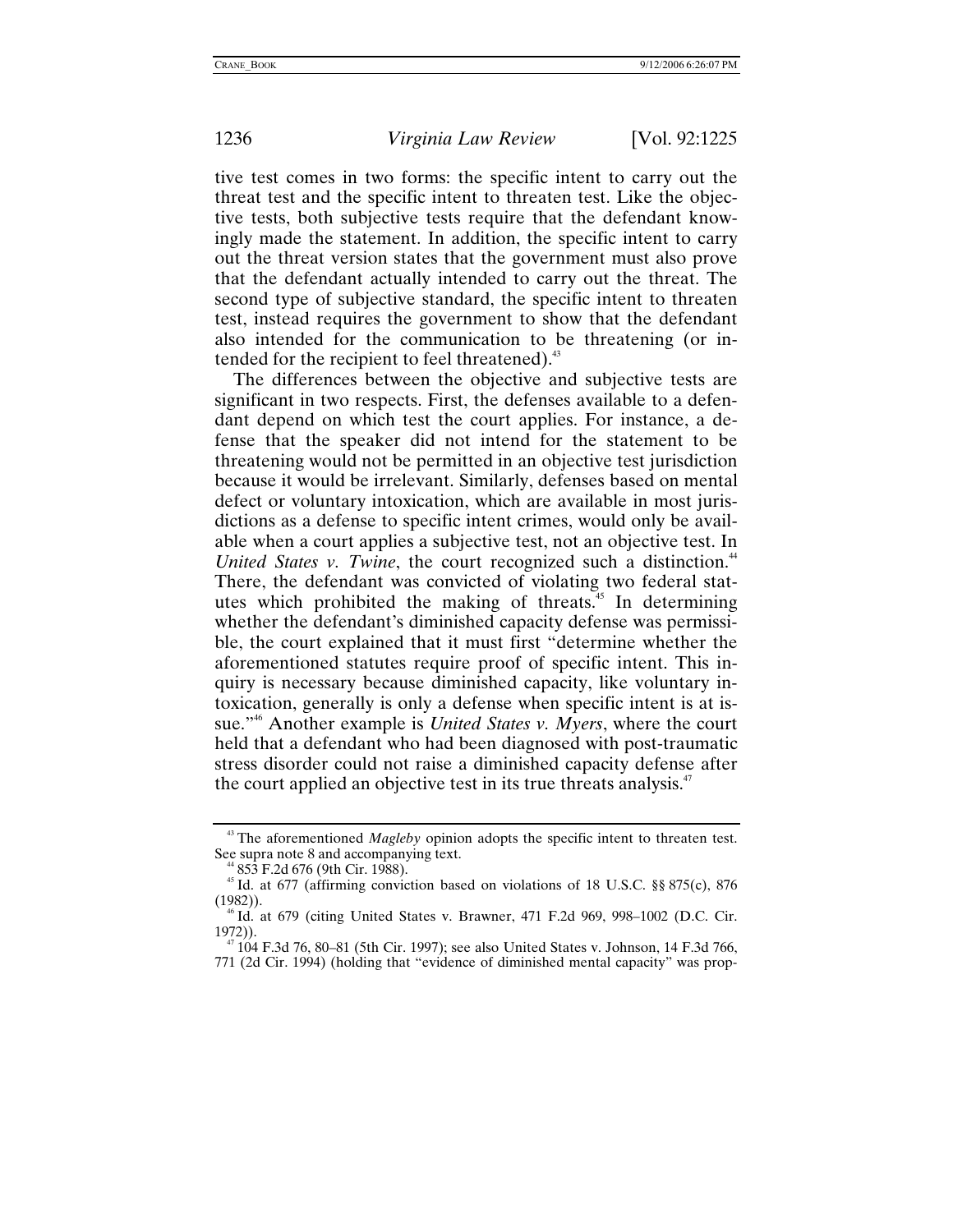tive test comes in two forms: the specific intent to carry out the threat test and the specific intent to threaten test. Like the objective tests, both subjective tests require that the defendant knowingly made the statement. In addition, the specific intent to carry out the threat version states that the government must also prove that the defendant actually intended to carry out the threat. The second type of subjective standard, the specific intent to threaten test, instead requires the government to show that the defendant also intended for the communication to be threatening (or intended for the recipient to feel threatened).<sup>43</sup>

The differences between the objective and subjective tests are significant in two respects. First, the defenses available to a defendant depend on which test the court applies. For instance, a defense that the speaker did not intend for the statement to be threatening would not be permitted in an objective test jurisdiction because it would be irrelevant. Similarly, defenses based on mental defect or voluntary intoxication, which are available in most jurisdictions as a defense to specific intent crimes, would only be available when a court applies a subjective test, not an objective test. In *United States v. Twine*, the court recognized such a distinction.<sup>44</sup> There, the defendant was convicted of violating two federal statutes which prohibited the making of threats.<sup>45</sup> In determining whether the defendant's diminished capacity defense was permissible, the court explained that it must first "determine whether the aforementioned statutes require proof of specific intent. This inquiry is necessary because diminished capacity, like voluntary intoxication, generally is only a defense when specific intent is at issue."[46](#page-12-3) Another example is *United States v. Myers*, where the court held that a defendant who had been diagnosed with post-traumatic stress disorder could not raise a diminished capacity defense after the court applied an objective test in its true threats analysis.<sup>[47](#page-12-4)</sup>

<span id="page-12-0"></span><sup>&</sup>lt;sup>43</sup> The aforementioned *Magleby* opinion adopts the specific intent to threaten test.<br>See supra note 8 and accompanying text.

<span id="page-12-2"></span><span id="page-12-1"></span><sup>&</sup>lt;sup>44</sup> 853 F.2d 676 (9th Cir. 1988). <sup>45</sup> Id. at 677 (affirming conviction based on violations of 18 U.S.C. §§ 875(c), 876

<span id="page-12-3"></span><sup>(1982)).&</sup>lt;br><sup>46</sup> Id. at 679 (citing United States v. Brawner, 471 F.2d 969, 998–1002 (D.C. Cir.<br>1972)).

<span id="page-12-4"></span> $^{47}$  104 F.3d 76, 80–81 (5th Cir. 1997); see also United States v. Johnson, 14 F.3d 766, 771 (2d Cir. 1994) (holding that "evidence of diminished mental capacity" was prop-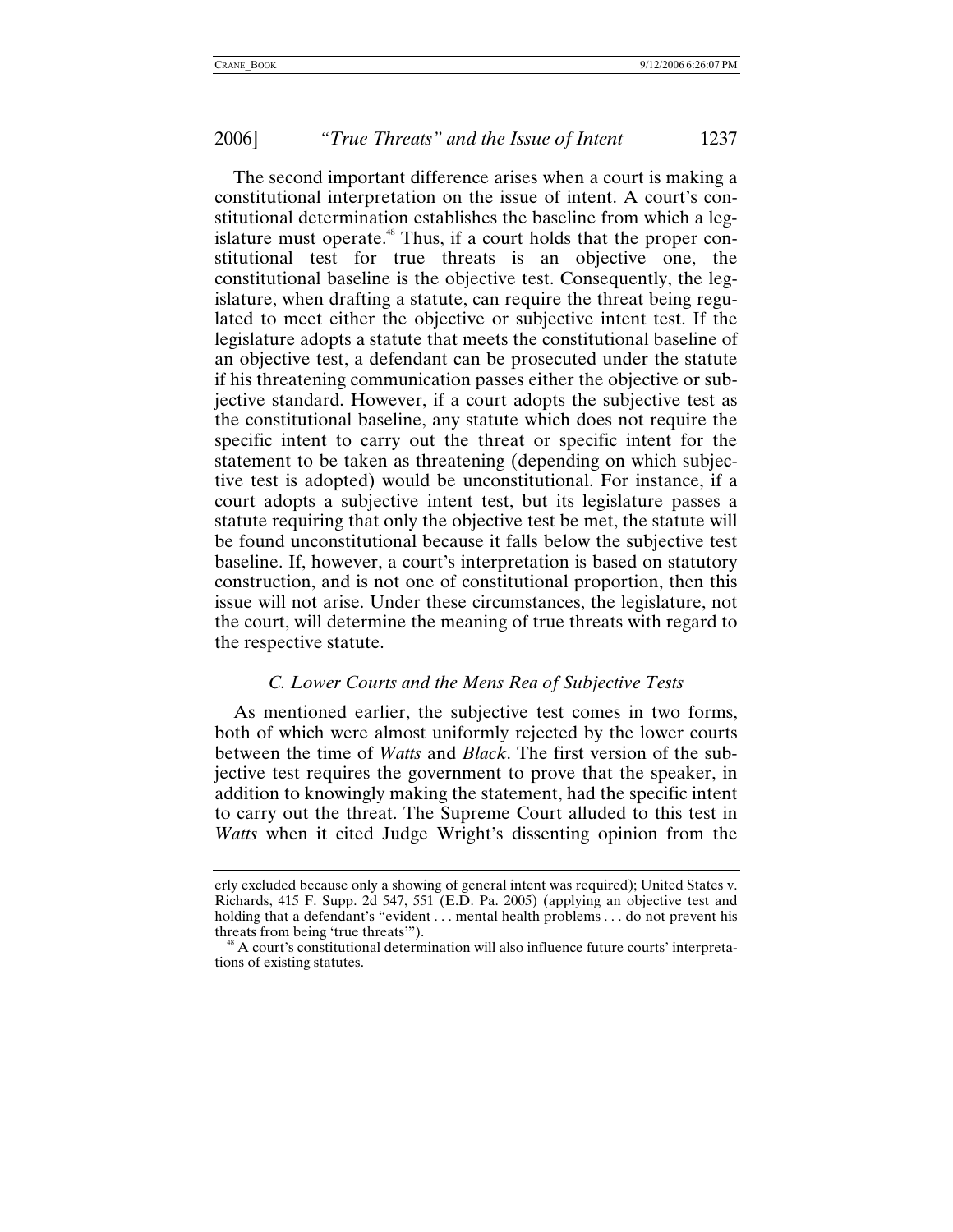<span id="page-13-0"></span>The second important difference arises when a court is making a constitutional interpretation on the issue of intent. A court's constitutional determination establishes the baseline from which a legislature must operate.<sup>48</sup> Thus, if a court holds that the proper constitutional test for true threats is an objective one, the constitutional baseline is the objective test. Consequently, the legislature, when drafting a statute, can require the threat being regulated to meet either the objective or subjective intent test. If the legislature adopts a statute that meets the constitutional baseline of an objective test, a defendant can be prosecuted under the statute if his threatening communication passes either the objective or subjective standard. However, if a court adopts the subjective test as the constitutional baseline, any statute which does not require the specific intent to carry out the threat or specific intent for the statement to be taken as threatening (depending on which subjective test is adopted) would be unconstitutional. For instance, if a court adopts a subjective intent test, but its legislature passes a statute requiring that only the objective test be met, the statute will be found unconstitutional because it falls below the subjective test baseline. If, however, a court's interpretation is based on statutory construction, and is not one of constitutional proportion, then this issue will not arise. Under these circumstances, the legislature, not the court, will determine the meaning of true threats with regard to the respective statute.

# *C. Lower Courts and the Mens Rea of Subjective Tests*

As mentioned earlier, the subjective test comes in two forms, both of which were almost uniformly rejected by the lower courts between the time of *Watts* and *Black*. The first version of the subjective test requires the government to prove that the speaker, in addition to knowingly making the statement, had the specific intent to carry out the threat. The Supreme Court alluded to this test in *Watts* when it cited Judge Wright's dissenting opinion from the

erly excluded because only a showing of general intent was required); United States v. Richards, 415 F. Supp. 2d 547, 551 (E.D. Pa. 2005) (applying an objective test and holding that a defendant's "evident ... mental health problems ... do not prevent his threats from being 'true threats'").

<span id="page-13-1"></span> $*$  A court's constitutional determination will also influence future courts' interpretations of existing statutes.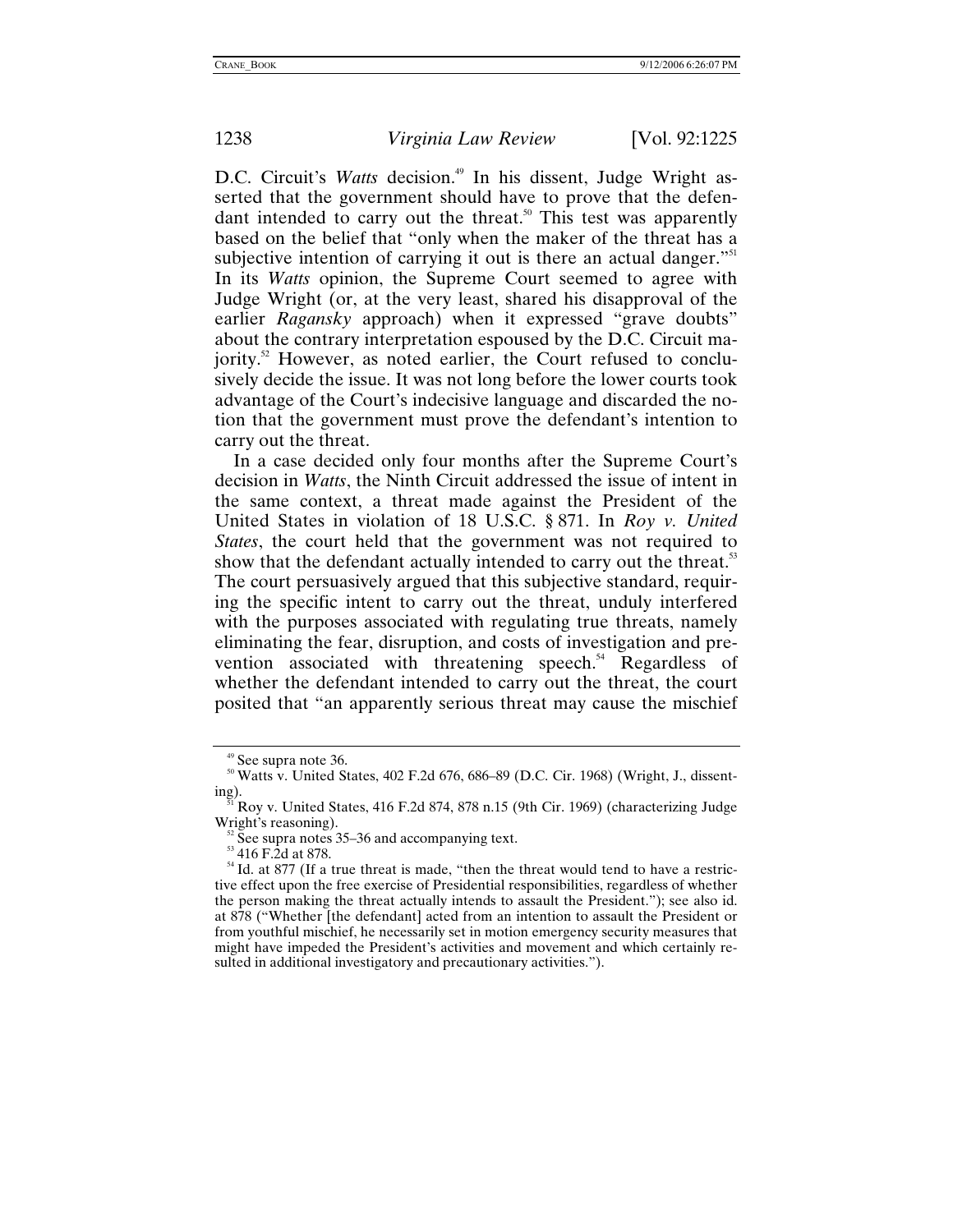D.C. Circuit's Watts decision.<sup>49</sup> In his dissent, Judge Wright asserted that the government should have to prove that the defendant intended to carry out the threat.<sup>50</sup> This test was apparently based on the belief that "only when the maker of the threat has a subjective intention of carrying it out is there an actual danger."<sup>51</sup> In its *Watts* opinion, the Supreme Court seemed to agree with Judge Wright (or, at the very least, shared his disapproval of the earlier *Ragansky* approach) when it expressed "grave doubts" about the contrary interpretation espoused by the D.C. Circuit majority.<sup>52</sup> However, as noted earlier, the Court refused to conclusively decide the issue. It was not long before the lower courts took advantage of the Court's indecisive language and discarded the notion that the government must prove the defendant's intention to carry out the threat.

In a case decided only four months after the Supreme Court's decision in *Watts*, the Ninth Circuit addressed the issue of intent in the same context, a threat made against the President of the United States in violation of 18 U.S.C. § 871. In *Roy v. United States*, the court held that the government was not required to show that the defendant actually intended to carry out the threat.<sup>33</sup> The court persuasively argued that this subjective standard, requiring the specific intent to carry out the threat, unduly interfered with the purposes associated with regulating true threats, namely eliminating the fear, disruption, and costs of investigation and prevention associated with threatening speech.<sup>54</sup> Regardless of whether the defendant intended to carry out the threat, the court posited that "an apparently serious threat may cause the mischief

<span id="page-14-1"></span>

<span id="page-14-0"></span><sup>&</sup>lt;sup>49</sup> See supra note 36.<br><sup>50</sup> Watts v. United States, 402 F.2d 676, 686–89 (D.C. Cir. 1968) (Wright, J., dissent-

<span id="page-14-2"></span>ing).<br><sup>51</sup> Roy v. United States, 416 F.2d 874, 878 n.15 (9th Cir. 1969) (characterizing Judge Wright's reasoning).

<span id="page-14-5"></span><span id="page-14-4"></span>

<span id="page-14-3"></span><sup>&</sup>lt;sup>52</sup> See supra notes 35–36 and accompanying text.<br><sup>53</sup> 416 F.2d at 878.  $\frac{53}{1}$  Id. at 877 (If a true threat is made, "then the threat would tend to have a restrictive effect upon the free exercise of Presidential responsibilities, regardless of whether the person making the threat actually intends to assault the President."); see also id. at 878 ("Whether [the defendant] acted from an intention to assault the President or from youthful mischief, he necessarily set in motion emergency security measures that might have impeded the President's activities and movement and which certainly resulted in additional investigatory and precautionary activities.").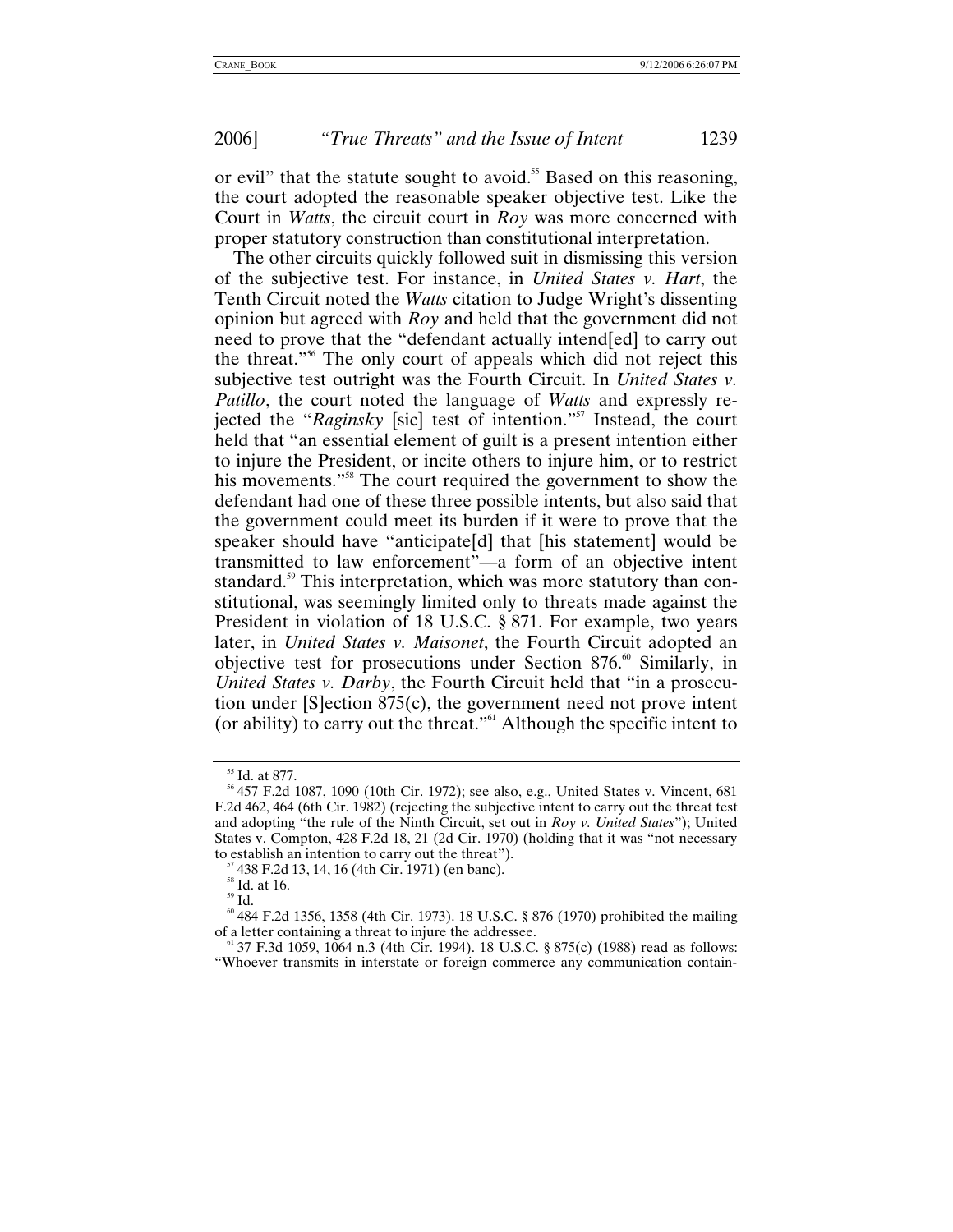or evil" that the statute sought to avoid.<sup>55</sup> Based on this reasoning, the court adopted the reasonable speaker objective test. Like the Court in *Watts*, the circuit court in *Roy* was more concerned with proper statutory construction than constitutional interpretation.

The other circuits quickly followed suit in dismissing this version of the subjective test. For instance, in *United States v. Hart*, the Tenth Circuit noted the *Watts* citation to Judge Wright's dissenting opinion but agreed with *Roy* and held that the government did not need to prove that the "defendant actually intend[ed] to carry out the threat.["56](#page-15-1) The only court of appeals which did not reject this subjective test outright was the Fourth Circuit. In *United States v. Patillo*, the court noted the language of *Watts* and expressly rejected the "*Raginsky* [sic] test of intention."[57](#page-15-2) Instead, the court held that "an essential element of guilt is a present intention either to injure the President, or incite others to injure him, or to restrict his movements."<sup>58</sup> The court required the government to show the defendant had one of these three possible intents, but also said that the government could meet its burden if it were to prove that the speaker should have "anticipate[d] that [his statement] would be transmitted to law enforcement"—a form of an objective intent standard.<sup>59</sup> This interpretation, which was more statutory than constitutional, was seemingly limited only to threats made against the President in violation of 18 U.S.C. § 871. For example, two years later, in *United States v. Maisonet*, the Fourth Circuit adopted an objective test for prosecutions under Section  $876.6^{\circ}$  Similarly, in *United States v. Darby*, the Fourth Circuit held that "in a prosecution under [S]ection 875(c), the government need not prove intent (or ability) to carry out the threat."[61 A](#page-15-6)lthough the specific intent to

<span id="page-15-1"></span>

<span id="page-15-0"></span> $\frac{55}{16}$  Id. at 877.<br> $\frac{56}{457}$  F.2d 1087, 1090 (10th Cir. 1972); see also, e.g., United States v. Vincent, 681 F.2d 462, 464 (6th Cir. 1982) (rejecting the subjective intent to carry out the threat test and adopting "the rule of the Ninth Circuit, set out in *Roy v. United States*"); United States v. Compton, 428 F.2d 18, 21 (2d Cir. 1970) (holding that it was "not necessary to establish an intention to carry out the threat").

<span id="page-15-4"></span>

<span id="page-15-5"></span>

<span id="page-15-3"></span><span id="page-15-2"></span><sup>&</sup>lt;sup>57</sup> 438 F.2d 13, 14, 16 (4th Cir. 1971) (en banc).<br><sup>58</sup> Id. at 16.<br><sup>59</sup> Id. 60 484 F.2d 1356, 1358 (4th Cir. 1973). 18 U.S.C. § 876 (1970) prohibited the mailing of a letter containing a threat to injure the addressee.

<span id="page-15-6"></span> $6^{31}$  37 F.3d 1059, 1064 n.3 (4th Cir. 1994). 18 U.S.C. § 875(c) (1988) read as follows: "Whoever transmits in interstate or foreign commerce any communication contain-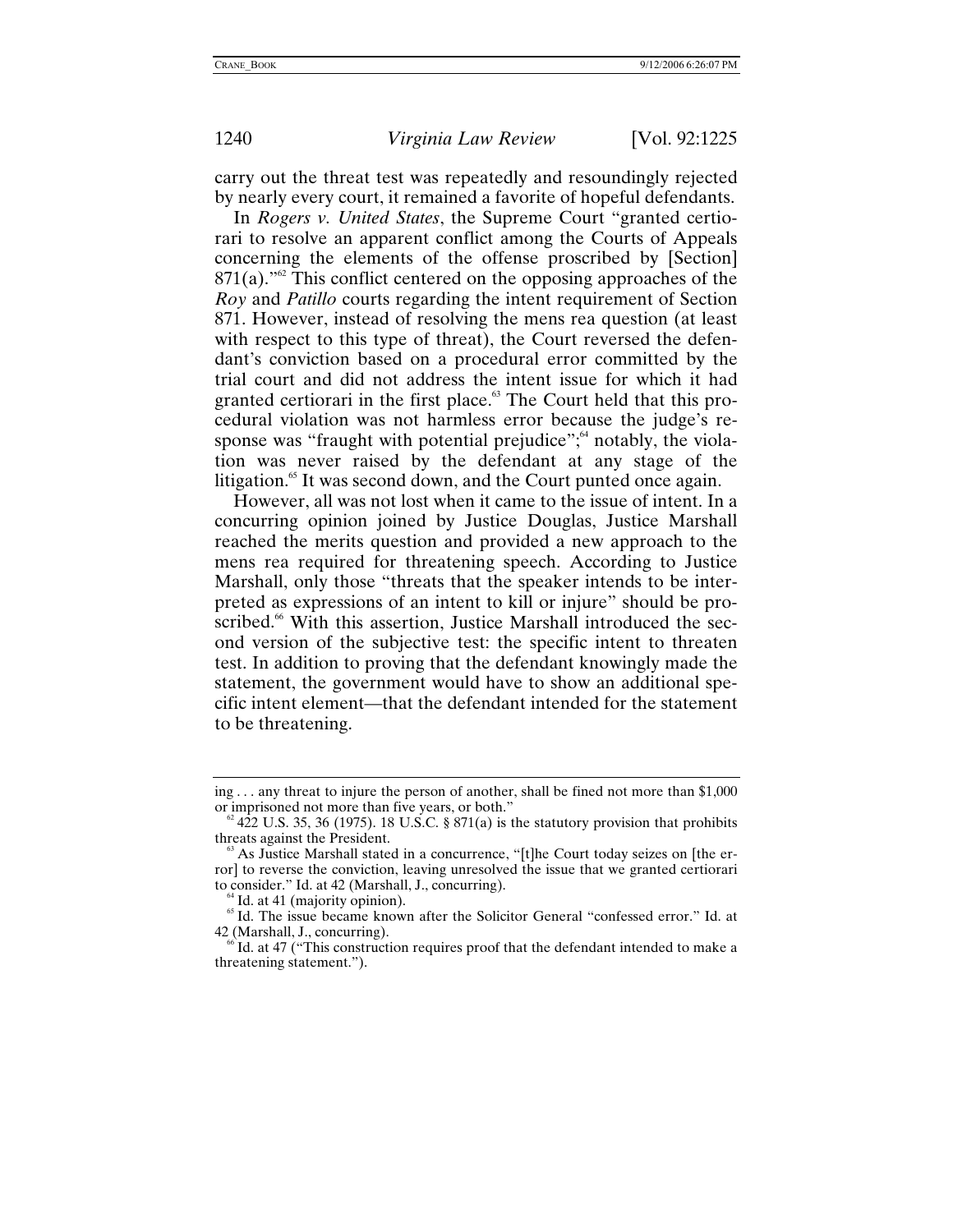carry out the threat test was repeatedly and resoundingly rejected by nearly every court, it remained a favorite of hopeful defendants.

In *Rogers v. United States*, the Supreme Court "granted certiorari to resolve an apparent conflict among the Courts of Appeals concerning the elements of the offense proscribed by [Section]  $871(a)$ ."<sup>62</sup> This conflict centered on the opposing approaches of the *Roy* and *Patillo* courts regarding the intent requirement of Section 871. However, instead of resolving the mens rea question (at least with respect to this type of threat), the Court reversed the defendant's conviction based on a procedural error committed by the trial court and did not address the intent issue for which it had granted certiorari in the first place. $63$  The Court held that this procedural violation was not harmless error because the judge's response was "fraught with potential prejudice"; $\frac{6}{7}$  notably, the violation was never raised by the defendant at any stage of the litigation.<sup>65</sup> It was second down, and the Court punted once again.

However, all was not lost when it came to the issue of intent. In a concurring opinion joined by Justice Douglas, Justice Marshall reached the merits question and provided a new approach to the mens rea required for threatening speech. According to Justice Marshall, only those "threats that the speaker intends to be interpreted as expressions of an intent to kill or injure" should be proscribed.<sup>66</sup> With this assertion, Justice Marshall introduced the second version of the subjective test: the specific intent to threaten test. In addition to proving that the defendant knowingly made the statement, the government would have to show an additional specific intent element—that the defendant intended for the statement to be threatening.

ing . . . any threat to injure the person of another, shall be fined not more than \$1,000

<span id="page-16-0"></span>or imprisoned not more than five years, or both."<br><sup>62</sup> 422 U.S. 35, 36 (1975). 18 U.S.C. § 871(a) is the statutory provision that prohibits threats against the President.

<span id="page-16-1"></span>As Justice Marshall stated in a concurrence, "[t]he Court today seizes on [the error] to reverse the conviction, leaving unresolved the issue that we granted certiorari to consider." Id. at 42 (Marshall, J., concurring).<br><sup>64</sup> Id. at 41 (majority opinion).<br><sup>65</sup> Id. The issue became known after the Solicitor General "confessed error." Id. at

<span id="page-16-2"></span>

<span id="page-16-3"></span><sup>42 (</sup>Marshall, J., concurring).<br><sup>66</sup> Id. at 47 ("This construction requires proof that the defendant intended to make a

<span id="page-16-4"></span>threatening statement.").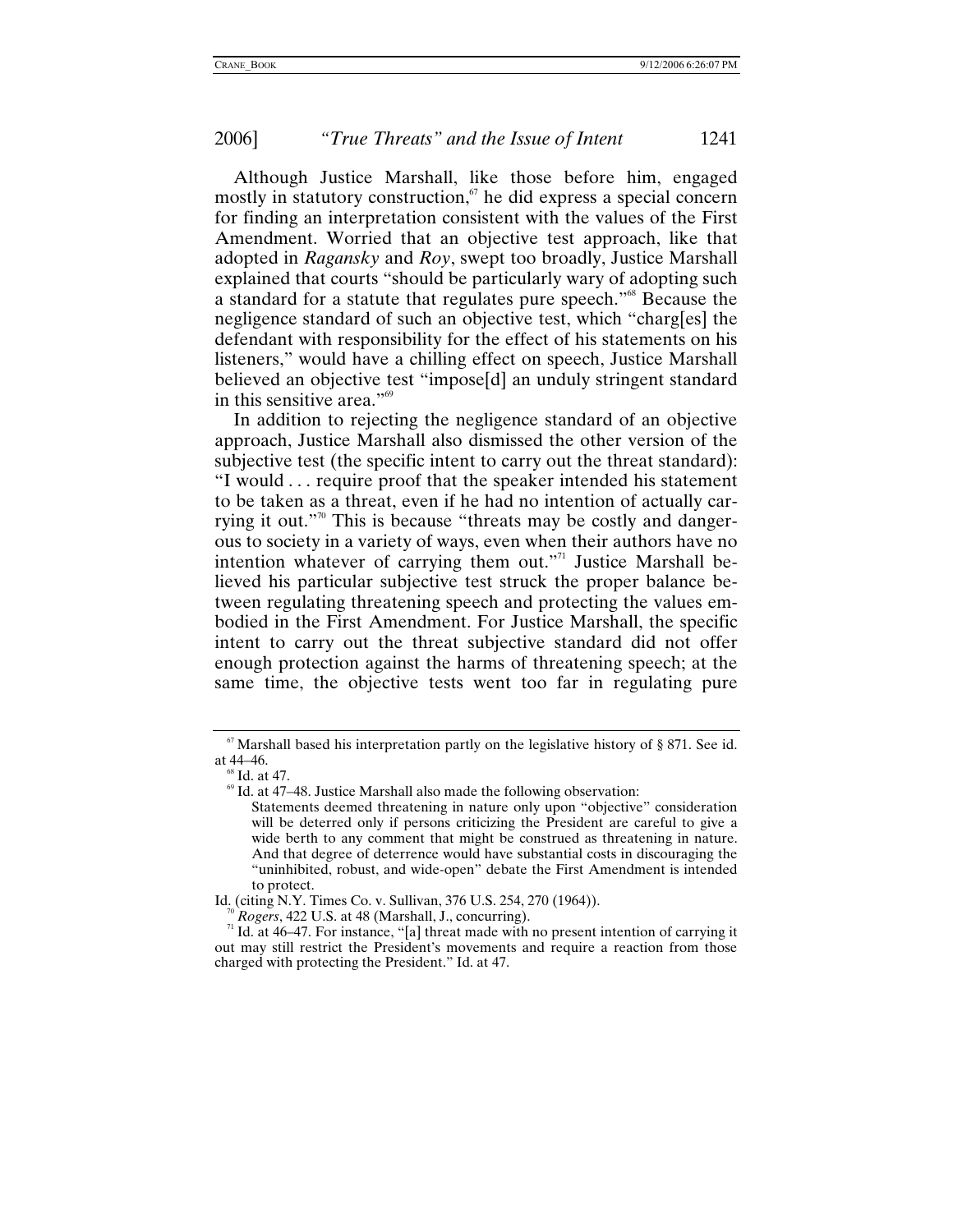Although Justice Marshall, like those before him, engaged mostly in statutory construction, $\delta$ <sup>7</sup> he did express a special concern for finding an interpretation consistent with the values of the First Amendment. Worried that an objective test approach, like that adopted in *Ragansky* and *Roy*, swept too broadly, Justice Marshall explained that courts "should be particularly wary of adopting such a standard for a statute that regulates pure speech."[68](#page-17-1) Because the negligence standard of such an objective test, which "charg[es] the defendant with responsibility for the effect of his statements on his listeners," would have a chilling effect on speech, Justice Marshall believed an objective test "impose[d] an unduly stringent standard in this sensitive area."<sup>[69](#page-17-2)</sup>

In addition to rejecting the negligence standard of an objective approach, Justice Marshall also dismissed the other version of the subjective test (the specific intent to carry out the threat standard): "I would . . . require proof that the speaker intended his statement to be taken as a threat, even if he had no intention of actually carrying it out."<sup>70</sup> This is because "threats may be costly and dangerous to society in a variety of ways, even when their authors have no intention whatever of carrying them out."<sup> $1$ </sup> Justice Marshall believed his particular subjective test struck the proper balance between regulating threatening speech and protecting the values embodied in the First Amendment. For Justice Marshall, the specific intent to carry out the threat subjective standard did not offer enough protection against the harms of threatening speech; at the same time, the objective tests went too far in regulating pure

<span id="page-17-0"></span><sup>&</sup>lt;sup>67</sup> Marshall based his interpretation partly on the legislative history of § 871. See id. at 44–46.

<span id="page-17-2"></span><span id="page-17-1"></span>

<sup>&</sup>lt;sup>68</sup> Id. at 47.<br><sup>69</sup> Id. at 47–48. Justice Marshall also made the following observation:

Statements deemed threatening in nature only upon "objective" consideration will be deterred only if persons criticizing the President are careful to give a wide berth to any comment that might be construed as threatening in nature. And that degree of deterrence would have substantial costs in discouraging the "uninhibited, robust, and wide-open" debate the First Amendment is intended to protect.<br>Id. (citing N.Y. Times Co. v. Sullivan, 376 U.S. 254, 270 (1964)).

<span id="page-17-4"></span><span id="page-17-3"></span><sup>&</sup>lt;sup>70</sup> *Rogers*, 422 U.S. at 48 (Marshall, J., concurring). <sup>71</sup> Id. at 46–47. For instance, "[a] threat made with no present intention of carrying it out may still restrict the President's movements and require a reaction from those charged with protecting the President." Id. at 47.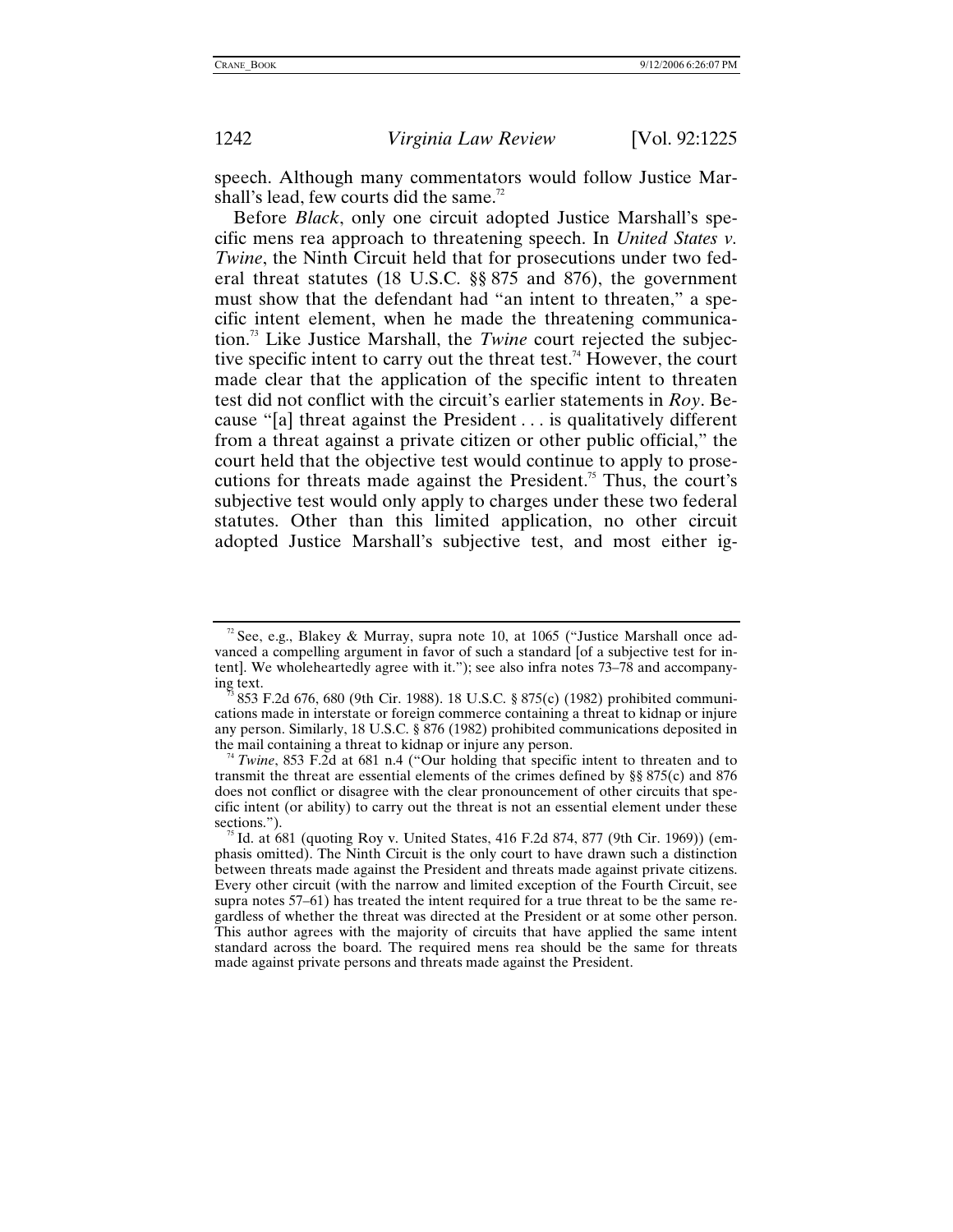speech. Although many commentators would follow Justice Mar-shall's lead, few courts did the same.<sup>[72](#page-18-0)</sup>

Before *Black*, only one circuit adopted Justice Marshall's specific mens rea approach to threatening speech. In *United States v. Twine*, the Ninth Circuit held that for prosecutions under two federal threat statutes (18 U.S.C. §§ 875 and 876), the government must show that the defendant had "an intent to threaten," a specific intent element, when he made the threatening communication.[73](#page-18-1) Like Justice Marshall, the *Twine* court rejected the subjective specific intent to carry out the threat test.<sup>74</sup> However, the court made clear that the application of the specific intent to threaten test did not conflict with the circuit's earlier statements in *Roy*. Because "[a] threat against the President . . . is qualitatively different from a threat against a private citizen or other public official," the court held that the objective test would continue to apply to prosecutions for threats made against the President.<sup>75</sup> Thus, the court's subjective test would only apply to charges under these two federal statutes. Other than this limited application, no other circuit adopted Justice Marshall's subjective test, and most either ig-

<span id="page-18-0"></span><sup>&</sup>lt;sup>72</sup> See, e.g., Blakey & Murray, supra note 10, at 1065 ("Justice Marshall once advanced a compelling argument in favor of such a standard [of a subjective test for intent]. We wholeheartedly agree with it."); see also infra notes 73–78 and accompanying text. 73 853 F.2d 676, 680 (9th Cir. 1988). 18 U.S.C. § 875(c) (1982) prohibited communi-

<span id="page-18-1"></span>cations made in interstate or foreign commerce containing a threat to kidnap or injure any person. Similarly, 18 U.S.C. § 876 (1982) prohibited communications deposited in

<span id="page-18-2"></span>Twine, 853 F.2d at 681 n.4 ("Our holding that specific intent to threaten and to transmit the threat are essential elements of the crimes defined by §§ 875(c) and 876 does not conflict or disagree with the clear pronouncement of other circuits that specific intent (or ability) to carry out the threat is not an essential element under these

<span id="page-18-3"></span><sup>&</sup>lt;sup>75</sup> Id. at 681 (quoting Roy v. United States, 416 F.2d 874, 877 (9th Cir. 1969)) (emphasis omitted). The Ninth Circuit is the only court to have drawn such a distinction between threats made against the President and threats made against private citizens. Every other circuit (with the narrow and limited exception of the Fourth Circuit, see supra notes 57–61) has treated the intent required for a true threat to be the same regardless of whether the threat was directed at the President or at some other person. This author agrees with the majority of circuits that have applied the same intent standard across the board. The required mens rea should be the same for threats made against private persons and threats made against the President.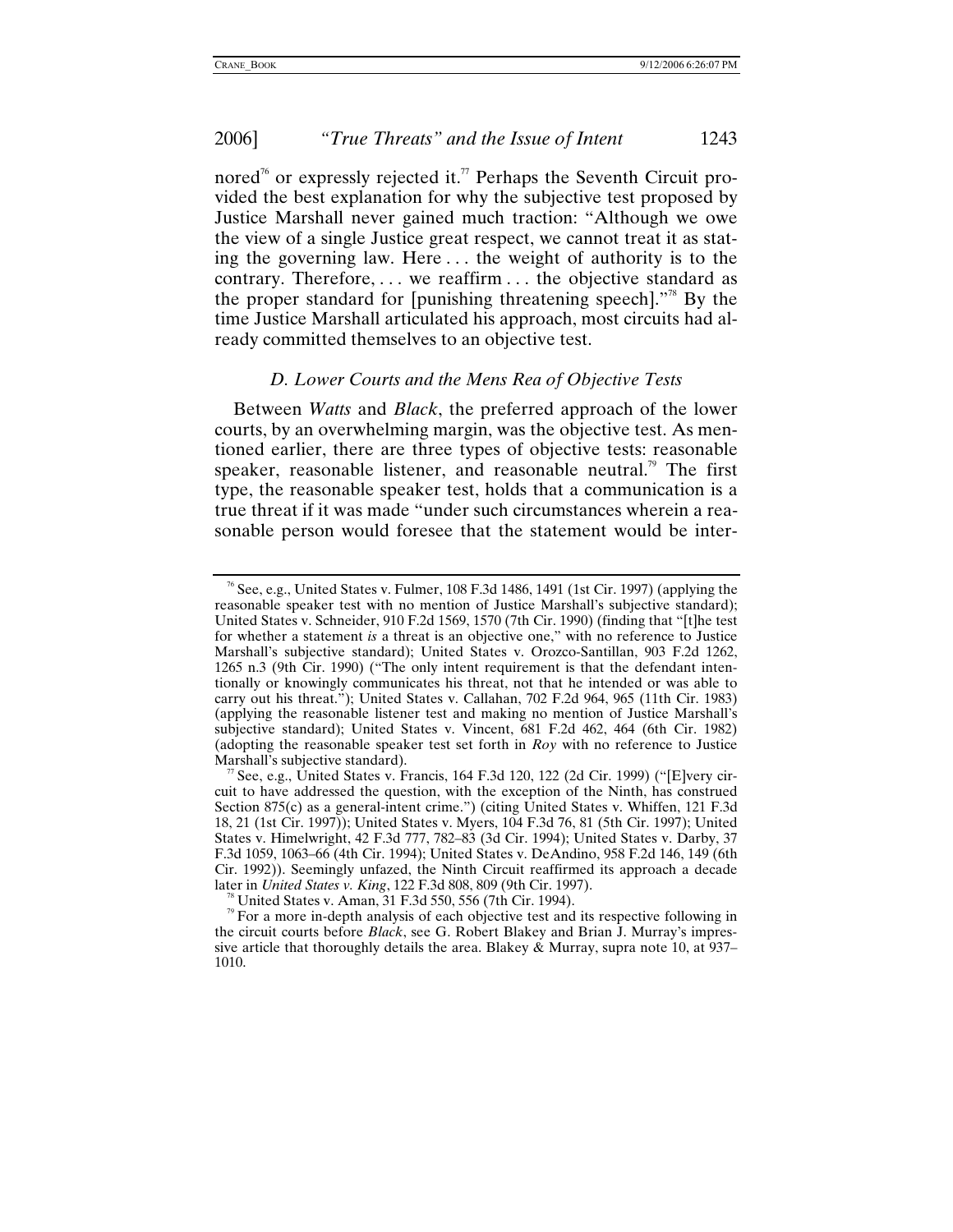<span id="page-19-0"></span>nored<sup>76</sup> or expressly rejected it.<sup>77</sup> Perhaps the Seventh Circuit provided the best explanation for why the subjective test proposed by Justice Marshall never gained much traction: "Although we owe the view of a single Justice great respect, we cannot treat it as stating the governing law. Here . . . the weight of authority is to the contrary. Therefore, . . . we reaffirm . . . the objective standard as the proper standard for [punishing threatening speech]."[78](#page-19-3) By the time Justice Marshall articulated his approach, most circuits had already committed themselves to an objective test.

# *D. Lower Courts and the Mens Rea of Objective Tests*

Between *Watts* and *Black*, the preferred approach of the lower courts, by an overwhelming margin, was the objective test. As mentioned earlier, there are three types of objective tests: reasonable speaker, reasonable listener, and reasonable neutral.<sup>79</sup> The first type, the reasonable speaker test, holds that a communication is a true threat if it was made "under such circumstances wherein a reasonable person would foresee that the statement would be inter-

<span id="page-19-1"></span><sup>&</sup>lt;sup>76</sup> See, e.g., United States v. Fulmer,  $108$  F.3d  $1486$ ,  $1491$  (1st Cir. 1997) (applying the reasonable speaker test with no mention of Justice Marshall's subjective standard); United States v. Schneider, 910 F.2d 1569, 1570 (7th Cir. 1990) (finding that "[t]he test for whether a statement *is* a threat is an objective one," with no reference to Justice Marshall's subjective standard); United States v. Orozco-Santillan, 903 F.2d 1262, 1265 n.3 (9th Cir. 1990) ("The only intent requirement is that the defendant intentionally or knowingly communicates his threat, not that he intended or was able to carry out his threat."); United States v. Callahan, 702 F.2d 964, 965 (11th Cir. 1983) (applying the reasonable listener test and making no mention of Justice Marshall's subjective standard); United States v. Vincent, 681 F.2d 462, 464 (6th Cir. 1982) (adopting the reasonable speaker test set forth in *Roy* with no reference to Justice

<span id="page-19-2"></span>See, e.g., United States v. Francis, 164 F.3d 120, 122 (2d Cir. 1999) ("[E]very circuit to have addressed the question, with the exception of the Ninth, has construed Section 875(c) as a general-intent crime.") (citing United States v. Whiffen, 121 F.3d 18, 21 (1st Cir. 1997)); United States v. Myers, 104 F.3d 76, 81 (5th Cir. 1997); United States v. Himelwright, 42 F.3d 777, 782–83 (3d Cir. 1994); United States v. Darby, 37 F.3d 1059, 1063–66 (4th Cir. 1994); United States v. DeAndino, 958 F.2d 146, 149 (6th Cir. 1992)). Seemingly unfazed, the Ninth Circuit reaffirmed its approach a decade later in *United States v. King*,  $122$  F.3d  $808$ ,  $809$  (9th Cir. 1997).

<span id="page-19-4"></span>

<span id="page-19-3"></span><sup>&</sup>lt;sup>78</sup> United States v. Aman, 31 F.3d 550, 556 (7th Cir. 1994).  $\frac{79}{7}$  For a more in-depth analysis of each objective test and its respective following in the circuit courts before *Black*, see G. Robert Blakey and Brian J. Murray's impressive article that thoroughly details the area. Blakey  $\&$  Murray, supra note 10, at 937– 1010.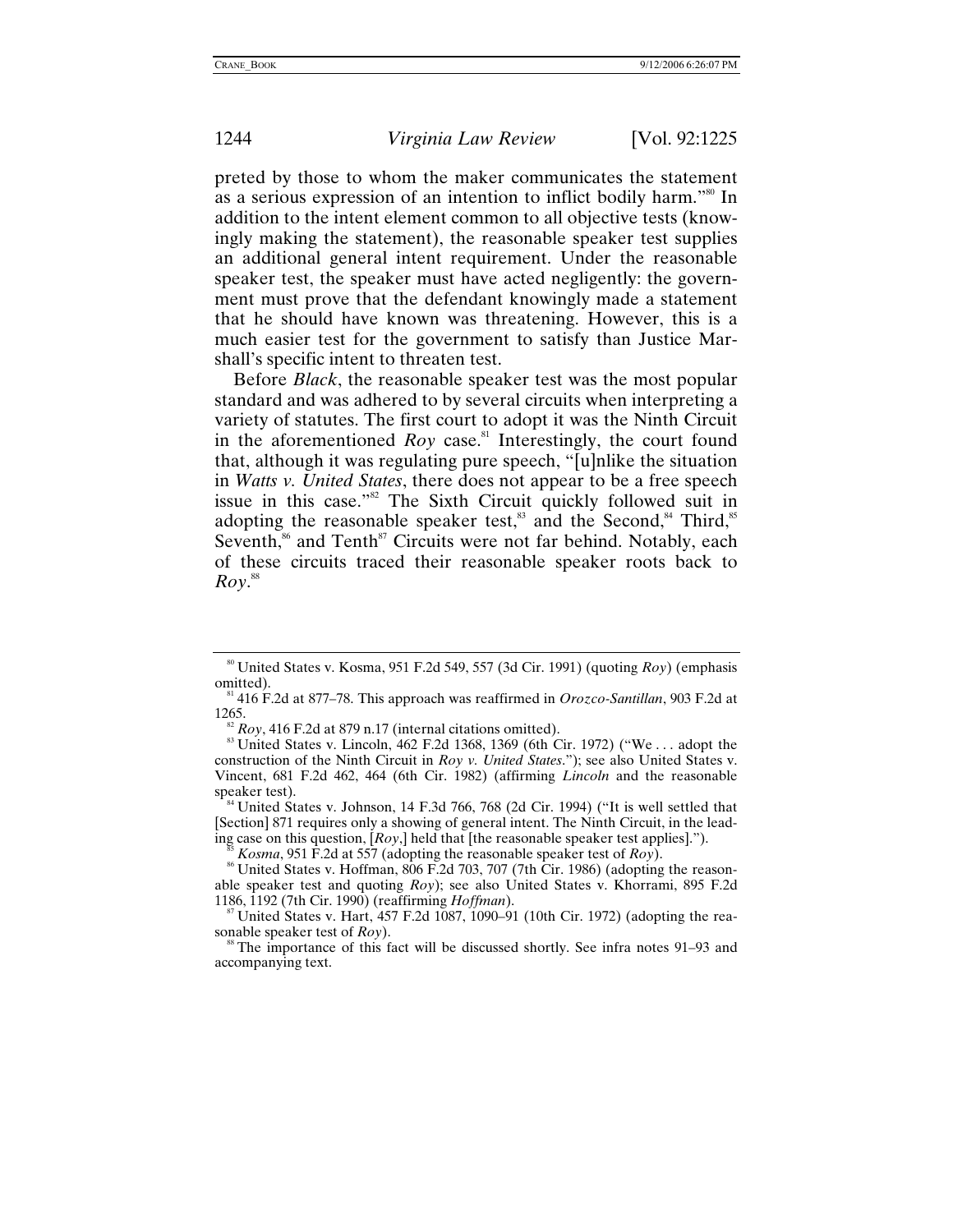preted by those to whom the maker communicates the statement as a serious expression of an intention to inflict bodily harm."<sup>80</sup> In addition to the intent element common to all objective tests (knowingly making the statement), the reasonable speaker test supplies an additional general intent requirement. Under the reasonable speaker test, the speaker must have acted negligently: the government must prove that the defendant knowingly made a statement that he should have known was threatening. However, this is a much easier test for the government to satisfy than Justice Marshall's specific intent to threaten test.

Before *Black*, the reasonable speaker test was the most popular standard and was adhered to by several circuits when interpreting a variety of statutes. The first court to adopt it was the Ninth Circuit in the aforementioned  $Rov$  case.<sup>81</sup> Interestingly, the court found that, although it was regulating pure speech, "[u]nlike the situation in *Watts v. United States*, there does not appear to be a free speech issue in this case.["82](#page-20-2) The Sixth Circuit quickly followed suit in adopting the reasonable speaker test, $^{83}$  and the Second, $^{84}$  Third, $^{85}$ Seventh, $^{86}$  and Tenth $^{87}$  Circuits were not far behind. Notably, each of these circuits traced their reasonable speaker roots back to *Roy*. [88](#page-20-8)

<span id="page-20-2"></span>

<span id="page-20-0"></span><sup>80</sup> United States v. Kosma, 951 F.2d 549, 557 (3d Cir. 1991) (quoting *Roy*) (emphasis omitted). 81 416 F.2d at 877–78. This approach was reaffirmed in *Orozco-Santillan*, 903 F.2d at

<span id="page-20-1"></span><sup>1265.&</sup>lt;br><sup>82</sup> *Roy*, 416 F.2d at 879 n.17 (internal citations omitted).<br><sup>83</sup> United States v. Lincoln, 462 F.2d 1368, 1369 (6th Cir. 1972) ("We . . . adopt the

<span id="page-20-3"></span>construction of the Ninth Circuit in *Roy v. United States*."); see also United States v. Vincent, 681 F.2d 462, 464 (6th Cir. 1982) (affirming *Lincoln* and the reasonable

<span id="page-20-4"></span><sup>&</sup>lt;sup>4</sup> United States v. Johnson, 14 F.3d 766, 768 (2d Cir. 1994) ("It is well settled that [Section] 871 requires only a showing of general intent. The Ninth Circuit, in the lead-<br>ing case on this question,  $[Roy]$  held that [the reasonable speaker test applies].").

<span id="page-20-6"></span><span id="page-20-5"></span><sup>&</sup>lt;sup>85</sup> *Kosma*, 951 F.2d at 557 (adopting the reasonable speaker test of *Roy*).<br><sup>86</sup> United States v. Hoffman, 806 F.2d 703, 707 (7th Cir. 1986) (adopting the reasonable speaker test and quoting *Roy*); see also United States v. Khorrami, 895 F.2d

<span id="page-20-7"></span><sup>&</sup>lt;sup>37</sup> United States v. Hart, 457 F.2d 1087, 1090–91 (10th Cir. 1972) (adopting the reasonable speaker test of *Roy*). <sup>88</sup> The importance of this fact will be discussed shortly. See infra notes 91–93 and

<span id="page-20-8"></span>accompanying text.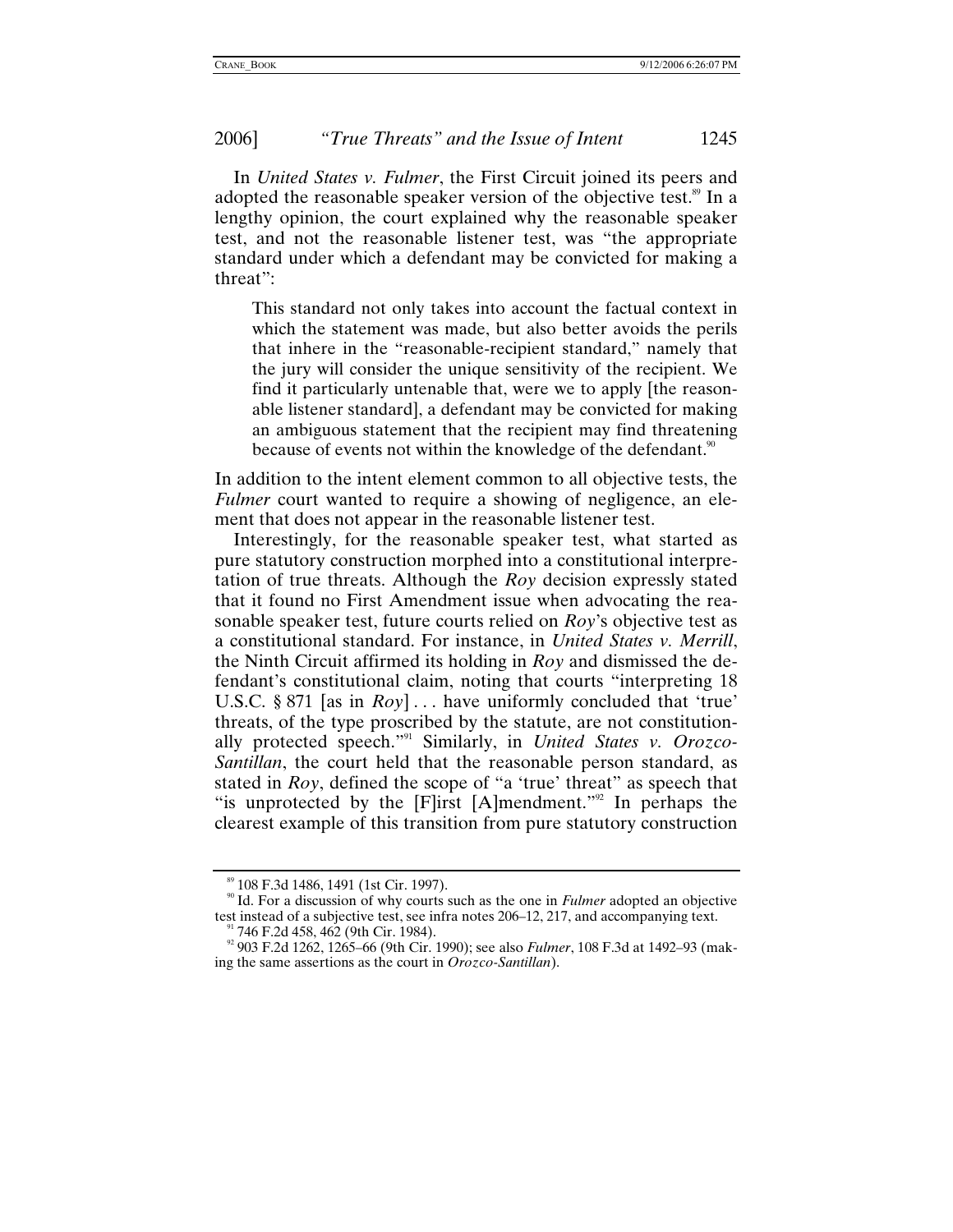In *United States v. Fulmer*, the First Circuit joined its peers and adopted the reasonable speaker version of the objective test.<sup>89</sup> In a lengthy opinion, the court explained why the reasonable speaker test, and not the reasonable listener test, was "the appropriate standard under which a defendant may be convicted for making a threat":

This standard not only takes into account the factual context in which the statement was made, but also better avoids the perils that inhere in the "reasonable-recipient standard," namely that the jury will consider the unique sensitivity of the recipient. We find it particularly untenable that, were we to apply [the reasonable listener standard], a defendant may be convicted for making an ambiguous statement that the recipient may find threatening because of events not within the knowledge of the defendant.<sup>90</sup>

In addition to the intent element common to all objective tests, the *Fulmer* court wanted to require a showing of negligence, an element that does not appear in the reasonable listener test.

Interestingly, for the reasonable speaker test, what started as pure statutory construction morphed into a constitutional interpretation of true threats. Although the *Roy* decision expressly stated that it found no First Amendment issue when advocating the reasonable speaker test, future courts relied on *Roy*'s objective test as a constitutional standard. For instance, in *United States v. Merrill*, the Ninth Circuit affirmed its holding in *Roy* and dismissed the defendant's constitutional claim, noting that courts "interpreting 18 U.S.C. § 871 [as in *Roy*] . . . have uniformly concluded that 'true' threats, of the type proscribed by the statute, are not constitutionally protected speech."[91](#page-21-2) Similarly, in *United States v. Orozco-Santillan*, the court held that the reasonable person standard, as stated in *Roy*, defined the scope of "a 'true' threat" as speech that "is unprotected by the [F]irst [A]mendment."[92](#page-21-3) In perhaps the clearest example of this transition from pure statutory construction

<span id="page-21-1"></span><span id="page-21-0"></span><sup>&</sup>lt;sup>89</sup> 108 F.3d 1486, 1491 (1st Cir. 1997).<br><sup>90</sup> Id. For a discussion of why courts such as the one in *Fulmer* adopted an objective test instead of a subjective test, see infra notes 206–12, 217, and accompanying text.

<span id="page-21-3"></span><span id="page-21-2"></span><sup>&</sup>lt;sup>91</sup> 746 F.2d 458, 462 (9th Cir. 1984).<br><sup>92</sup> 903 F.2d 1262, 1265–66 (9th Cir. 1990); see also *Fulmer*, 108 F.3d at 1492–93 (making the same assertions as the court in *Orozco-Santillan*).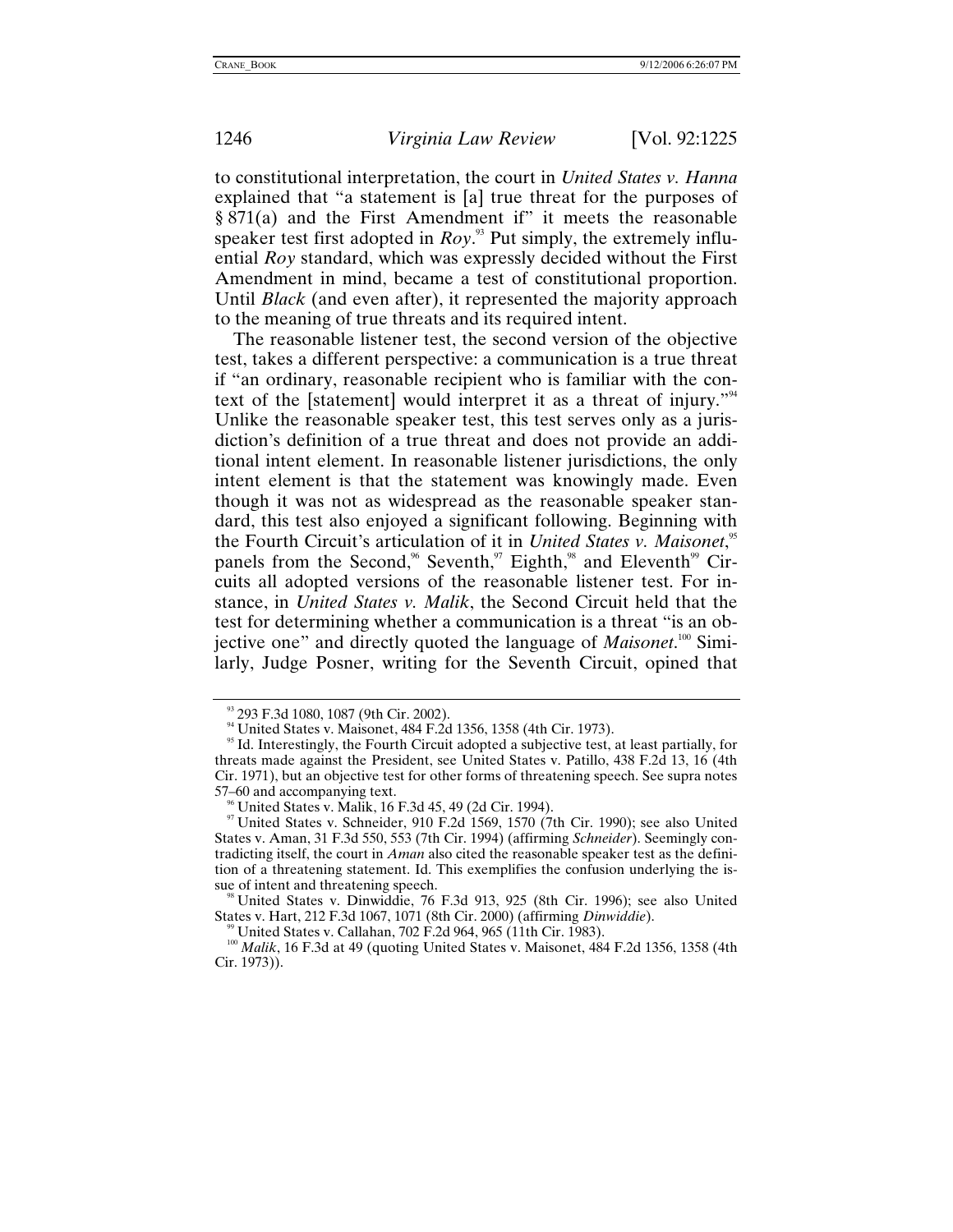to constitutional interpretation, the court in *United States v. Hanna*  explained that "a statement is [a] true threat for the purposes of  $§ 871(a)$  and the First Amendment if" it meets the reasonable speaker test first adopted in *Roy*. [93](#page-22-0) Put simply, the extremely influential *Roy* standard, which was expressly decided without the First Amendment in mind, became a test of constitutional proportion. Until *Black* (and even after), it represented the majority approach to the meaning of true threats and its required intent.

The reasonable listener test, the second version of the objective test, takes a different perspective: a communication is a true threat if "an ordinary, reasonable recipient who is familiar with the context of the [statement] would interpret it as a threat of injury.["94](#page-22-1) Unlike the reasonable speaker test, this test serves only as a jurisdiction's definition of a true threat and does not provide an additional intent element. In reasonable listener jurisdictions, the only intent element is that the statement was knowingly made. Even though it was not as widespread as the reasonable speaker standard, this test also enjoyed a significant following. Beginning with the Fourth Circuit's articulation of it in *United States v. Maisonet*, [95](#page-22-2) panels from the Second,<sup>96</sup> Seventh,<sup>97</sup> Eighth,<sup>98</sup> and Eleventh<sup>99</sup> Circuits all adopted versions of the reasonable listener test. For instance, in *United States v. Malik*, the Second Circuit held that the test for determining whether a communication is a threat "is an objective one" and directly quoted the language of *Maisonet*. [100](#page-22-7) Similarly, Judge Posner, writing for the Seventh Circuit, opined that

<span id="page-22-5"></span>sue of intent and threatening speech.<br><sup>98</sup> United States v. Dinwiddie, 76 F.3d 913, 925 (8th Cir. 1996); see also United States v. Hart, 212 F.3d 1067, 1071 (8th Cir. 2000) (affirming *Dinwiddie*).

<span id="page-22-2"></span><span id="page-22-1"></span>

<span id="page-22-0"></span><sup>&</sup>lt;sup>93</sup> 293 F.3d 1080, 1087 (9th Cir. 2002).<br><sup>94</sup> United States v. Maisonet, 484 F.2d 1356, 1358 (4th Cir. 1973).<br><sup>95</sup> Id. Interestingly, the Fourth Circuit adopted a subjective test, at least partially, for threats made against the President, see United States v. Patillo, 438 F.2d 13, 16 (4th Cir. 1971), but an objective test for other forms of threatening speech. See supra notes 57–60 and accompanying text.<br><sup>96</sup> United States v. Malik, 16 F.3d 45, 49 (2d Cir. 1994).<br><sup>97</sup> United States v. Schneider, 910 F.2d 1569, 1570 (7th Cir. 1990); see also United

<span id="page-22-3"></span>

<span id="page-22-4"></span>States v. Aman, 31 F.3d 550, 553 (7th Cir. 1994) (affirming *Schneider*). Seemingly contradicting itself, the court in *Aman* also cited the reasonable speaker test as the definition of a threatening statement. Id. This exemplifies the confusion underlying the is-

<span id="page-22-7"></span><span id="page-22-6"></span> $^{99}$  United States v. Callahan, 702 F.2d 964, 965 (11th Cir. 1983).<br><sup>100</sup> *Malik*, 16 F.3d at 49 (quoting United States v. Maisonet, 484 F.2d 1356, 1358 (4th Cir. 1973)).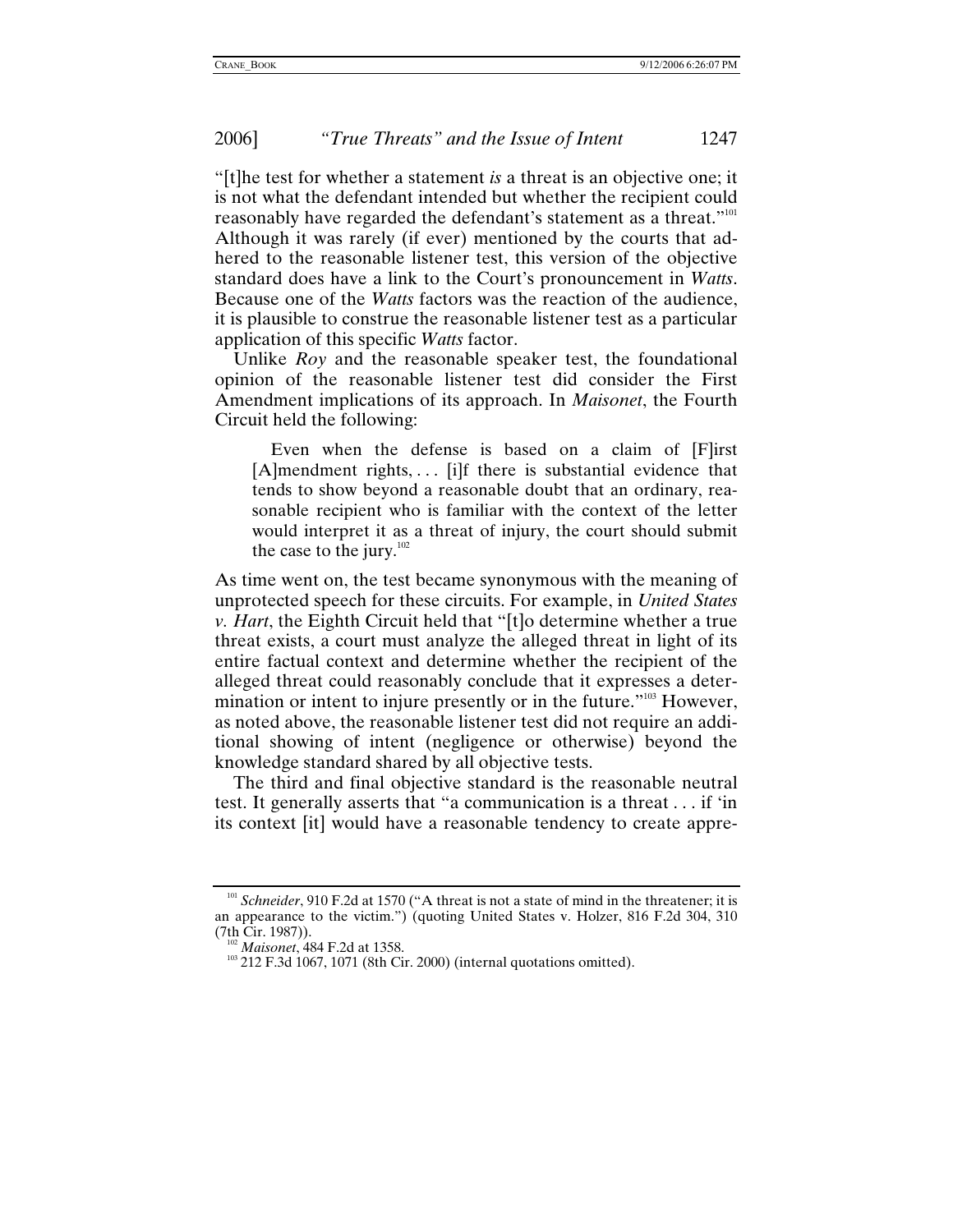"[t]he test for whether a statement *is* a threat is an objective one; it is not what the defendant intended but whether the recipient could reasonably have regarded the defendant's statement as a threat."<sup>101</sup> Although it was rarely (if ever) mentioned by the courts that adhered to the reasonable listener test, this version of the objective standard does have a link to the Court's pronouncement in *Watts*. Because one of the *Watts* factors was the reaction of the audience, it is plausible to construe the reasonable listener test as a particular application of this specific *Watts* factor.

Unlike *Roy* and the reasonable speaker test, the foundational opinion of the reasonable listener test did consider the First Amendment implications of its approach. In *Maisonet*, the Fourth Circuit held the following:

Even when the defense is based on a claim of [F]irst  $[A]$ mendment rights, ...  $[i]$ f there is substantial evidence that tends to show beyond a reasonable doubt that an ordinary, reasonable recipient who is familiar with the context of the letter would interpret it as a threat of injury, the court should submit the case to the jury. $102$ 

As time went on, the test became synonymous with the meaning of unprotected speech for these circuits. For example, in *United States v. Hart*, the Eighth Circuit held that "[t]o determine whether a true threat exists, a court must analyze the alleged threat in light of its entire factual context and determine whether the recipient of the alleged threat could reasonably conclude that it expresses a determination or intent to injure presently or in the future."<sup>103</sup> However, as noted above, the reasonable listener test did not require an additional showing of intent (negligence or otherwise) beyond the knowledge standard shared by all objective tests.

The third and final objective standard is the reasonable neutral test. It generally asserts that "a communication is a threat . . . if 'in its context [it] would have a reasonable tendency to create appre-

<span id="page-23-0"></span><sup>&</sup>lt;sup>101</sup> *Schneider*, 910 F.2d at 1570 ("A threat is not a state of mind in the threatener; it is an appearance to the victim.") (quoting United States v. Holzer, 816 F.2d 304, 310 (7th Cir. 1987)).

<span id="page-23-2"></span><span id="page-23-1"></span><sup>&</sup>lt;sup>102</sup> *Maisonet*, 484 F.2d at 1358.<br><sup>103</sup> 212 F.3d 1067, 1071 (8th Cir. 2000) (internal quotations omitted).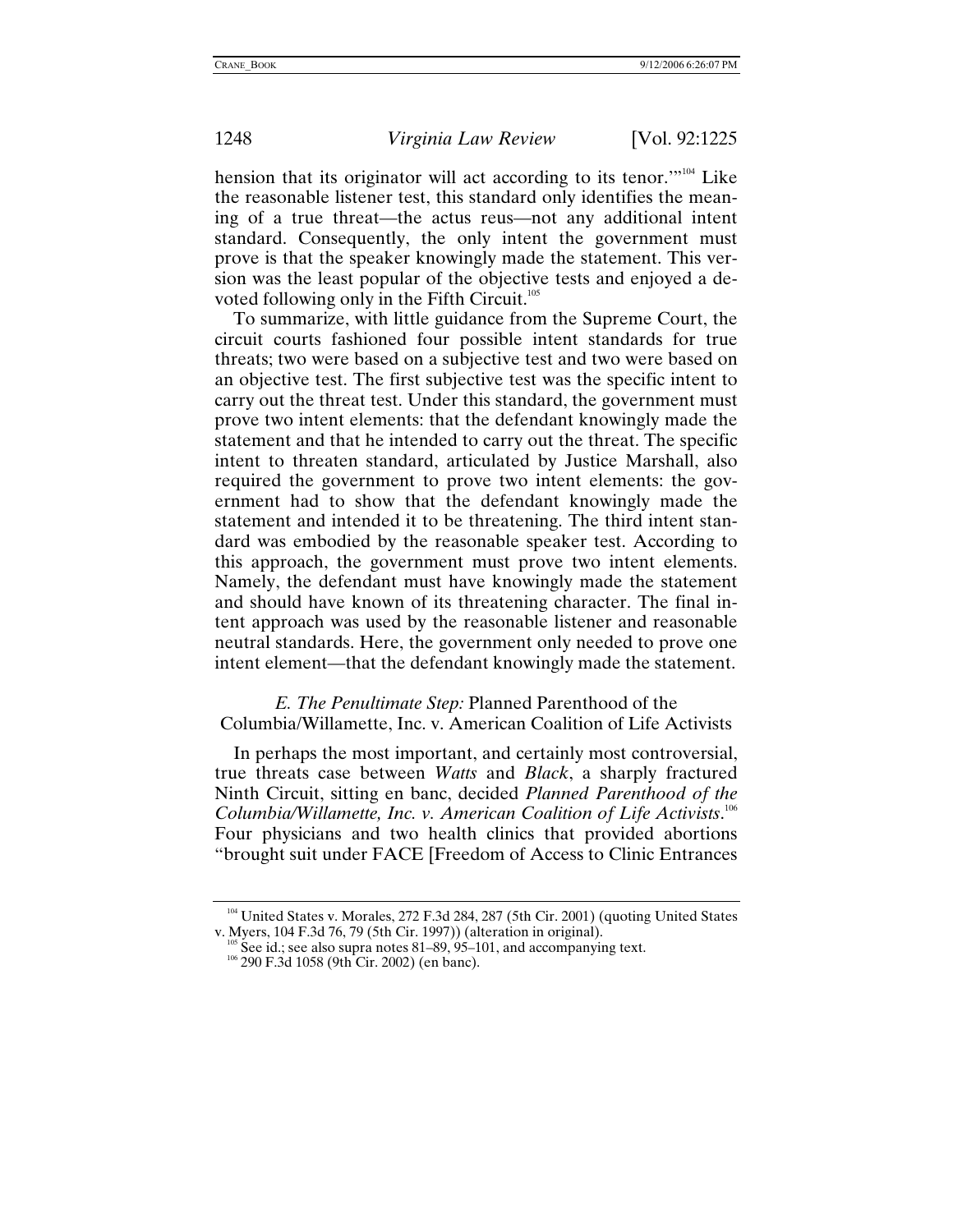<span id="page-24-0"></span>hension that its originator will act according to its tenor."<sup>104</sup> Like the reasonable listener test, this standard only identifies the meaning of a true threat—the actus reus—not any additional intent standard. Consequently, the only intent the government must prove is that the speaker knowingly made the statement. This version was the least popular of the objective tests and enjoyed a devoted following only in the Fifth Circuit.<sup>105</sup>

To summarize, with little guidance from the Supreme Court, the circuit courts fashioned four possible intent standards for true threats; two were based on a subjective test and two were based on an objective test. The first subjective test was the specific intent to carry out the threat test. Under this standard, the government must prove two intent elements: that the defendant knowingly made the statement and that he intended to carry out the threat. The specific intent to threaten standard, articulated by Justice Marshall, also required the government to prove two intent elements: the government had to show that the defendant knowingly made the statement and intended it to be threatening. The third intent standard was embodied by the reasonable speaker test. According to this approach, the government must prove two intent elements. Namely, the defendant must have knowingly made the statement and should have known of its threatening character. The final intent approach was used by the reasonable listener and reasonable neutral standards. Here, the government only needed to prove one intent element—that the defendant knowingly made the statement.

*E. The Penultimate Step:* Planned Parenthood of the Columbia/Willamette, Inc. v. American Coalition of Life Activists

In perhaps the most important, and certainly most controversial, true threats case between *Watts* and *Black*, a sharply fractured Ninth Circuit, sitting en banc, decided *Planned Parenthood of the Columbia/Willamette, Inc. v. American Coalition of Life Activists*. [106](#page-24-3) Four physicians and two health clinics that provided abortions "brought suit under FACE [Freedom of Access to Clinic Entrances

<span id="page-24-1"></span><sup>&</sup>lt;sup>104</sup> United States v. Morales, 272 F.3d 284, 287 (5th Cir. 2001) (quoting United States v. Myers, 104 F.3d 76, 79 (5th Cir. 1997)) (alteration in original).

<span id="page-24-3"></span><span id="page-24-2"></span><sup>&</sup>lt;sup>105</sup> See id.; see also supra notes 81–89, 95–101, and accompanying text. <sup>106</sup> 290 F.3d 1058 (9th Cir. 2002) (en banc).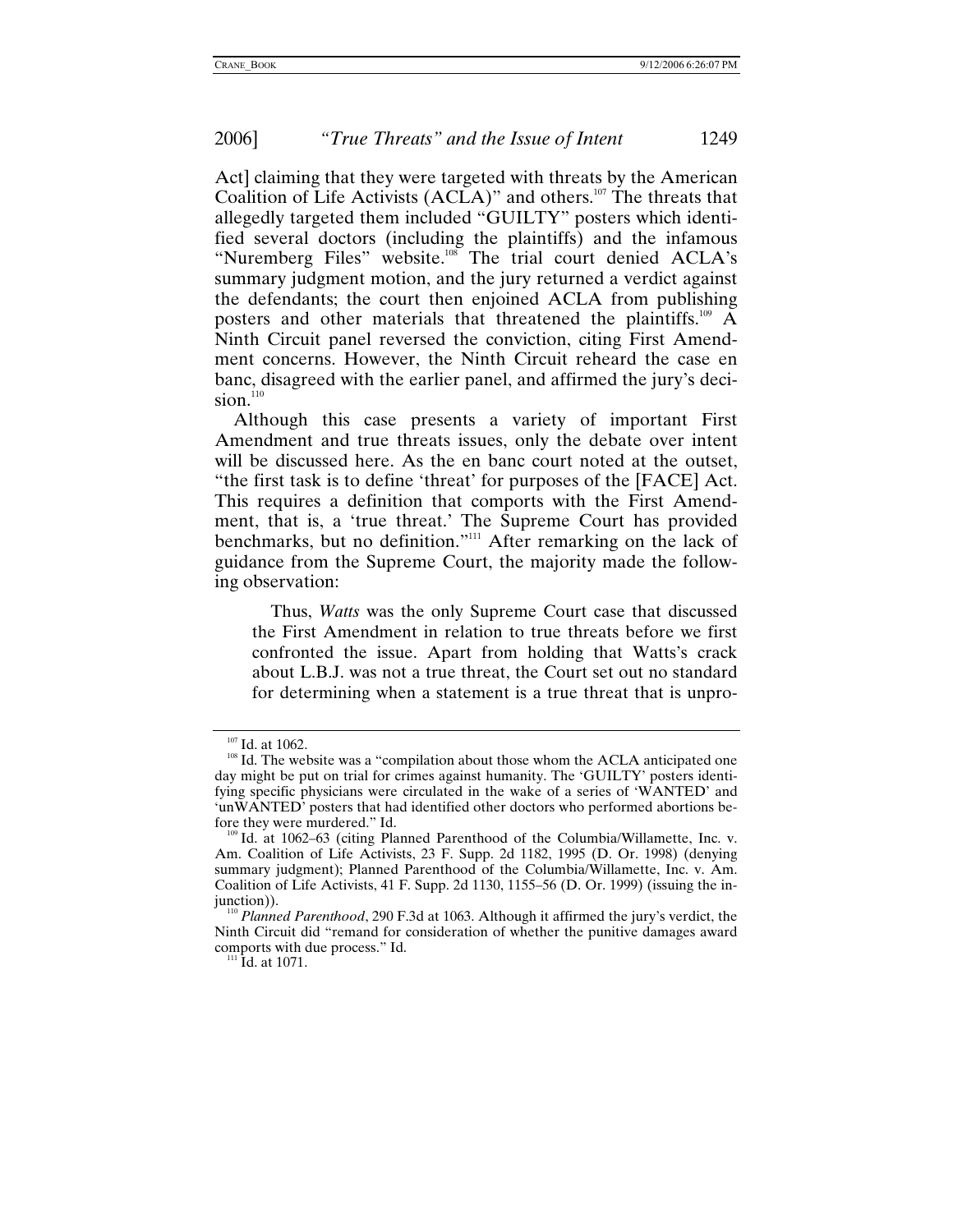Act] claiming that they were targeted with threats by the American Coalition of Life Activists (ACLA)" and others.<sup>107</sup> The threats that allegedly targeted them included "GUILTY" posters which identified several doctors (including the plaintiffs) and the infamous "Nuremberg Files" website.<sup>108</sup> The trial court denied ACLA's summary judgment motion, and the jury returned a verdict against the defendants; the court then enjoined ACLA from publishing posters and other materials that threatened the plaintiffs.<sup>109</sup> A Ninth Circuit panel reversed the conviction, citing First Amendment concerns. However, the Ninth Circuit reheard the case en banc, disagreed with the earlier panel, and affirmed the jury's deci $sion.<sup>110</sup>$ 

Although this case presents a variety of important First Amendment and true threats issues, only the debate over intent will be discussed here. As the en banc court noted at the outset, "the first task is to define 'threat' for purposes of the [FACE] Act. This requires a definition that comports with the First Amendment, that is, a 'true threat.' The Supreme Court has provided benchmarks, but no definition."<sup>111</sup> After remarking on the lack of guidance from the Supreme Court, the majority made the following observation:

Thus, *Watts* was the only Supreme Court case that discussed the First Amendment in relation to true threats before we first confronted the issue. Apart from holding that Watts's crack about L.B.J. was not a true threat, the Court set out no standard for determining when a statement is a true threat that is unpro-

<span id="page-25-1"></span><span id="page-25-0"></span> $107$  Id. at 1062.<br><sup>108</sup> Id. The website was a "compilation about those whom the ACLA anticipated one day might be put on trial for crimes against humanity. The 'GUILTY' posters identifying specific physicians were circulated in the wake of a series of 'WANTED' and 'unWANTED' posters that had identified other doctors who performed abortions be-

<span id="page-25-2"></span><sup>109</sup> Id. at 1062–63 (citing Planned Parenthood of the Columbia/Willamette, Inc. v. Am. Coalition of Life Activists, 23 F. Supp. 2d 1182, 1995 (D. Or. 1998) (denying summary judgment); Planned Parenthood of the Columbia/Willamette, Inc. v. Am. Coalition of Life Activists, 41 F. Supp. 2d 1130, 1155–56 (D. Or. 1999) (issuing the in-<br>junction)).

<span id="page-25-3"></span><sup>&</sup>lt;sup>110</sup> *Planned Parenthood*, 290 F.3d at 1063. Although it affirmed the jury's verdict, the Ninth Circuit did "remand for consideration of whether the punitive damages award comports with due process." Id. <sup>111</sup> Id. at 1071.

<span id="page-25-4"></span>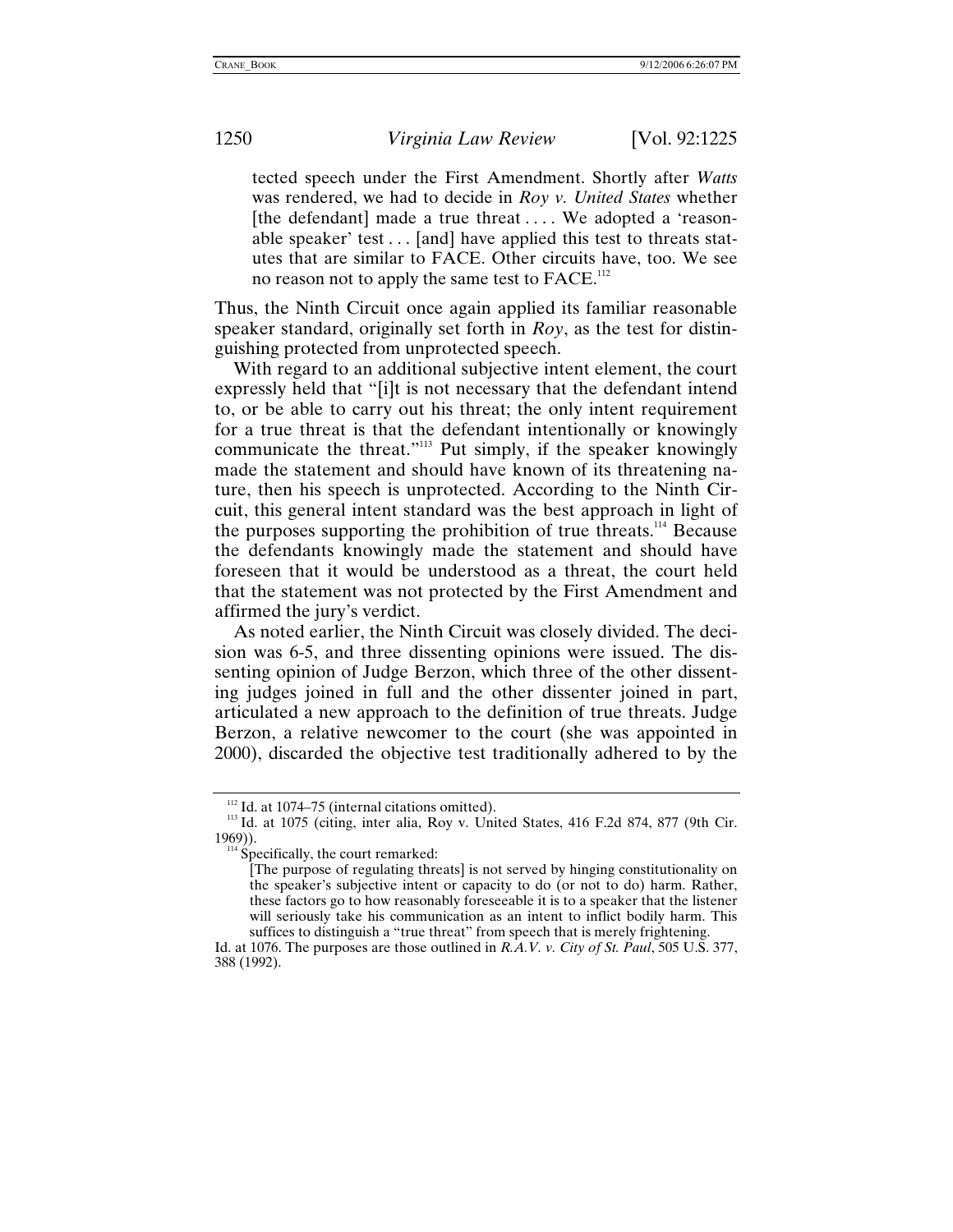tected speech under the First Amendment. Shortly after *Watts* was rendered, we had to decide in *Roy v. United States* whether [the defendant] made a true threat .... We adopted a 'reasonable speaker' test  $\dots$  [and] have applied this test to threats statutes that are similar to FACE. Other circuits have, too. We see no reason not to apply the same test to FACE.<sup>112</sup>

Thus, the Ninth Circuit once again applied its familiar reasonable speaker standard, originally set forth in *Roy*, as the test for distinguishing protected from unprotected speech.

With regard to an additional subjective intent element, the court expressly held that "[i]t is not necessary that the defendant intend to, or be able to carry out his threat; the only intent requirement for a true threat is that the defendant intentionally or knowingly communicate the threat."<sup>113</sup> Put simply, if the speaker knowingly made the statement and should have known of its threatening nature, then his speech is unprotected. According to the Ninth Circuit, this general intent standard was the best approach in light of the purposes supporting the prohibition of true threats.<sup>114</sup> Because the defendants knowingly made the statement and should have foreseen that it would be understood as a threat, the court held that the statement was not protected by the First Amendment and affirmed the jury's verdict.

As noted earlier, the Ninth Circuit was closely divided. The decision was 6-5, and three dissenting opinions were issued. The dissenting opinion of Judge Berzon, which three of the other dissenting judges joined in full and the other dissenter joined in part, articulated a new approach to the definition of true threats. Judge Berzon, a relative newcomer to the court (she was appointed in 2000), discarded the objective test traditionally adhered to by the

<span id="page-26-0"></span><sup>&</sup>lt;sup>112</sup> Id. at 1074–75 (internal citations omitted).<br><sup>113</sup> Id. at 1075 (citing, inter alia, Roy v. United States, 416 F.2d 874, 877 (9th Cir. 1969)).  $114$  Specifically, the court remarked:

<span id="page-26-1"></span>

<sup>[</sup>The purpose of regulating threats] is not served by hinging constitutionality on the speaker's subjective intent or capacity to do (or not to do) harm. Rather, these factors go to how reasonably foreseeable it is to a speaker that the listener will seriously take his communication as an intent to inflict bodily harm. This suffices to distinguish a "true threat" from speech that is merely frightening.

Id. at 1076. The purposes are those outlined in *R.A.V. v. City of St. Paul*, 505 U.S. 377, 388 (1992).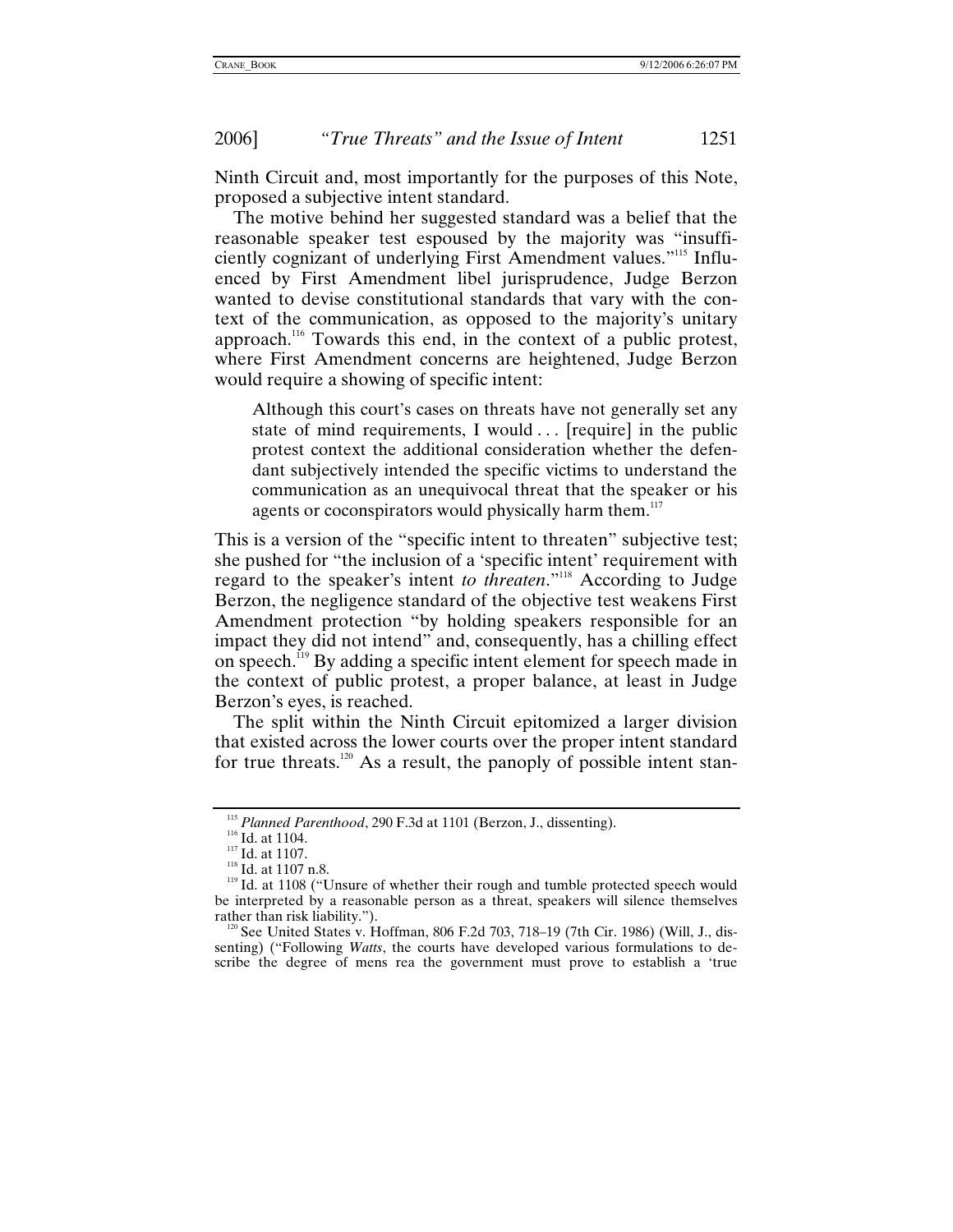Ninth Circuit and, most importantly for the purposes of this Note, proposed a subjective intent standard.

The motive behind her suggested standard was a belief that the reasonable speaker test espoused by the majority was "insufficiently cognizant of underlying First Amendment values."[115](#page-27-0) Influenced by First Amendment libel jurisprudence, Judge Berzon wanted to devise constitutional standards that vary with the context of the communication, as opposed to the majority's unitary approach.<sup>116</sup> Towards this end, in the context of a public protest, where First Amendment concerns are heightened, Judge Berzon would require a showing of specific intent:

Although this court's cases on threats have not generally set any state of mind requirements, I would . . . [require] in the public protest context the additional consideration whether the defendant subjectively intended the specific victims to understand the communication as an unequivocal threat that the speaker or his agents or coconspirators would physically harm them.<sup>117</sup>

This is a version of the "specific intent to threaten" subjective test; she pushed for "the inclusion of a 'specific intent' requirement with regard to the speaker's intent *to threaten*.["118](#page-27-2) According to Judge Berzon, the negligence standard of the objective test weakens First Amendment protection "by holding speakers responsible for an impact they did not intend" and, consequently, has a chilling effect on speech.[119 B](#page-27-3)y adding a specific intent element for speech made in the context of public protest, a proper balance, at least in Judge Berzon's eyes, is reached.

The split within the Ninth Circuit epitomized a larger division that existed across the lower courts over the proper intent standard for true threats.<sup>120</sup> As a result, the panoply of possible intent stan-

<span id="page-27-1"></span>

<span id="page-27-3"></span><span id="page-27-2"></span>

<span id="page-27-0"></span><sup>&</sup>lt;sup>115</sup> *Planned Parenthood*, 290 F.3d at 1101 (Berzon, J., dissenting).<br><sup>116</sup> Id. at 1104.<br><sup>117</sup> Id. at 1107.<br><sup>118</sup> Id. at 1108 ("Unsure of whether their rough and tumble protected speech would be interpreted by a reasonable person as a threat, speakers will silence themselves

<span id="page-27-4"></span> $120$  See United States v. Hoffman, 806 F.2d 703, 718–19 (7th Cir. 1986) (Will, J., dissenting) ("Following *Watts*, the courts have developed various formulations to describe the degree of mens rea the government must prove to establish a 'true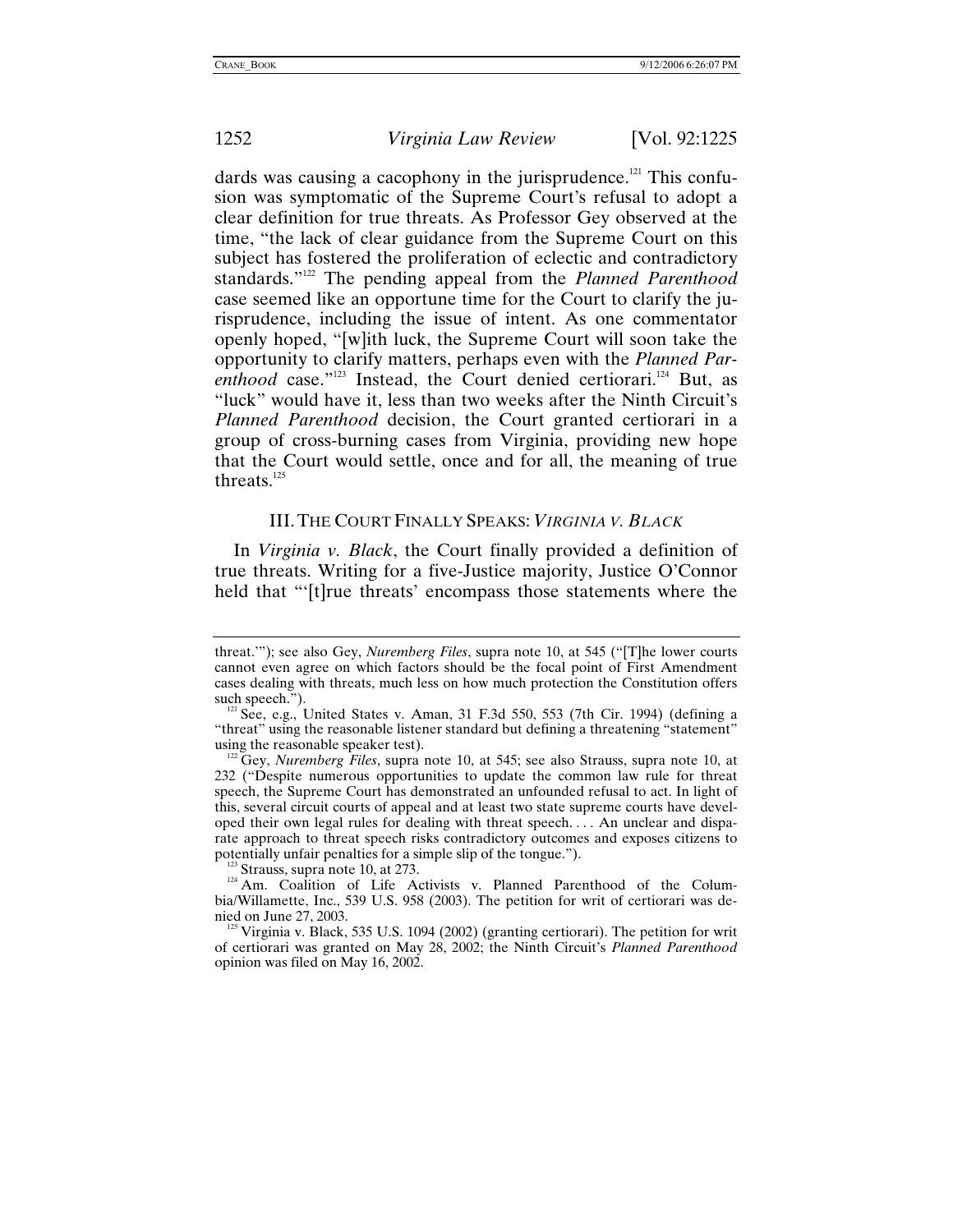<span id="page-28-0"></span>dards was causing a cacophony in the jurisprudence.<sup>121</sup> This confusion was symptomatic of the Supreme Court's refusal to adopt a clear definition for true threats. As Professor Gey observed at the time, "the lack of clear guidance from the Supreme Court on this subject has fostered the proliferation of eclectic and contradictory standards.["122](#page-28-2) The pending appeal from the *Planned Parenthood* case seemed like an opportune time for the Court to clarify the jurisprudence, including the issue of intent. As one commentator openly hoped, "[w]ith luck, the Supreme Court will soon take the opportunity to clarify matters, perhaps even with the *Planned Par*enthood case."<sup>123</sup> Instead, the Court denied certiorari.<sup>124</sup> But, as "luck" would have it, less than two weeks after the Ninth Circuit's *Planned Parenthood* decision, the Court granted certiorari in a group of cross-burning cases from Virginia, providing new hope that the Court would settle, once and for all, the meaning of true threats.<sup>[125](#page-28-5)</sup>

#### III. THE COURT FINALLY SPEAKS: *VIRGINIA V. BLACK*

In *Virginia v. Black*, the Court finally provided a definition of true threats. Writing for a five-Justice majority, Justice O'Connor held that "'[t]rue threats' encompass those statements where the

threat.'"); see also Gey, *Nuremberg Files*, supra note 10, at 545 ("[T]he lower courts cannot even agree on which factors should be the focal point of First Amendment cases dealing with threats, much less on how much protection the Constitution offers such speech.").

<span id="page-28-1"></span> $121$  See, e.g., United States v. Aman, 31 F.3d 550, 553 (7th Cir. 1994) (defining a "threat" using the reasonable listener standard but defining a threatening "statement" using the reasonable speaker test). 122 Gey, *Nuremberg Files*, supra note 10, at 545; see also Strauss, supra note 10, at

<span id="page-28-2"></span><sup>232 (&</sup>quot;Despite numerous opportunities to update the common law rule for threat speech, the Supreme Court has demonstrated an unfounded refusal to act. In light of this, several circuit courts of appeal and at least two state supreme courts have developed their own legal rules for dealing with threat speech. . . . An unclear and disparate approach to threat speech risks contradictory outcomes and exposes citizens to potentially unfair penalties for a simple slip of the tongue.").

<span id="page-28-4"></span><span id="page-28-3"></span><sup>&</sup>lt;sup>123</sup> Strauss, supra note 10, at 273.  $\frac{124}{4}$  Am. Coalition of Life Activists v. Planned Parenthood of the Columbia/Willamette, Inc., 539 U.S. 958 (2003). The petition for writ of certiorari was denied on June 27, 2003.<br><sup>125</sup> Virginia v. Black, 535 U.S. 1094 (2002) (granting certiorari). The petition for writ

<span id="page-28-5"></span>of certiorari was granted on May 28, 2002; the Ninth Circuit's *Planned Parenthood*  opinion was filed on May 16, 2002.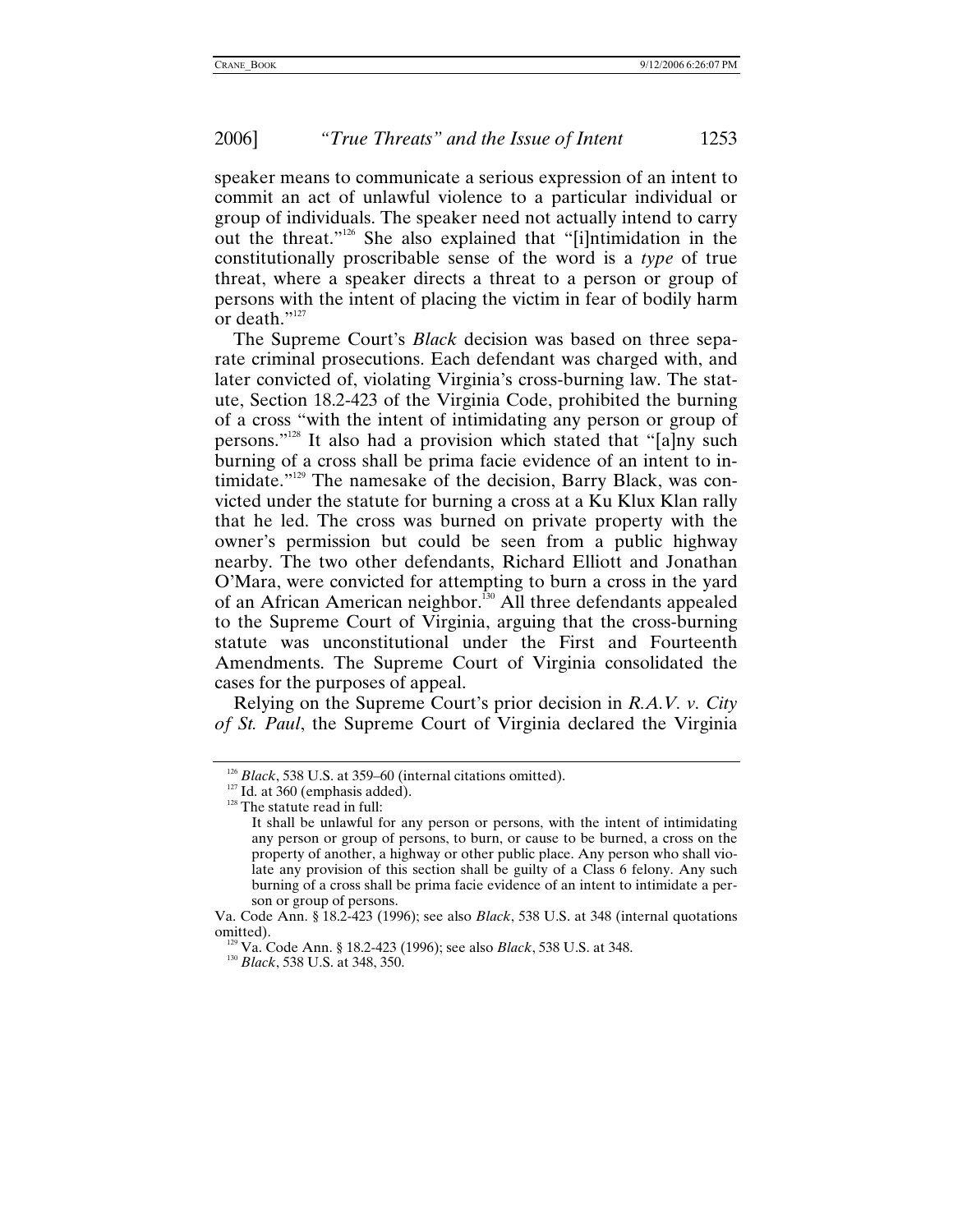speaker means to communicate a serious expression of an intent to commit an act of unlawful violence to a particular individual or group of individuals. The speaker need not actually intend to carry out the threat."[126](#page-29-0) She also explained that "[i]ntimidation in the constitutionally proscribable sense of the word is a *type* of true threat, where a speaker directs a threat to a person or group of persons with the intent of placing the victim in fear of bodily harm or death."<sup>127</sup>

The Supreme Court's *Black* decision was based on three separate criminal prosecutions. Each defendant was charged with, and later convicted of, violating Virginia's cross-burning law. The statute, Section 18.2-423 of the Virginia Code, prohibited the burning of a cross "with the intent of intimidating any person or group of persons.["128](#page-29-2) It also had a provision which stated that "[a]ny such burning of a cross shall be prima facie evidence of an intent to intimidate."<sup>129</sup> The namesake of the decision, Barry Black, was convicted under the statute for burning a cross at a Ku Klux Klan rally that he led. The cross was burned on private property with the owner's permission but could be seen from a public highway nearby. The two other defendants, Richard Elliott and Jonathan O'Mara, were convicted for attempting to burn a cross in the yard of an African American neighbor.[130](#page-29-4) All three defendants appealed to the Supreme Court of Virginia, arguing that the cross-burning statute was unconstitutional under the First and Fourteenth Amendments. The Supreme Court of Virginia consolidated the cases for the purposes of appeal.

Relying on the Supreme Court's prior decision in *R.A.V. v. City of St. Paul*, the Supreme Court of Virginia declared the Virginia

<span id="page-29-0"></span><sup>&</sup>lt;sup>126</sup> *Black*, 538 U.S. at 359–60 (internal citations omitted). <sup>127</sup> Id. at 360 (emphasis added). <sup>128</sup> The statute read in full:

<span id="page-29-1"></span>

<span id="page-29-2"></span>

It shall be unlawful for any person or persons, with the intent of intimidating any person or group of persons, to burn, or cause to be burned, a cross on the property of another, a highway or other public place. Any person who shall violate any provision of this section shall be guilty of a Class 6 felony. Any such burning of a cross shall be prima facie evidence of an intent to intimidate a person or group of persons.

Va. Code Ann. § 18.2-423 (1996); see also *Black*, 538 U.S. at 348 (internal quotations omitted). 129 Va. Code Ann. § 18.2-423 (1996); see also *Black*, 538 U.S. at 348. 130 *Black*, 538 U.S. at 348, 350.

<span id="page-29-4"></span><span id="page-29-3"></span>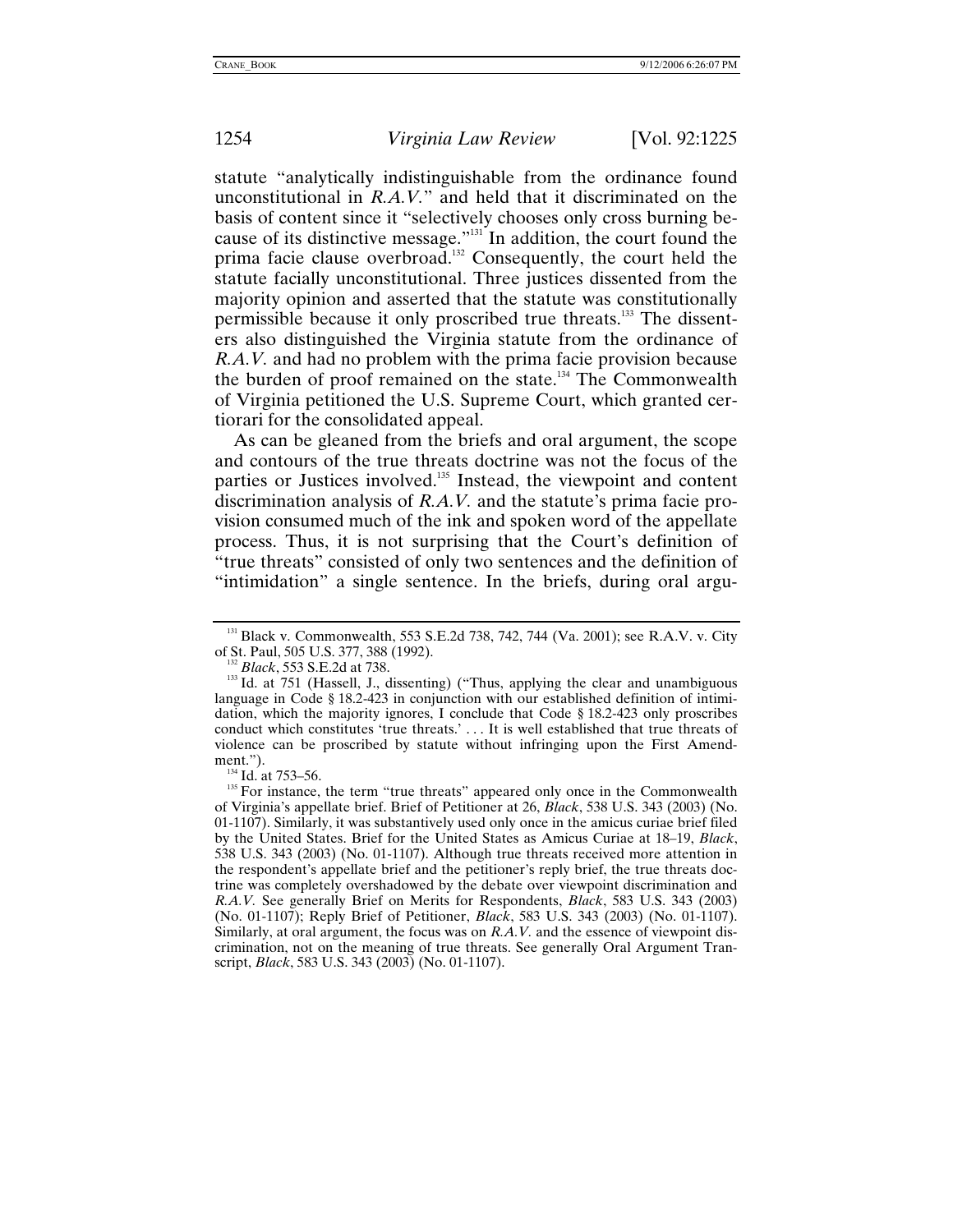statute "analytically indistinguishable from the ordinance found unconstitutional in *R.A.V.*" and held that it discriminated on the basis of content since it "selectively chooses only cross burning because of its distinctive message."<sup>131</sup> In addition, the court found the prima facie clause overbroad.<sup>132</sup> Consequently, the court held the statute facially unconstitutional. Three justices dissented from the majority opinion and asserted that the statute was constitutionally permissible because it only proscribed true threats.<sup>133</sup> The dissenters also distinguished the Virginia statute from the ordinance of *R.A.V.* and had no problem with the prima facie provision because the burden of proof remained on the state.<sup>134</sup> The Commonwealth of Virginia petitioned the U.S. Supreme Court, which granted certiorari for the consolidated appeal.

As can be gleaned from the briefs and oral argument, the scope and contours of the true threats doctrine was not the focus of the parties or Justices involved.[135](#page-30-4) Instead, the viewpoint and content discrimination analysis of *R.A.V.* and the statute's prima facie provision consumed much of the ink and spoken word of the appellate process. Thus, it is not surprising that the Court's definition of "true threats" consisted of only two sentences and the definition of "intimidation" a single sentence. In the briefs, during oral argu-

<span id="page-30-0"></span><sup>&</sup>lt;sup>131</sup> Black v. Commonwealth, 553 S.E.2d 738, 742, 744 (Va. 2001); see R.A.V. v. City

<span id="page-30-2"></span><span id="page-30-1"></span>

of St. Paul, 505 U.S. 377, 388 (1992).<br><sup>132</sup> *Black*, 553 S.E.2d at 738.<br><sup>133</sup> Id. at 751 (Hassell, J., dissenting) ("Thus, applying the clear and unambiguous language in Code § 18.2-423 in conjunction with our established definition of intimidation, which the majority ignores, I conclude that Code § 18.2-423 only proscribes conduct which constitutes 'true threats.' . . . It is well established that true threats of violence can be proscribed by statute without infringing upon the First Amend-

<span id="page-30-4"></span><span id="page-30-3"></span> $134$  Id. at 753–56.<br><sup>135</sup> For instance, the term "true threats" appeared only once in the Commonwealth of Virginia's appellate brief. Brief of Petitioner at 26, *Black*, 538 U.S. 343 (2003) (No. 01-1107). Similarly, it was substantively used only once in the amicus curiae brief filed by the United States. Brief for the United States as Amicus Curiae at 18–19, *Black*, 538 U.S. 343 (2003) (No. 01-1107). Although true threats received more attention in the respondent's appellate brief and the petitioner's reply brief, the true threats doctrine was completely overshadowed by the debate over viewpoint discrimination and *R.A.V.* See generally Brief on Merits for Respondents, *Black*, 583 U.S. 343 (2003) (No. 01-1107); Reply Brief of Petitioner, *Black*, 583 U.S. 343 (2003) (No. 01-1107). Similarly, at oral argument, the focus was on *R.A.V.* and the essence of viewpoint discrimination, not on the meaning of true threats. See generally Oral Argument Transcript, *Black*, 583 U.S. 343 (2003) (No. 01-1107).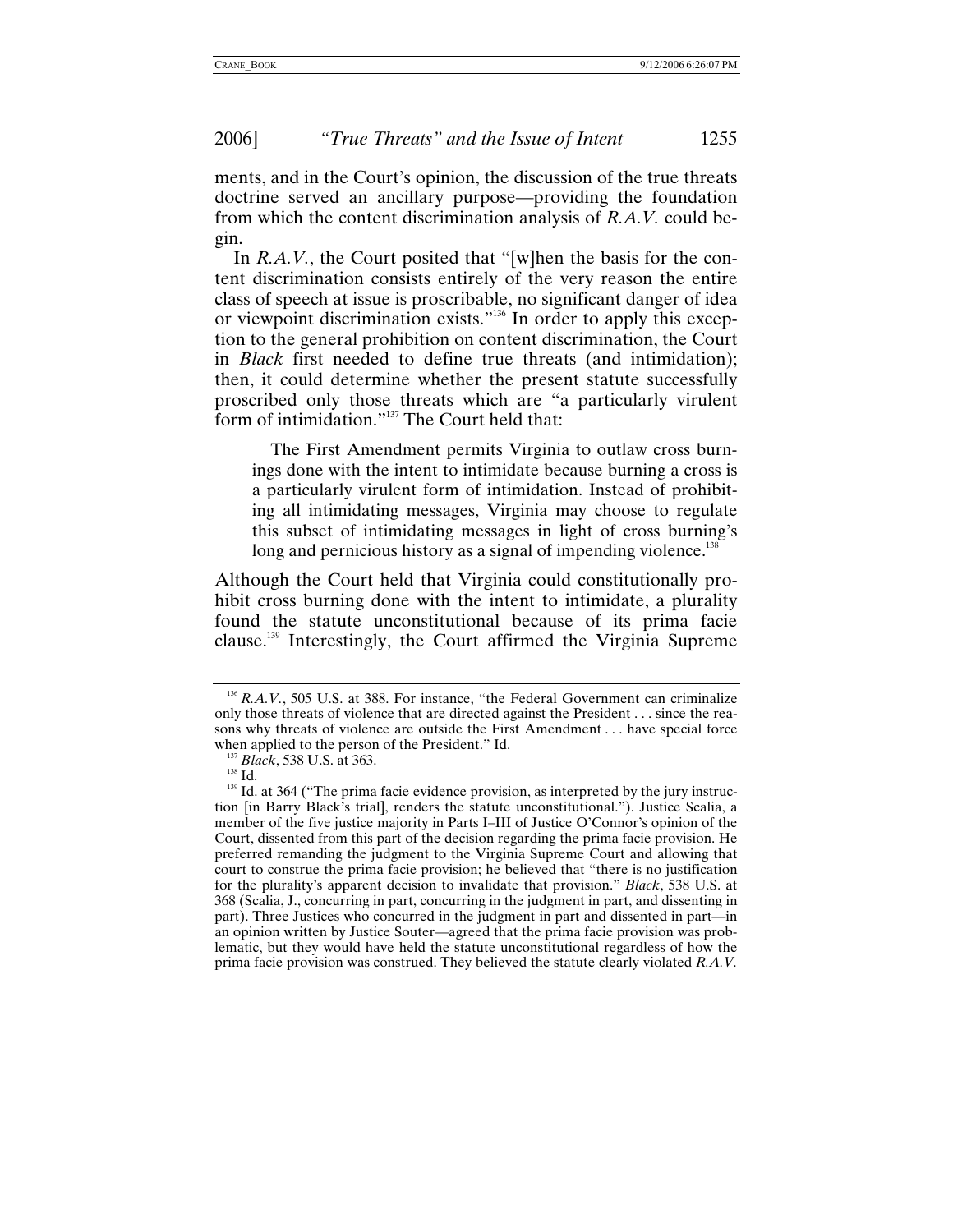ments, and in the Court's opinion, the discussion of the true threats doctrine served an ancillary purpose—providing the foundation from which the content discrimination analysis of *R.A.V.* could begin.

In *R.A.V.*, the Court posited that "[w]hen the basis for the content discrimination consists entirely of the very reason the entire class of speech at issue is proscribable, no significant danger of idea or viewpoint discrimination exists."[136](#page-31-0) In order to apply this exception to the general prohibition on content discrimination, the Court in *Black* first needed to define true threats (and intimidation); then, it could determine whether the present statute successfully proscribed only those threats which are "a particularly virulent form of intimidation.["137](#page-31-1) The Court held that:

The First Amendment permits Virginia to outlaw cross burnings done with the intent to intimidate because burning a cross is a particularly virulent form of intimidation. Instead of prohibiting all intimidating messages, Virginia may choose to regulate this subset of intimidating messages in light of cross burning's long and pernicious history as a signal of impending violence.<sup>[138](#page-31-2)</sup>

Although the Court held that Virginia could constitutionally prohibit cross burning done with the intent to intimidate, a plurality found the statute unconstitutional because of its prima facie clause.[139](#page-31-3) Interestingly, the Court affirmed the Virginia Supreme

<span id="page-31-0"></span><sup>&</sup>lt;sup>136</sup> *R.A.V.*, 505 U.S. at 388. For instance, "the Federal Government can criminalize only those threats of violence that are directed against the President . . . since the reasons why threats of violence are outside the First Amendment . . . have special force

<span id="page-31-1"></span>

<span id="page-31-3"></span><span id="page-31-2"></span>

when applied to the person of the President." Id. <sup>137</sup> *Black*, 538 U.S. at 363. <sup>138</sup> Id. <sup>138</sup> Id. at 364 ("The prima facie evidence provision, as interpreted by the jury instruc-<br><sup>139</sup> Id. at 364 ("The prima facie evid tion [in Barry Black's trial], renders the statute unconstitutional."). Justice Scalia, a member of the five justice majority in Parts I–III of Justice O'Connor's opinion of the Court, dissented from this part of the decision regarding the prima facie provision. He preferred remanding the judgment to the Virginia Supreme Court and allowing that court to construe the prima facie provision; he believed that "there is no justification for the plurality's apparent decision to invalidate that provision." *Black*, 538 U.S. at 368 (Scalia, J., concurring in part, concurring in the judgment in part, and dissenting in part). Three Justices who concurred in the judgment in part and dissented in part—in an opinion written by Justice Souter—agreed that the prima facie provision was problematic, but they would have held the statute unconstitutional regardless of how the prima facie provision was construed. They believed the statute clearly violated *R.A.V.*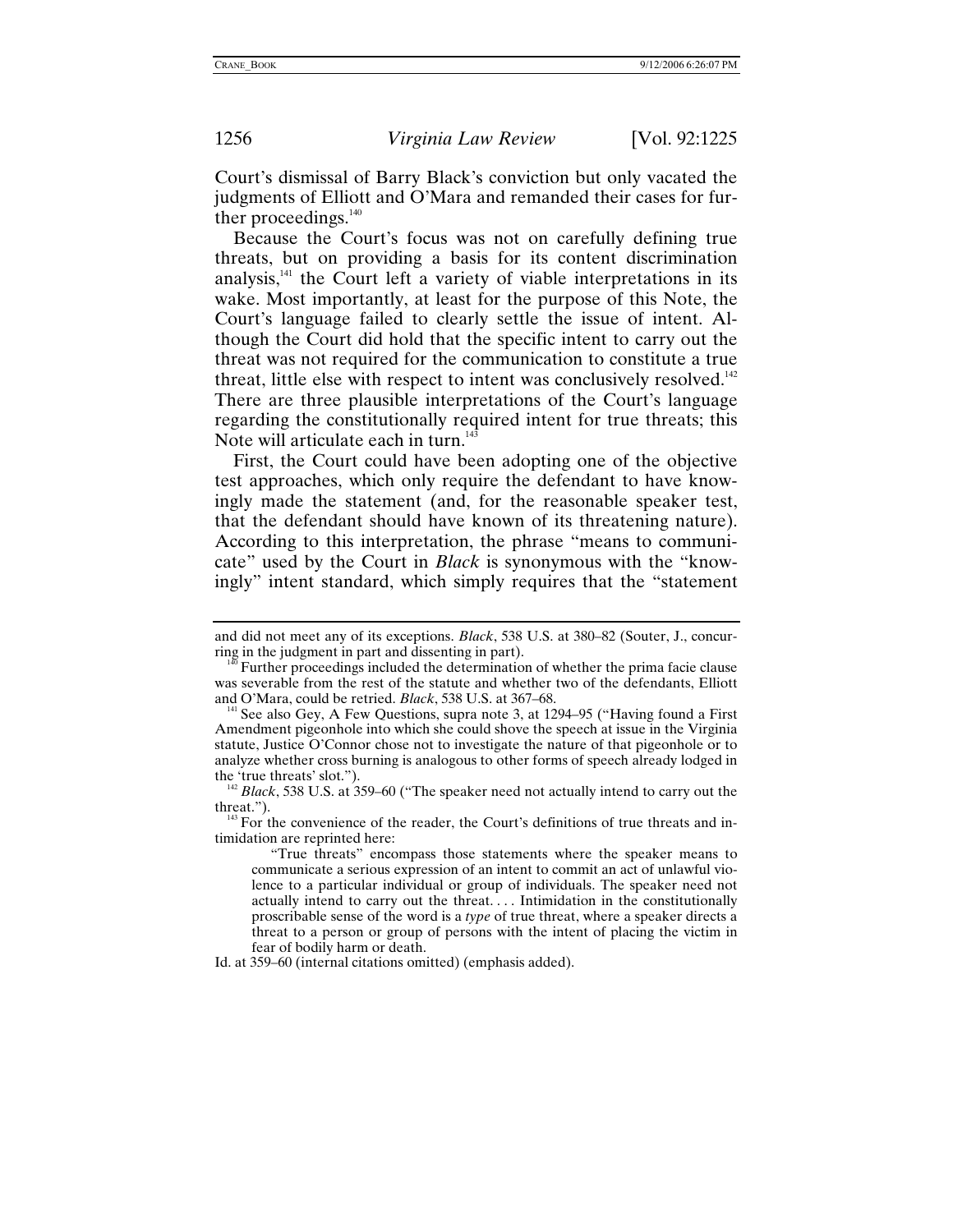Court's dismissal of Barry Black's conviction but only vacated the judgments of Elliott and O'Mara and remanded their cases for further proceedings. $140$ 

Because the Court's focus was not on carefully defining true threats, but on providing a basis for its content discrimination analysis, $141$  the Court left a variety of viable interpretations in its wake. Most importantly, at least for the purpose of this Note, the Court's language failed to clearly settle the issue of intent. Although the Court did hold that the specific intent to carry out the threat was not required for the communication to constitute a true threat, little else with respect to intent was conclusively resolved.<sup>142</sup> There are three plausible interpretations of the Court's language regarding the constitutionally required intent for true threats; this Note will articulate each in turn.<sup>143</sup>

First, the Court could have been adopting one of the objective test approaches, which only require the defendant to have knowingly made the statement (and, for the reasonable speaker test, that the defendant should have known of its threatening nature). According to this interpretation, the phrase "means to communicate" used by the Court in *Black* is synonymous with the "knowingly" intent standard, which simply requires that the "statement

Id. at 359–60 (internal citations omitted) (emphasis added).

and did not meet any of its exceptions. *Black*, 538 U.S. at 380–82 (Souter, J., concur-

<span id="page-32-0"></span>Further proceedings included the determination of whether the prima facie clause was severable from the rest of the statute and whether two of the defendants, Elliott and O'Mara, could be retried. *Black*, 538 U.S. at 367–68.

<span id="page-32-1"></span><sup>&</sup>lt;sup>141</sup> See also Gey, A Few Questions, supra note 3, at 1294–95 ("Having found a First Amendment pigeonhole into which she could shove the speech at issue in the Virginia statute, Justice O'Connor chose not to investigate the nature of that pigeonhole or to analyze whether cross burning is analogous to other forms of speech already lodged in the 'true threats' slot."). 142 *Black*, 538 U.S. at 359–60 ("The speaker need not actually intend to carry out the

<span id="page-32-2"></span>threat.").  $143$  For the convenience of the reader, the Court's definitions of true threats and in-

<span id="page-32-3"></span>timidation are reprinted here:

<sup>&</sup>quot;True threats" encompass those statements where the speaker means to communicate a serious expression of an intent to commit an act of unlawful violence to a particular individual or group of individuals. The speaker need not actually intend to carry out the threat. . . . Intimidation in the constitutionally proscribable sense of the word is a *type* of true threat, where a speaker directs a threat to a person or group of persons with the intent of placing the victim in fear of bodily harm or death.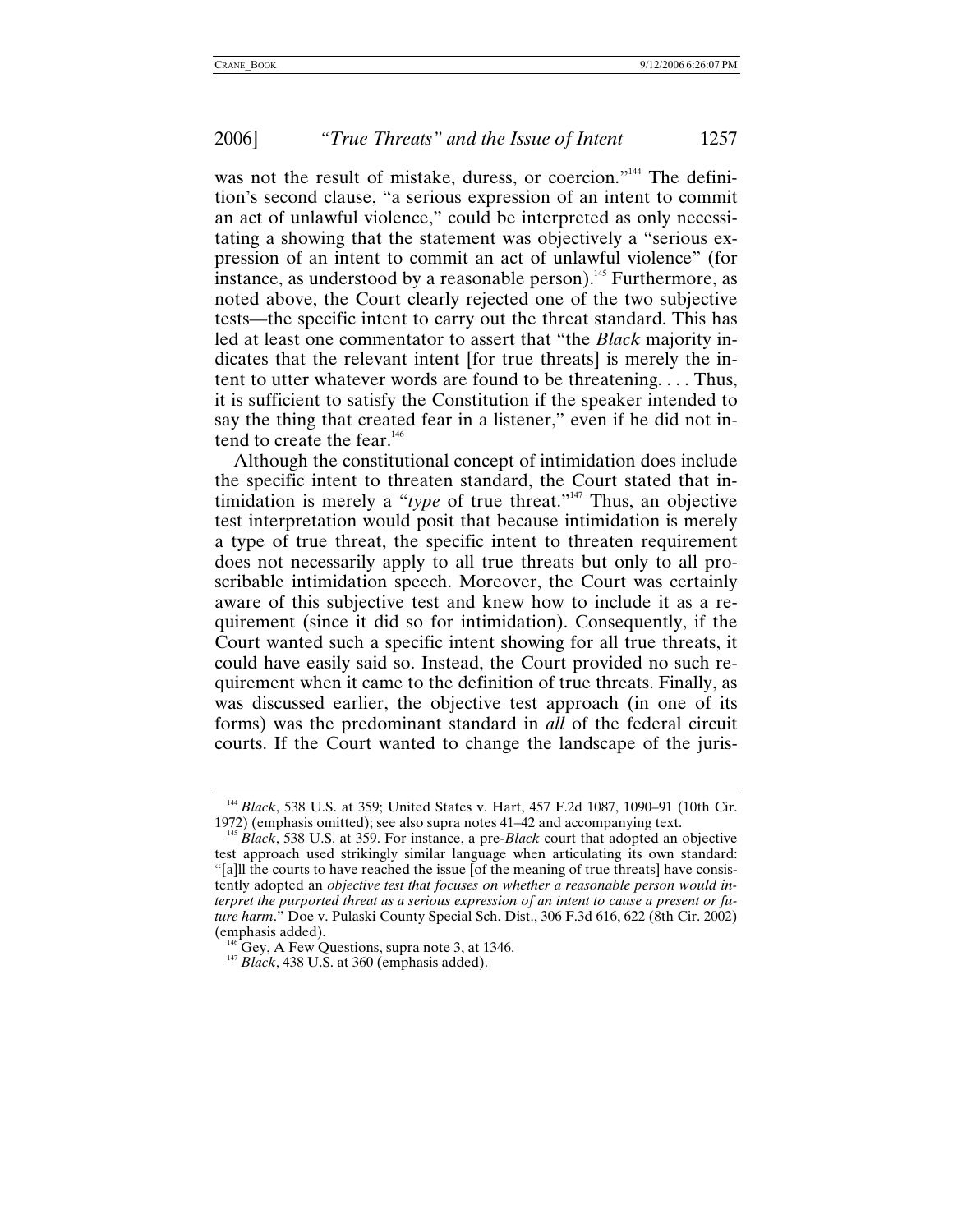was not the result of mistake, duress, or coercion."<sup>144</sup> The definition's second clause, "a serious expression of an intent to commit an act of unlawful violence," could be interpreted as only necessitating a showing that the statement was objectively a "serious expression of an intent to commit an act of unlawful violence" (for instance, as understood by a reasonable person).<sup>145</sup> Furthermore, as noted above, the Court clearly rejected one of the two subjective tests—the specific intent to carry out the threat standard. This has led at least one commentator to assert that "the *Black* majority indicates that the relevant intent [for true threats] is merely the intent to utter whatever words are found to be threatening. . . . Thus, it is sufficient to satisfy the Constitution if the speaker intended to say the thing that created fear in a listener," even if he did not intend to create the fear. $146$ 

Although the constitutional concept of intimidation does include the specific intent to threaten standard, the Court stated that intimidation is merely a "*type* of true threat."<sup>147</sup> Thus, an objective test interpretation would posit that because intimidation is merely a type of true threat, the specific intent to threaten requirement does not necessarily apply to all true threats but only to all proscribable intimidation speech. Moreover, the Court was certainly aware of this subjective test and knew how to include it as a requirement (since it did so for intimidation). Consequently, if the Court wanted such a specific intent showing for all true threats, it could have easily said so. Instead, the Court provided no such requirement when it came to the definition of true threats. Finally, as was discussed earlier, the objective test approach (in one of its forms) was the predominant standard in *all* of the federal circuit courts. If the Court wanted to change the landscape of the juris-

<span id="page-33-0"></span><sup>&</sup>lt;sup>144</sup> *Black*, 538 U.S. at 359; United States v. Hart, 457 F.2d 1087, 1090–91 (10th Cir. 1972) (emphasis omitted); see also supra notes 41–42 and accompanying text.

<span id="page-33-1"></span><sup>&</sup>lt;sup>145</sup> Black, 538 U.S. at 359. For instance, a pre-*Black* court that adopted an objective test approach used strikingly similar language when articulating its own standard: "[a]ll the courts to have reached the issue [of the meaning of true threats] have consistently adopted an *objective test that focuses on whether a reasonable person would interpret the purported threat as a serious expression of an intent to cause a present or future harm*." Doe v. Pulaski County Special Sch. Dist., 306 F.3d 616, 622 (8th Cir. 2002)

<span id="page-33-3"></span><span id="page-33-2"></span><sup>&</sup>lt;sup>146</sup> Gey, A Few Questions, supra note 3, at 1346. <sup>147</sup> *Black*, 438 U.S. at 360 (emphasis added).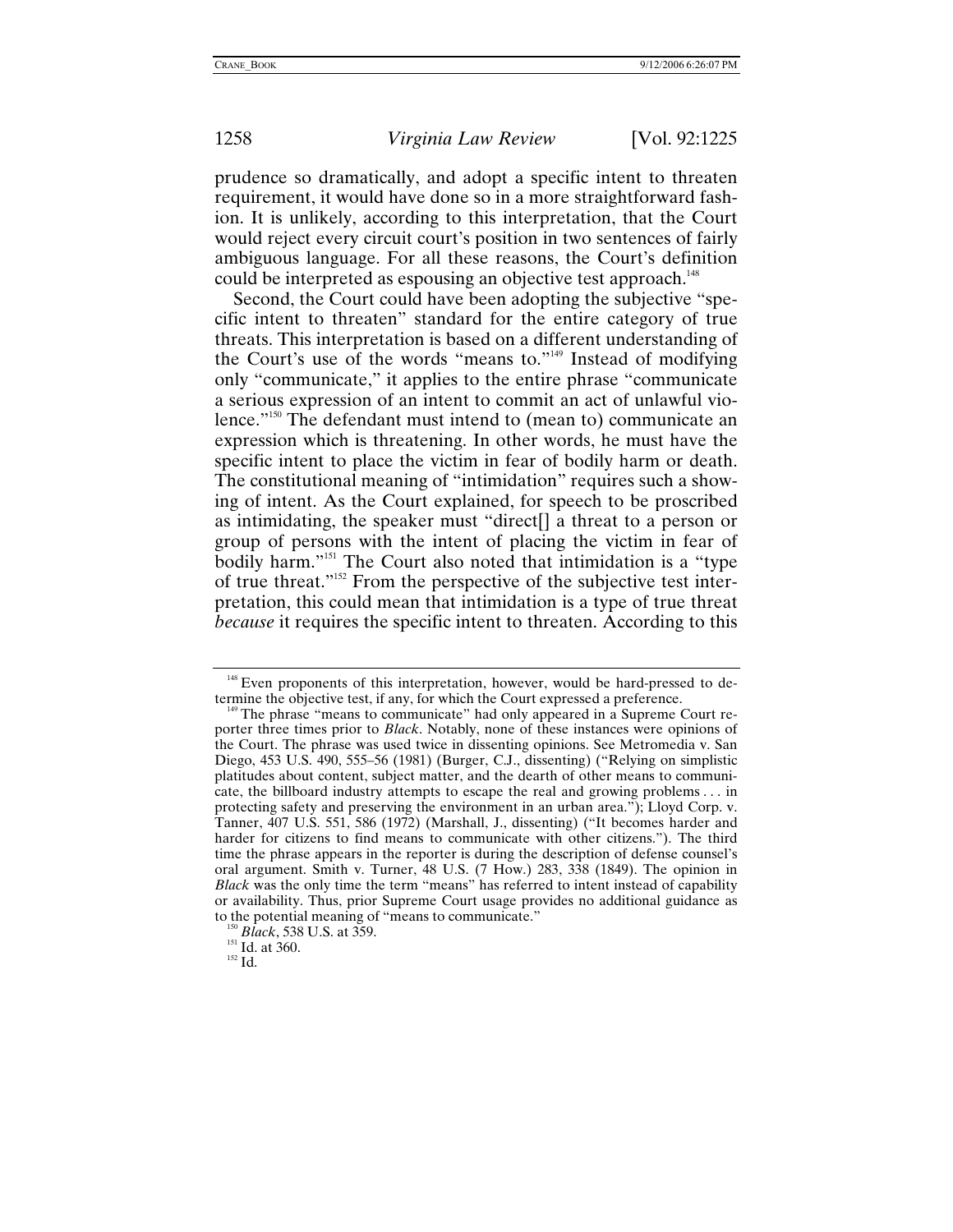prudence so dramatically, and adopt a specific intent to threaten requirement, it would have done so in a more straightforward fashion. It is unlikely, according to this interpretation, that the Court would reject every circuit court's position in two sentences of fairly ambiguous language. For all these reasons, the Court's definition could be interpreted as espousing an objective test approach.<sup>148</sup>

Second, the Court could have been adopting the subjective "specific intent to threaten" standard for the entire category of true threats. This interpretation is based on a different understanding of the Court's use of the words "means to."[149](#page-34-1) Instead of modifying only "communicate," it applies to the entire phrase "communicate a serious expression of an intent to commit an act of unlawful violence."[150](#page-34-2) The defendant must intend to (mean to) communicate an expression which is threatening. In other words, he must have the specific intent to place the victim in fear of bodily harm or death. The constitutional meaning of "intimidation" requires such a showing of intent. As the Court explained, for speech to be proscribed as intimidating, the speaker must "direct[] a threat to a person or group of persons with the intent of placing the victim in fear of bodily harm."<sup>151</sup> The Court also noted that intimidation is a "type of true threat."[152](#page-34-4) From the perspective of the subjective test interpretation, this could mean that intimidation is a type of true threat *because* it requires the specific intent to threaten. According to this

<span id="page-34-0"></span> $148$  Even proponents of this interpretation, however, would be hard-pressed to determine the objective test, if any, for which the Court expressed a preference.

<span id="page-34-1"></span> $t_{\text{49}}$  The phrase "means to communicate" had only appeared in a Supreme Court reporter three times prior to *Black*. Notably, none of these instances were opinions of the Court. The phrase was used twice in dissenting opinions. See Metromedia v. San Diego, 453 U.S. 490, 555–56 (1981) (Burger, C.J., dissenting) ("Relying on simplistic platitudes about content, subject matter, and the dearth of other means to communicate, the billboard industry attempts to escape the real and growing problems . . . in protecting safety and preserving the environment in an urban area."); Lloyd Corp. v. Tanner, 407 U.S. 551, 586 (1972) (Marshall, J., dissenting) ("It becomes harder and harder for citizens to find means to communicate with other citizens."). The third time the phrase appears in the reporter is during the description of defense counsel's oral argument. Smith v. Turner, 48 U.S. (7 How.) 283, 338 (1849). The opinion in *Black* was the only time the term "means" has referred to intent instead of capability or availability. Thus, prior Supreme Court usage provides no additional guidance as to the potential meaning of "means to communicate."<br><sup>150</sup> *Black*, 538 U.S. at 359. <sup>151</sup> Id. at 360. <sup>152</sup> Id.

<span id="page-34-2"></span>

<span id="page-34-3"></span>

<span id="page-34-4"></span>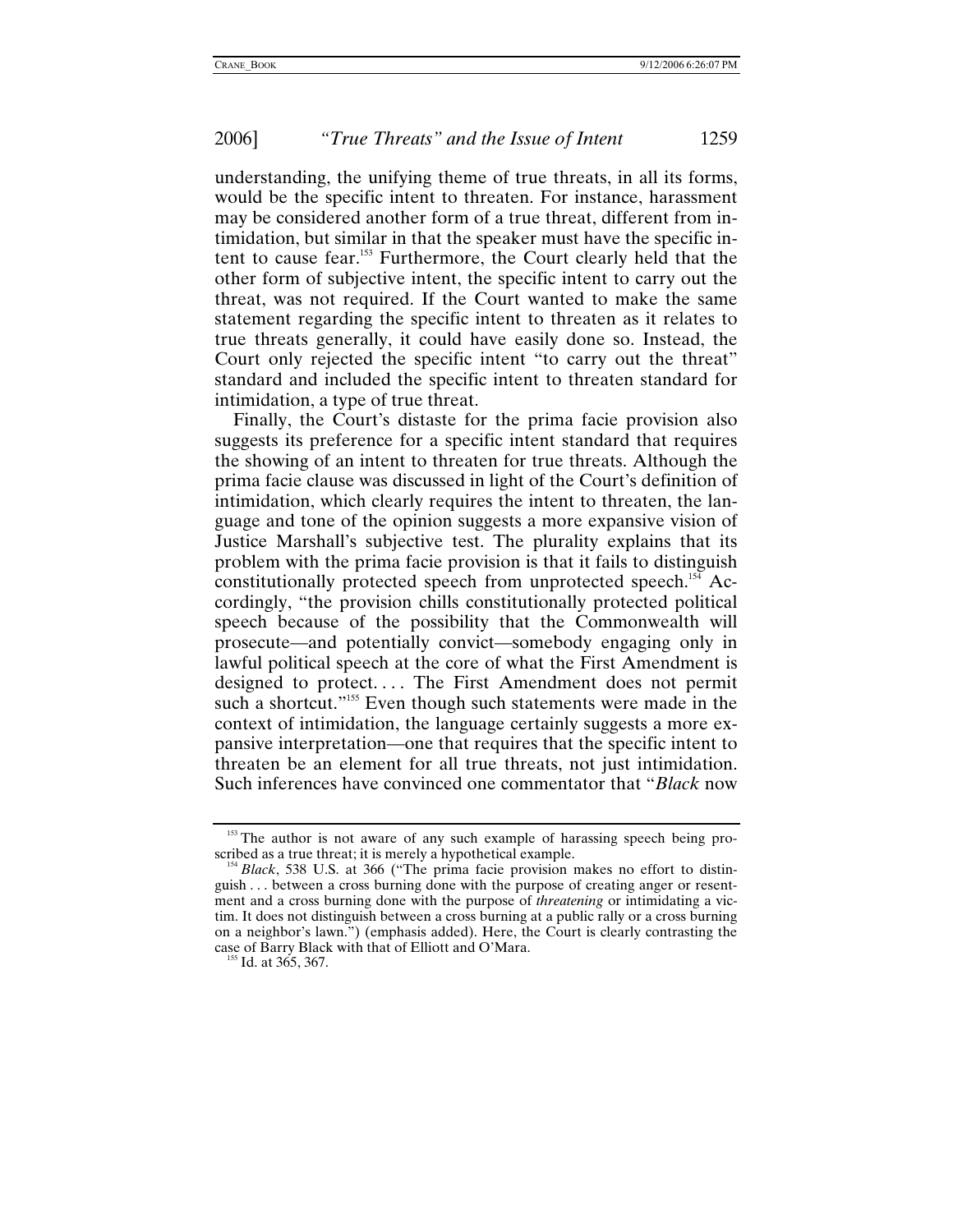understanding, the unifying theme of true threats, in all its forms, would be the specific intent to threaten. For instance, harassment may be considered another form of a true threat, different from intimidation, but similar in that the speaker must have the specific intent to cause fear.[153](#page-35-0) Furthermore, the Court clearly held that the other form of subjective intent, the specific intent to carry out the threat, was not required. If the Court wanted to make the same statement regarding the specific intent to threaten as it relates to true threats generally, it could have easily done so. Instead, the Court only rejected the specific intent "to carry out the threat" standard and included the specific intent to threaten standard for intimidation, a type of true threat.

Finally, the Court's distaste for the prima facie provision also suggests its preference for a specific intent standard that requires the showing of an intent to threaten for true threats. Although the prima facie clause was discussed in light of the Court's definition of intimidation, which clearly requires the intent to threaten, the language and tone of the opinion suggests a more expansive vision of Justice Marshall's subjective test. The plurality explains that its problem with the prima facie provision is that it fails to distinguish constitutionally protected speech from unprotected speech.<sup>154</sup> Accordingly, "the provision chills constitutionally protected political speech because of the possibility that the Commonwealth will prosecute—and potentially convict—somebody engaging only in lawful political speech at the core of what the First Amendment is designed to protect. . . . The First Amendment does not permit such a shortcut."<sup>155</sup> Even though such statements were made in the context of intimidation, the language certainly suggests a more expansive interpretation—one that requires that the specific intent to threaten be an element for all true threats, not just intimidation. Such inferences have convinced one commentator that "*Black* now

<span id="page-35-0"></span> $153$  The author is not aware of any such example of harassing speech being pro-<br>scribed as a true threat; it is merely a hypothetical example.

<span id="page-35-1"></span><sup>&</sup>lt;sup>154</sup> Black, 538 U.S. at 366 ("The prima facie provision makes no effort to distinguish . . . between a cross burning done with the purpose of creating anger or resentment and a cross burning done with the purpose of *threatening* or intimidating a victim. It does not distinguish between a cross burning at a public rally or a cross burning on a neighbor's lawn.") (emphasis added). Here, the Court is clearly contrasting the case of Barry Black with that of Elliott and O'Mara. 155 Id. at 365, 367.

<span id="page-35-2"></span>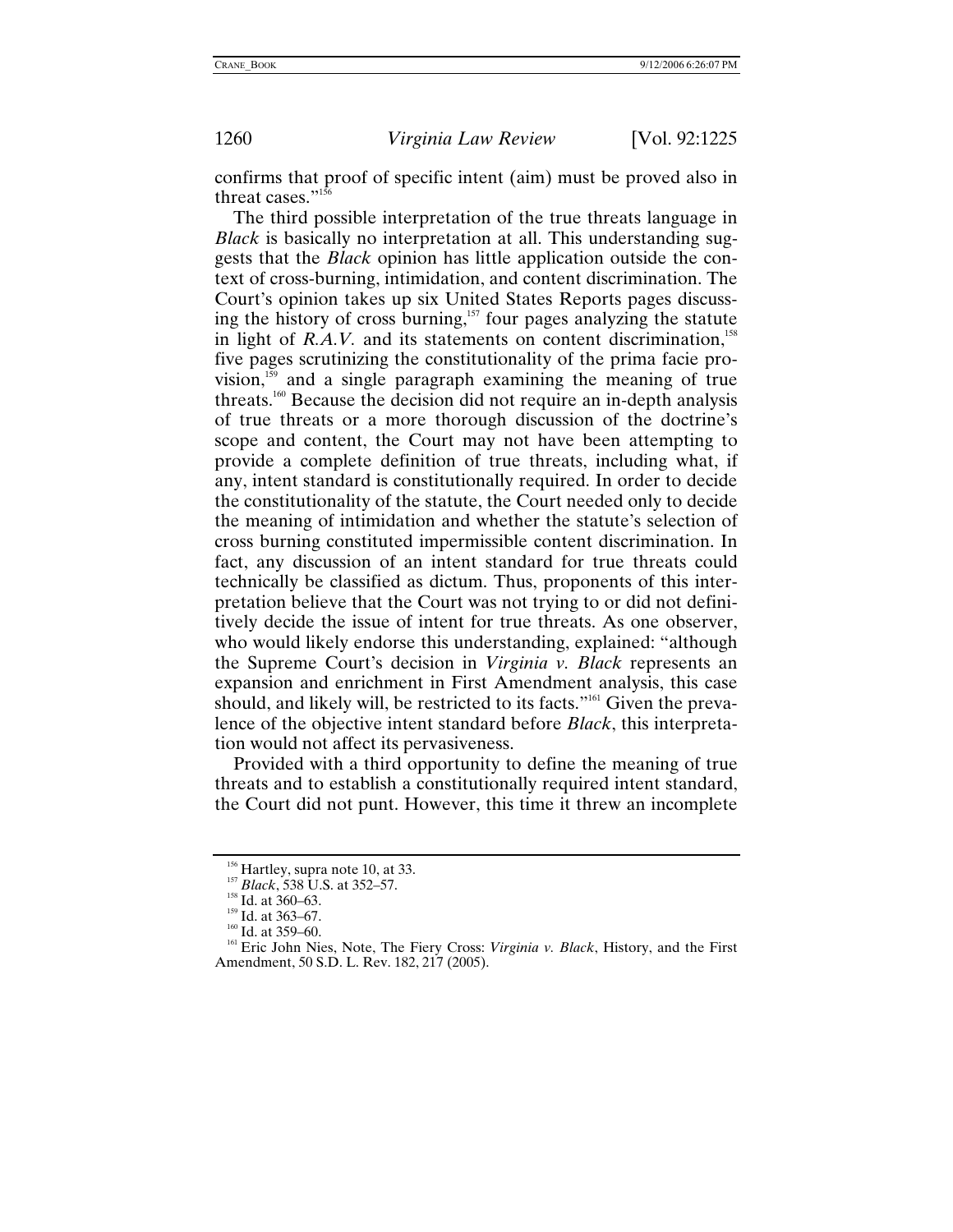confirms that proof of specific intent (aim) must be proved also in threat cases."<sup>11</sup>

The third possible interpretation of the true threats language in *Black* is basically no interpretation at all. This understanding suggests that the *Black* opinion has little application outside the context of cross-burning, intimidation, and content discrimination. The Court's opinion takes up six United States Reports pages discussing the history of cross burning,<sup>157</sup> four pages analyzing the statute in light of  $R.A.V.$  and its statements on content discrimination,<sup>158</sup> five pages scrutinizing the constitutionality of the prima facie provision,<sup>159</sup> and a single paragraph examining the meaning of true threats.<sup>160</sup> Because the decision did not require an in-depth analysis of true threats or a more thorough discussion of the doctrine's scope and content, the Court may not have been attempting to provide a complete definition of true threats, including what, if any, intent standard is constitutionally required. In order to decide the constitutionality of the statute, the Court needed only to decide the meaning of intimidation and whether the statute's selection of cross burning constituted impermissible content discrimination. In fact, any discussion of an intent standard for true threats could technically be classified as dictum. Thus, proponents of this interpretation believe that the Court was not trying to or did not definitively decide the issue of intent for true threats. As one observer, who would likely endorse this understanding, explained: "although the Supreme Court's decision in *Virginia v. Black* represents an expansion and enrichment in First Amendment analysis, this case should, and likely will, be restricted to its facts."<sup>161</sup> Given the prevalence of the objective intent standard before *Black*, this interpretation would not affect its pervasiveness.

Provided with a third opportunity to define the meaning of true threats and to establish a constitutionally required intent standard, the Court did not punt. However, this time it threw an incomplete

<span id="page-36-1"></span>

<span id="page-36-2"></span>

<span id="page-36-3"></span>

<span id="page-36-5"></span><span id="page-36-4"></span>

<span id="page-36-0"></span><sup>&</sup>lt;sup>156</sup> Hartley, supra note 10, at 33.<br><sup>157</sup> *Black*, 538 U.S. at 352–57.<br><sup>158</sup> Id. at 360–63.<br><sup>159</sup> Id. at 363–67.<br><sup>160</sup> Id. at 359–60. <sup>161</sup> Eric John Nies, Note, The Fiery Cross: *Virginia v. Black*, History, and the Firs Amendment, 50 S.D. L. Rev. 182, 217 (2005).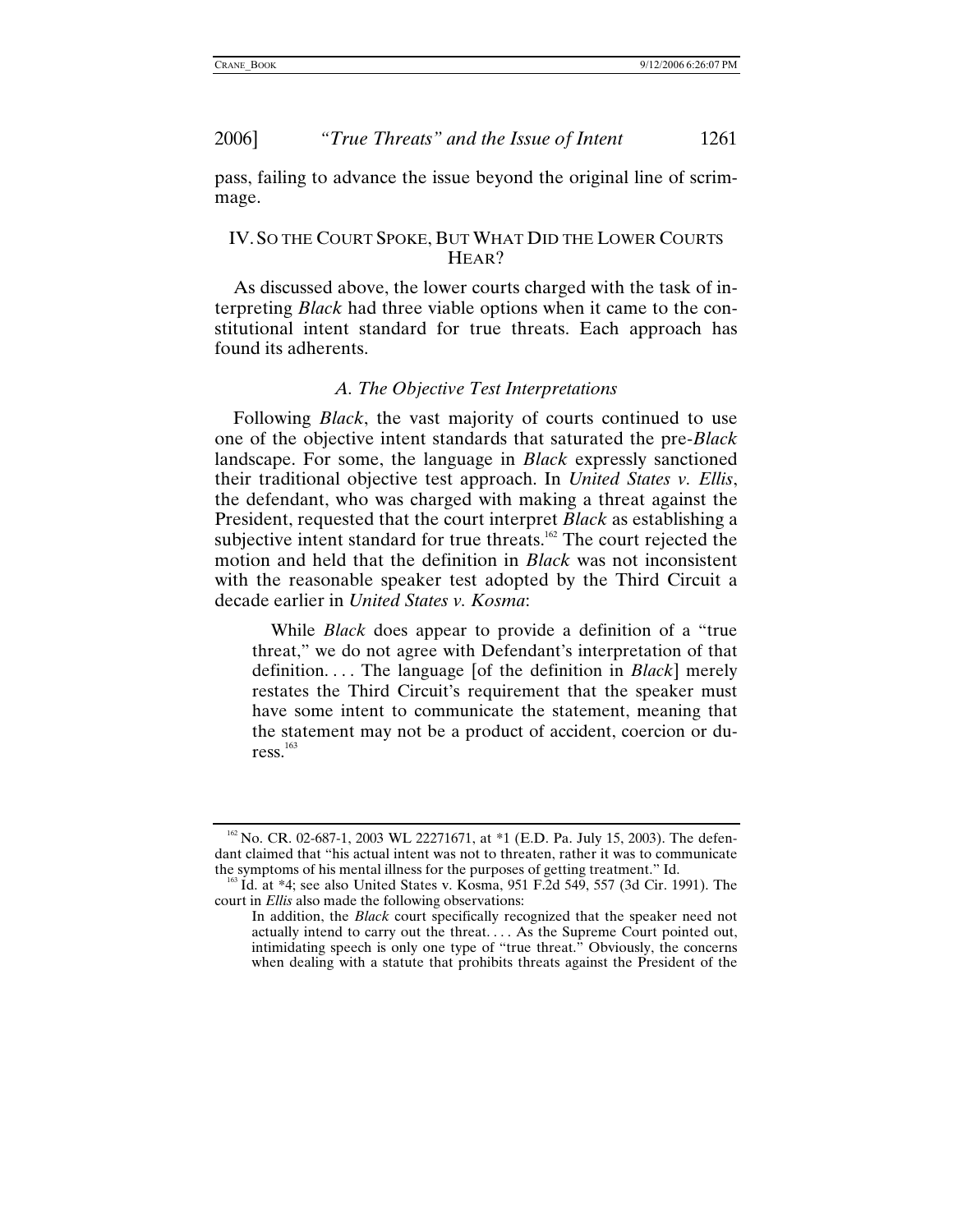<span id="page-37-0"></span>pass, failing to advance the issue beyond the original line of scrimmage.

# IV. SO THE COURT SPOKE, BUT WHAT DID THE LOWER COURTS HEAR?

As discussed above, the lower courts charged with the task of interpreting *Black* had three viable options when it came to the constitutional intent standard for true threats. Each approach has found its adherents.

### *A. The Objective Test Interpretations*

Following *Black*, the vast majority of courts continued to use one of the objective intent standards that saturated the pre-*Black* landscape. For some, the language in *Black* expressly sanctioned their traditional objective test approach. In *United States v. Ellis*, the defendant, who was charged with making a threat against the President, requested that the court interpret *Black* as establishing a subjective intent standard for true threats.<sup>162</sup> The court rejected the motion and held that the definition in *Black* was not inconsistent with the reasonable speaker test adopted by the Third Circuit a decade earlier in *United States v. Kosma*:

While *Black* does appear to provide a definition of a "true threat," we do not agree with Defendant's interpretation of that definition. . . . The language [of the definition in *Black*] merely restates the Third Circuit's requirement that the speaker must have some intent to communicate the statement, meaning that the statement may not be a product of accident, coercion or du $ress.<sup>163</sup>$ 

<span id="page-37-1"></span><sup>&</sup>lt;sup>162</sup> No. CR. 02-687-1, 2003 WL 22271671, at \*1 (E.D. Pa. July 15, 2003). The defendant claimed that "his actual intent was not to threaten, rather it was to communicate the symptoms of his mental illness for the purposes of getting treatment." Id. <sup>163</sup> Id. at \*4; see also United States v. Kosma, 951 F.2d 549, 557 (3d Cir. 1991). The

<span id="page-37-2"></span>court in *Ellis* also made the following observations:

In addition, the *Black* court specifically recognized that the speaker need not actually intend to carry out the threat. . . . As the Supreme Court pointed out, intimidating speech is only one type of "true threat." Obviously, the concerns when dealing with a statute that prohibits threats against the President of the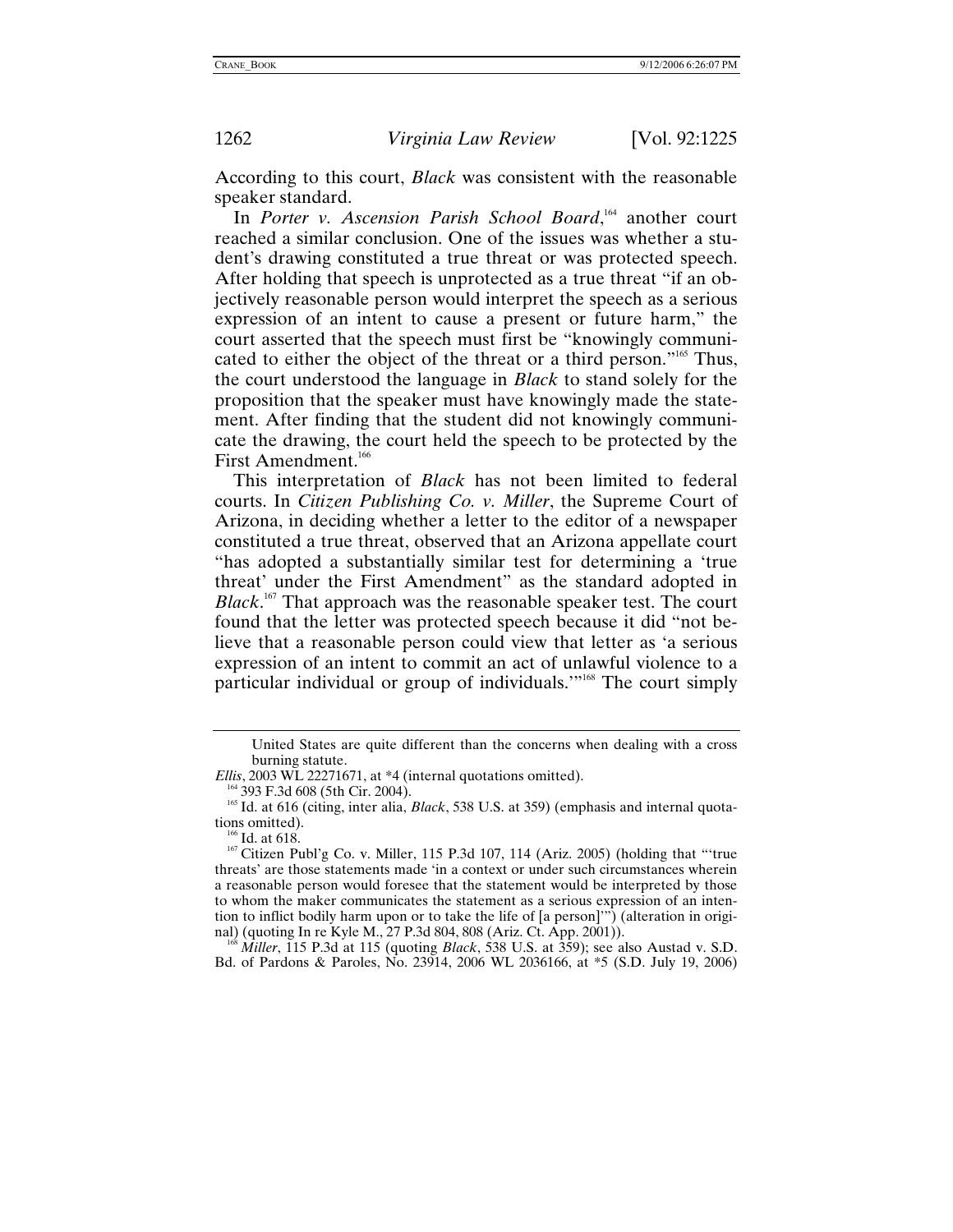According to this court, *Black* was consistent with the reasonable speaker standard.

In *Porter v. Ascension Parish School Board*,<sup>164</sup> another court reached a similar conclusion. One of the issues was whether a student's drawing constituted a true threat or was protected speech. After holding that speech is unprotected as a true threat "if an objectively reasonable person would interpret the speech as a serious expression of an intent to cause a present or future harm," the court asserted that the speech must first be "knowingly communicated to either the object of the threat or a third person.["165](#page-38-1) Thus, the court understood the language in *Black* to stand solely for the proposition that the speaker must have knowingly made the statement. After finding that the student did not knowingly communicate the drawing, the court held the speech to be protected by the First Amendment.<sup>166</sup>

This interpretation of *Black* has not been limited to federal courts. In *Citizen Publishing Co. v. Miller*, the Supreme Court of Arizona, in deciding whether a letter to the editor of a newspaper constituted a true threat, observed that an Arizona appellate court "has adopted a substantially similar test for determining a 'true threat' under the First Amendment" as the standard adopted in *Black*.<sup>167</sup> That approach was the reasonable speaker test. The court found that the letter was protected speech because it did "not believe that a reasonable person could view that letter as 'a serious expression of an intent to commit an act of unlawful violence to a particular individual or group of individuals.'["168](#page-38-4) The court simply

United States are quite different than the concerns when dealing with a cross burning statute.

<span id="page-38-1"></span><span id="page-38-0"></span>

*Ellis*, 2003 WL 22271671, at \*4 (internal quotations omitted).<br><sup>164</sup> 393 F.3d 608 (5th Cir. 2004).<br><sup>165</sup> Id. at 616 (citing, inter alia, *Black*, 538 U.S. at 359) (emphasis and internal quota-<br>tions omitted).

<span id="page-38-3"></span>

<span id="page-38-2"></span><sup>&</sup>lt;sup>166</sup> Id. at 618.<br><sup>167</sup> Citizen Publ'g Co. v. Miller, 115 P.3d 107, 114 (Ariz. 2005) (holding that "'true threats' are those statements made 'in a context or under such circumstances wherein a reasonable person would foresee that the statement would be interpreted by those to whom the maker communicates the statement as a serious expression of an intention to inflict bodily harm upon or to take the life of [a person]'") (alteration in original) (quoting In re Kyle M., 27 P.3d 804, 808 (Ariz. Ct. App. 2001)).

<span id="page-38-4"></span>Miller, 115 P.3d at 115 (quoting *Black*, 538 U.S. at 359); see also Austad v. S.D. Bd. of Pardons & Paroles, No. 23914, 2006 WL 2036166, at \*5 (S.D. July 19, 2006)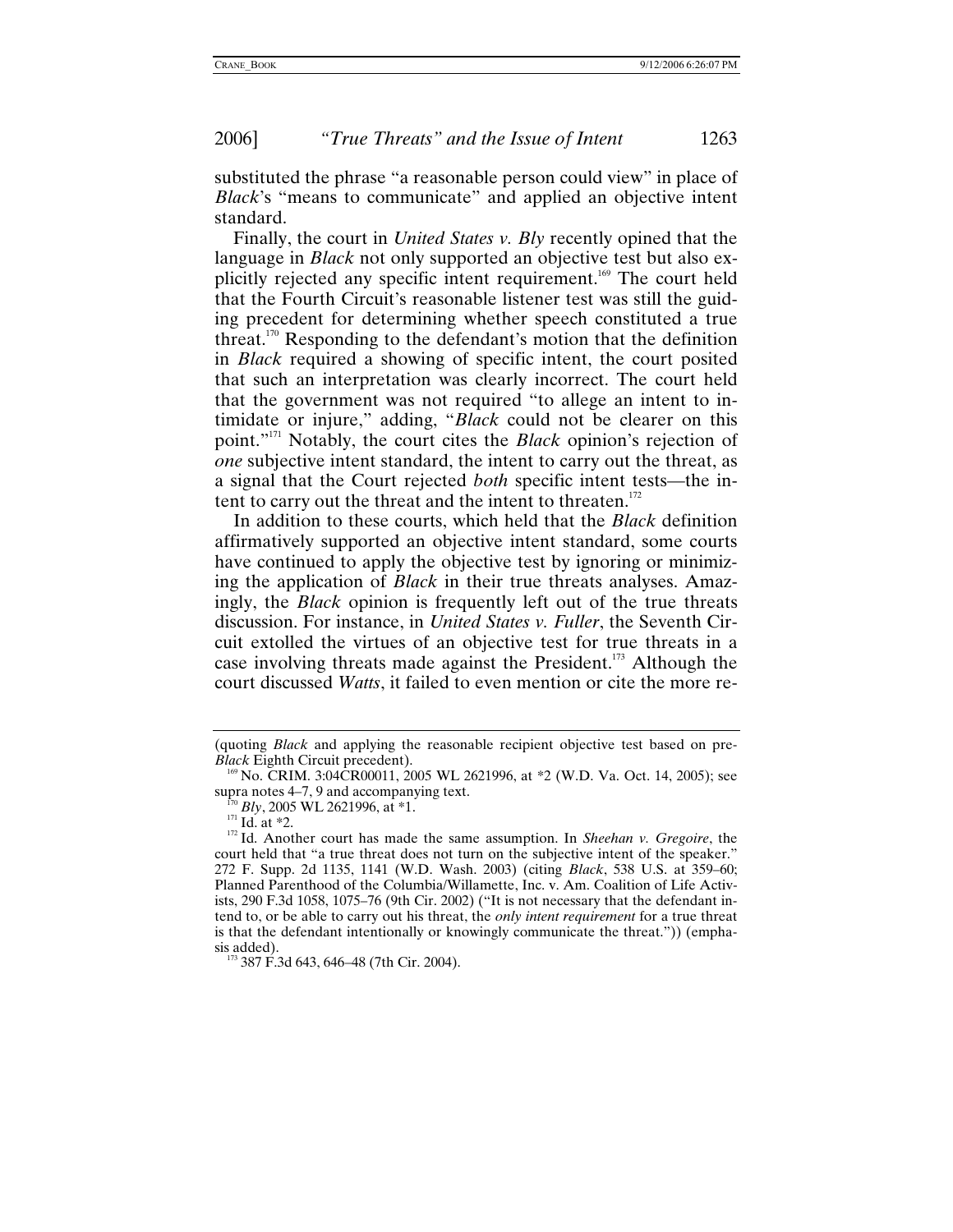substituted the phrase "a reasonable person could view" in place of *Black*'s "means to communicate" and applied an objective intent standard.

Finally, the court in *United States v. Bly* recently opined that the language in *Black* not only supported an objective test but also explicitly rejected any specific intent requirement.<sup>169</sup> The court held that the Fourth Circuit's reasonable listener test was still the guiding precedent for determining whether speech constituted a true threat.<sup>170</sup> Responding to the defendant's motion that the definition in *Black* required a showing of specific intent, the court posited that such an interpretation was clearly incorrect. The court held that the government was not required "to allege an intent to intimidate or injure," adding, "*Black* could not be clearer on this point."[171](#page-39-2) Notably, the court cites the *Black* opinion's rejection of *one* subjective intent standard, the intent to carry out the threat, as a signal that the Court rejected *both* specific intent tests—the intent to carry out the threat and the intent to threaten.<sup>172</sup>

In addition to these courts, which held that the *Black* definition affirmatively supported an objective intent standard, some courts have continued to apply the objective test by ignoring or minimizing the application of *Black* in their true threats analyses. Amazingly, the *Black* opinion is frequently left out of the true threats discussion. For instance, in *United States v. Fuller*, the Seventh Circuit extolled the virtues of an objective test for true threats in a case involving threats made against the President.[173](#page-39-4) Although the court discussed *Watts*, it failed to even mention or cite the more re-

<sup>(</sup>quoting *Black* and applying the reasonable recipient objective test based on pre-

<span id="page-39-0"></span><sup>&</sup>lt;sup>169</sup> No. CRIM. 3:04CR00011, 2005 WL 2621996, at \*2 (W.D. Va. Oct. 14, 2005); see

<span id="page-39-3"></span><span id="page-39-2"></span>

<span id="page-39-1"></span>supra notes 4–7, 9 and accompanying text.<br><sup>170</sup> *Bly*, 2005 WL 2621996, at \*1.<br><sup>171</sup> Id. at \*2.<br><sup>172</sup> Id. Another court has made the same assumption. In *Sheehan v. Gregoire*, the court held that "a true threat does not turn on the subjective intent of the speaker." 272 F. Supp. 2d 1135, 1141 (W.D. Wash. 2003) (citing *Black*, 538 U.S. at 359–60; Planned Parenthood of the Columbia/Willamette, Inc. v. Am. Coalition of Life Activists, 290 F.3d 1058, 1075–76 (9th Cir. 2002) ("It is not necessary that the defendant intend to, or be able to carry out his threat, the *only intent requirement* for a true threat is that the defendant intentionally or knowingly communicate the threat.")) (emphasis added). 173 387 F.3d 643, 646–48 (7th Cir. 2004).

<span id="page-39-4"></span>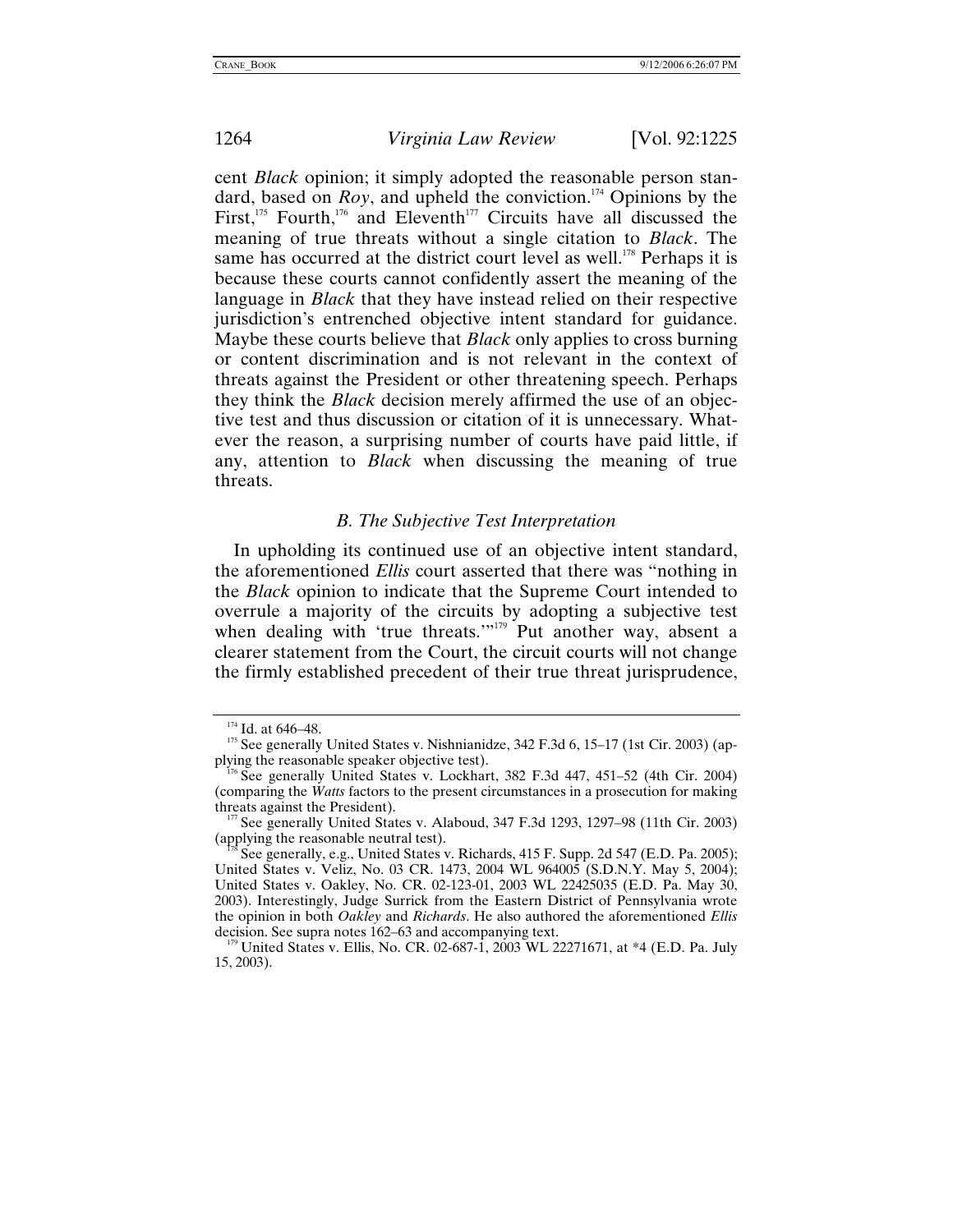<span id="page-40-0"></span>

cent *Black* opinion; it simply adopted the reasonable person standard, based on *Roy*, and upheld the conviction.<sup>174</sup> Opinions by the First,<sup>175</sup> Fourth,<sup>176</sup> and Eleventh<sup>177</sup> Circuits have all discussed the meaning of true threats without a single citation to *Black*. The same has occurred at the district court level as well.<sup>178</sup> Perhaps it is because these courts cannot confidently assert the meaning of the language in *Black* that they have instead relied on their respective jurisdiction's entrenched objective intent standard for guidance. Maybe these courts believe that *Black* only applies to cross burning or content discrimination and is not relevant in the context of threats against the President or other threatening speech. Perhaps they think the *Black* decision merely affirmed the use of an objective test and thus discussion or citation of it is unnecessary. Whatever the reason, a surprising number of courts have paid little, if any, attention to *Black* when discussing the meaning of true threats.

#### *B. The Subjective Test Interpretation*

In upholding its continued use of an objective intent standard, the aforementioned *Ellis* court asserted that there was "nothing in the *Black* opinion to indicate that the Supreme Court intended to overrule a majority of the circuits by adopting a subjective test when dealing with 'true threats.'"<sup>179</sup> Put another way, absent a clearer statement from the Court, the circuit courts will not change the firmly established precedent of their true threat jurisprudence,

<span id="page-40-2"></span><span id="page-40-1"></span><sup>&</sup>lt;sup>174</sup> Id. at 646–48.<br><sup>175</sup> See generally United States v. Nishnianidze, 342 F.3d 6, 15–17 (1st Cir. 2003) (ap-<br>plying the reasonable speaker objective test).

<span id="page-40-3"></span><sup>&</sup>lt;sup>76</sup> See generally United States v. Lockhart, 382 F.3d 447, 451–52 (4th Cir. 2004) (comparing the *Watts* factors to the present circumstances in a prosecution for making

<span id="page-40-4"></span>threats against the President).<br><sup>177</sup> See generally United States v. Alaboud, 347 F.3d 1293, 1297–98 (11th Cir. 2003) (applying the reasonable neutral test).

<span id="page-40-5"></span>See generally, e.g., United States v. Richards, 415 F. Supp. 2d 547 (E.D. Pa. 2005); United States v. Veliz, No. 03 CR. 1473, 2004 WL 964005 (S.D.N.Y. May 5, 2004); United States v. Oakley, No. CR. 02-123-01, 2003 WL 22425035 (E.D. Pa. May 30, 2003). Interestingly, Judge Surrick from the Eastern District of Pennsylvania wrote the opinion in both *Oakley* and *Richards*. He also authored the aforementioned *Ellis*

<span id="page-40-6"></span><sup>&</sup>lt;sup>79</sup> United States v. Ellis, No. CR. 02-687-1, 2003 WL 22271671, at  $*4$  (E.D. Pa. July 15, 2003).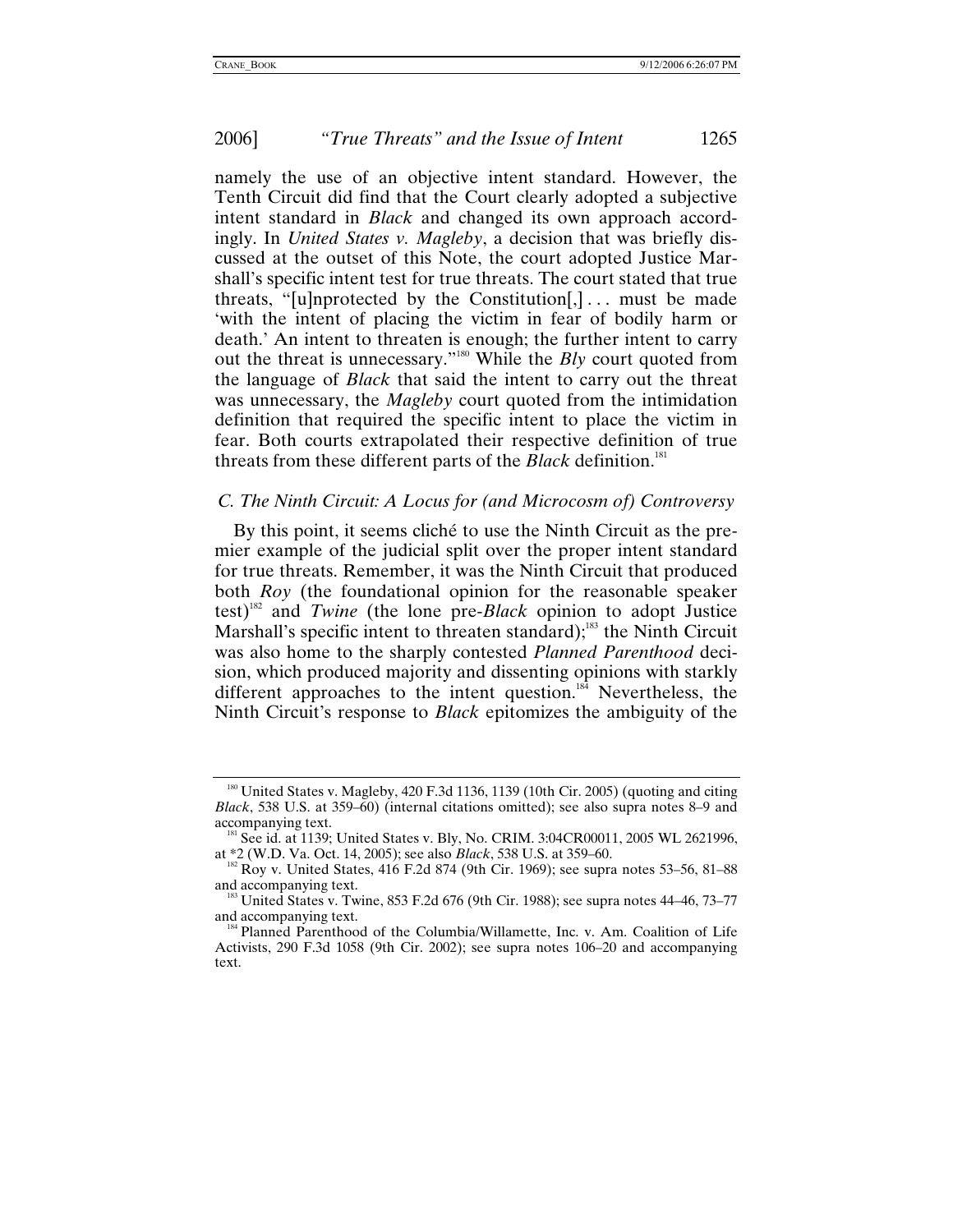<span id="page-41-0"></span>namely the use of an objective intent standard. However, the Tenth Circuit did find that the Court clearly adopted a subjective intent standard in *Black* and changed its own approach accordingly. In *United States v. Magleby*, a decision that was briefly discussed at the outset of this Note, the court adopted Justice Marshall's specific intent test for true threats. The court stated that true threats, "[u]nprotected by the Constitution[,]... must be made 'with the intent of placing the victim in fear of bodily harm or death.' An intent to threaten is enough; the further intent to carry out the threat is unnecessary.["180](#page-41-1) While the *Bly* court quoted from the language of *Black* that said the intent to carry out the threat was unnecessary, the *Magleby* court quoted from the intimidation definition that required the specific intent to place the victim in fear. Both courts extrapolated their respective definition of true threats from these different parts of the *Black* definition.<sup>[181](#page-41-2)</sup>

#### *C. The Ninth Circuit: A Locus for (and Microcosm of) Controversy*

By this point, it seems cliché to use the Ninth Circuit as the premier example of the judicial split over the proper intent standard for true threats. Remember, it was the Ninth Circuit that produced both *Roy* (the foundational opinion for the reasonable speaker test)[182](#page-41-3) and *Twine* (the lone pre-*Black* opinion to adopt Justice Marshall's specific intent to threaten standard); $183$  the Ninth Circuit was also home to the sharply contested *Planned Parenthood* decision, which produced majority and dissenting opinions with starkly different approaches to the intent question.<sup>184</sup> Nevertheless, the Ninth Circuit's response to *Black* epitomizes the ambiguity of the

<span id="page-41-1"></span> $180$  United States v. Magleby, 420 F.3d 1136, 1139 (10th Cir. 2005) (quoting and citing *Black*, 538 U.S. at 359–60) (internal citations omitted); see also supra notes 8–9 and

<span id="page-41-2"></span>accompanying text.<br>
<sup>181</sup> See id. at 1139; United States v. Bly, No. CRIM. 3:04CR00011, 2005 WL 2621996, at \*2 (W.D. Va. Oct. 14, 2005); see also *Black*, 538 U.S. at 359–60.

<span id="page-41-3"></span><sup>&</sup>lt;sup>182</sup> Roy v. United States, 416 F.2d 874 (9th Cir. 1969); see supra notes 53–56, 81–88 and accompanying text.<br><sup>183</sup> United States v. Twine, 853 F.2d 676 (9th Cir. 1988); see supra notes 44–46, 73–77

<span id="page-41-4"></span>and accompanying text.<br><sup>184</sup> Planned Parenthood of the Columbia/Willamette, Inc. v. Am. Coalition of Life

<span id="page-41-5"></span>Activists, 290 F.3d 1058 (9th Cir. 2002); see supra notes 106–20 and accompanying text.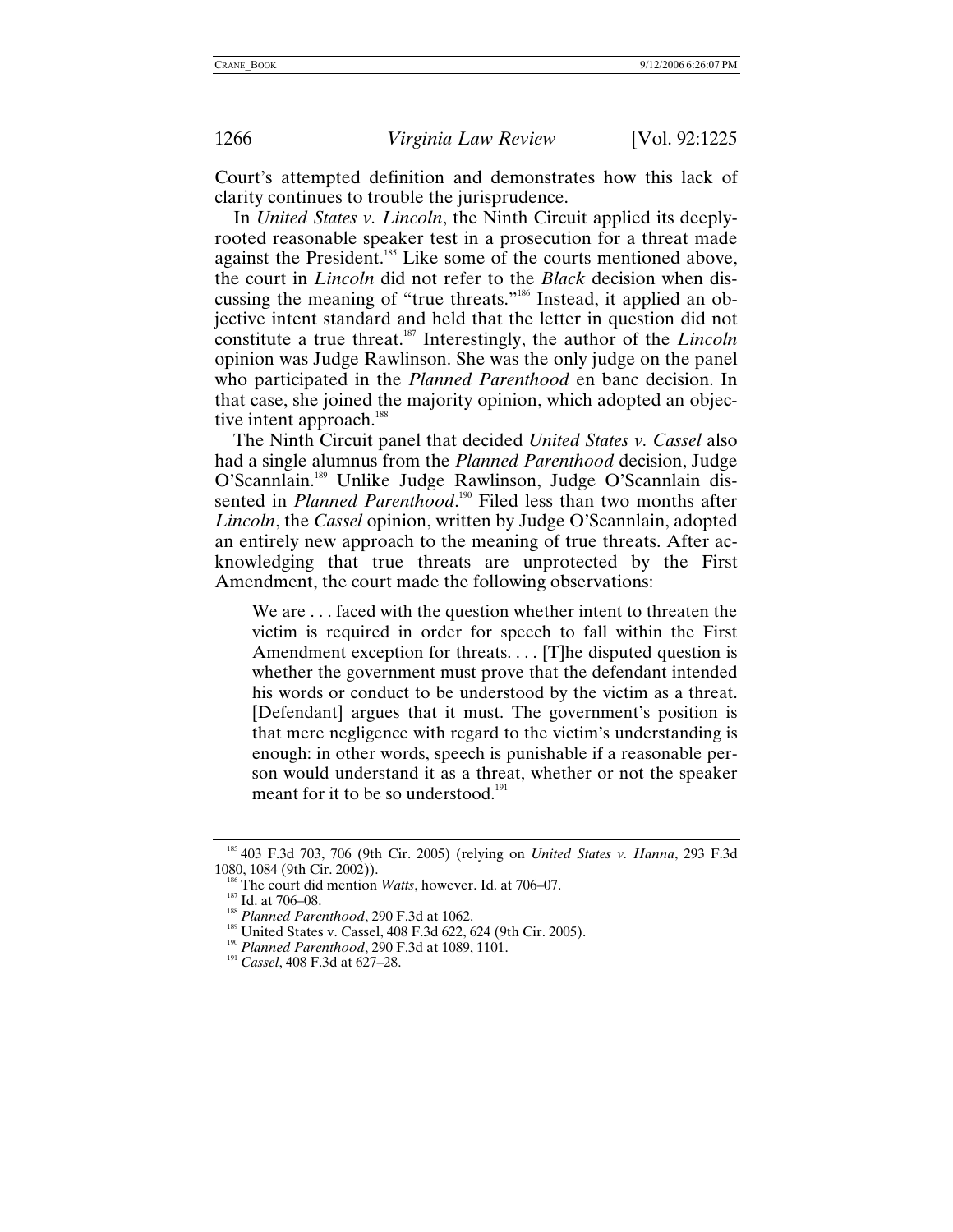Court's attempted definition and demonstrates how this lack of clarity continues to trouble the jurisprudence.

In *United States v. Lincoln*, the Ninth Circuit applied its deeplyrooted reasonable speaker test in a prosecution for a threat made against the President.<sup>185</sup> Like some of the courts mentioned above, the court in *Lincoln* did not refer to the *Black* decision when discussing the meaning of "true threats."[186](#page-42-1) Instead, it applied an objective intent standard and held that the letter in question did not constitute a true threat.[187](#page-42-2) Interestingly, the author of the *Lincoln*  opinion was Judge Rawlinson. She was the only judge on the panel who participated in the *Planned Parenthood* en banc decision. In that case, she joined the majority opinion, which adopted an objec-tive intent approach.<sup>[188](#page-42-3)</sup>

The Ninth Circuit panel that decided *United States v. Cassel* also had a single alumnus from the *Planned Parenthood* decision, Judge O'Scannlain.[189](#page-42-4) Unlike Judge Rawlinson, Judge O'Scannlain dissented in *Planned Parenthood*.<sup>190</sup> Filed less than two months after *Lincoln*, the *Cassel* opinion, written by Judge O'Scannlain, adopted an entirely new approach to the meaning of true threats. After acknowledging that true threats are unprotected by the First Amendment, the court made the following observations:

We are . . . faced with the question whether intent to threaten the victim is required in order for speech to fall within the First Amendment exception for threats.... [T]he disputed question is whether the government must prove that the defendant intended his words or conduct to be understood by the victim as a threat. [Defendant] argues that it must. The government's position is that mere negligence with regard to the victim's understanding is enough: in other words, speech is punishable if a reasonable person would understand it as a threat, whether or not the speaker meant for it to be so understood. $191$ 

<span id="page-42-0"></span><sup>&</sup>lt;sup>185</sup> 403 F.3d 703, 706 (9th Cir. 2005) (relying on *United States v. Hanna*, 293 F.3d 1080, 1084 (9th Cir. 2002)).

<span id="page-42-1"></span><sup>&</sup>lt;sup>186</sup> The court did mention *Watts*, however. Id. at 706–07.<br><sup>187</sup> Id. at 706–08.<br><sup>188</sup> Planned Parenthood, 290 F.3d at 1062.<br><sup>189</sup> United States v. Cassel, 408 F.3d 622, 624 (9th Cir. 2005).<br><sup>190</sup> Planned Parenthood, 290

<span id="page-42-2"></span>

<span id="page-42-3"></span>

<span id="page-42-4"></span>

<span id="page-42-6"></span><span id="page-42-5"></span>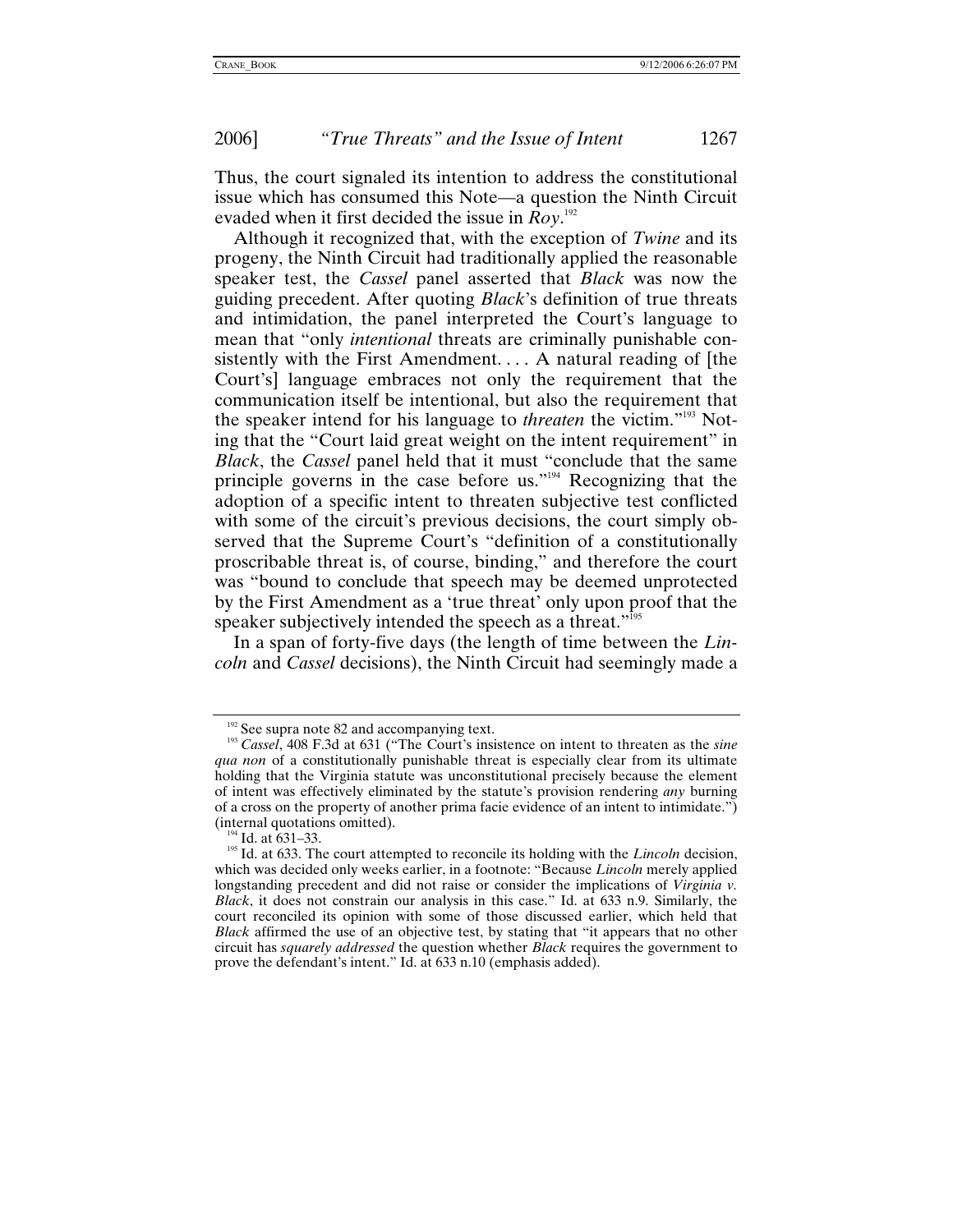Thus, the court signaled its intention to address the constitutional issue which has consumed this Note—a question the Ninth Circuit evaded when it first decided the issue in *Roy*.<sup>[192](#page-43-0)</sup>

Although it recognized that, with the exception of *Twine* and its progeny, the Ninth Circuit had traditionally applied the reasonable speaker test, the *Cassel* panel asserted that *Black* was now the guiding precedent. After quoting *Black*'s definition of true threats and intimidation, the panel interpreted the Court's language to mean that "only *intentional* threats are criminally punishable consistently with the First Amendment. . . . A natural reading of [the Court's] language embraces not only the requirement that the communication itself be intentional, but also the requirement that the speaker intend for his language to *threaten* the victim."[193](#page-43-1) Noting that the "Court laid great weight on the intent requirement" in *Black*, the *Cassel* panel held that it must "conclude that the same principle governs in the case before us."[194](#page-43-2) Recognizing that the adoption of a specific intent to threaten subjective test conflicted with some of the circuit's previous decisions, the court simply observed that the Supreme Court's "definition of a constitutionally proscribable threat is, of course, binding," and therefore the court was "bound to conclude that speech may be deemed unprotected by the First Amendment as a 'true threat' only upon proof that the speaker subjectively intended the speech as a threat."<sup>195</sup>

In a span of forty-five days (the length of time between the *Lincoln* and *Cassel* decisions), the Ninth Circuit had seemingly made a

<span id="page-43-1"></span><span id="page-43-0"></span><sup>&</sup>lt;sup>192</sup> See supra note 82 and accompanying text.<br><sup>193</sup> *Cassel*, 408 F.3d at 631 ("The Court's insistence on intent to threaten as the *sine qua non* of a constitutionally punishable threat is especially clear from its ultimate holding that the Virginia statute was unconstitutional precisely because the element of intent was effectively eliminated by the statute's provision rendering *any* burning of a cross on the property of another prima facie evidence of an intent to intimidate.")

<span id="page-43-3"></span><span id="page-43-2"></span><sup>&</sup>lt;sup>194</sup> Id. at 631–33. The court attempted to reconcile its holding with the *Lincoln* decision, which was decided only weeks earlier, in a footnote: "Because *Lincoln* merely applied longstanding precedent and did not raise or consider the implications of *Virginia v. Black*, it does not constrain our analysis in this case." Id. at 633 n.9. Similarly, the court reconciled its opinion with some of those discussed earlier, which held that *Black* affirmed the use of an objective test, by stating that "it appears that no other circuit has *squarely addressed* the question whether *Black* requires the government to prove the defendant's intent." Id. at 633 n.10 (emphasis added).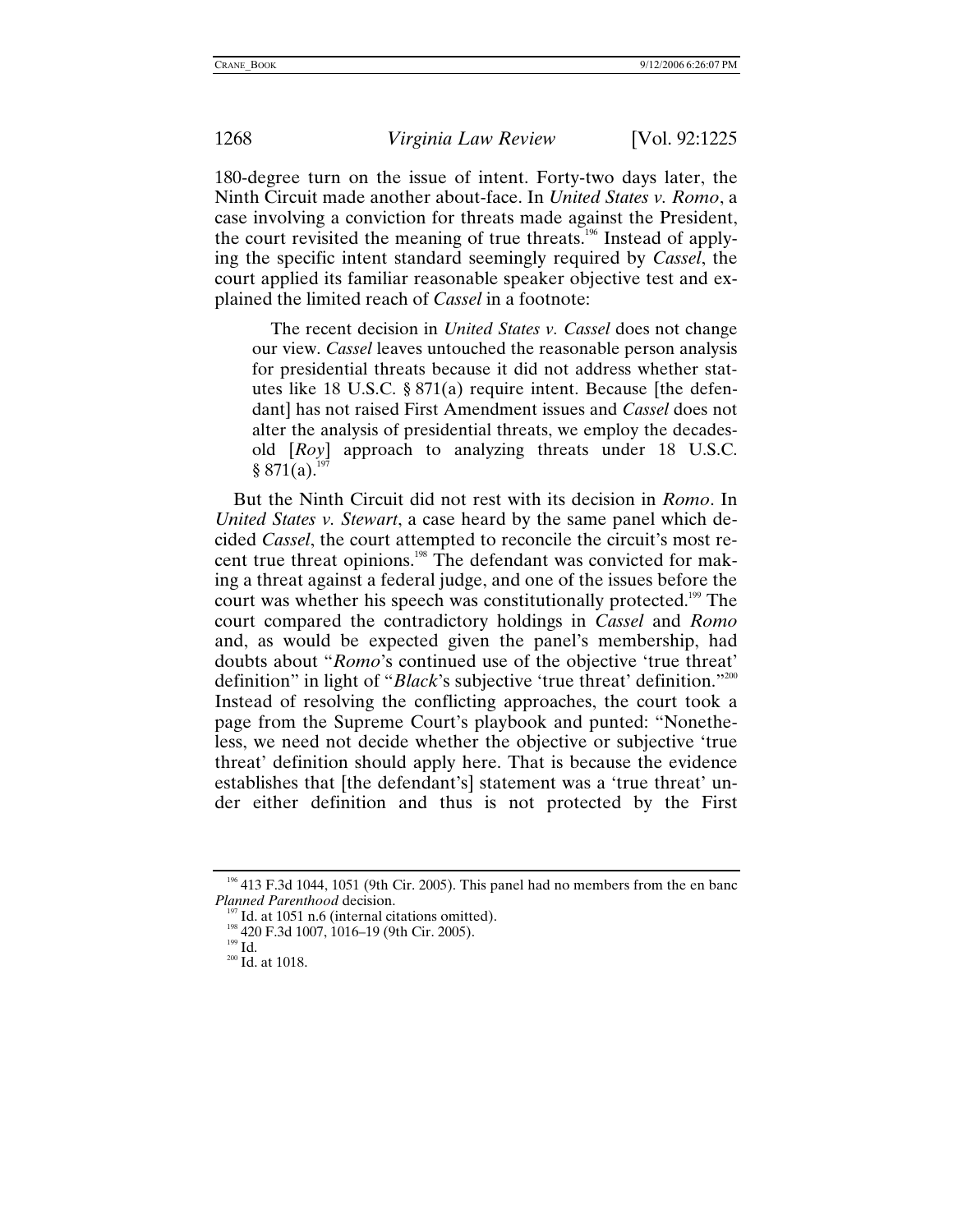180-degree turn on the issue of intent. Forty-two days later, the Ninth Circuit made another about-face. In *United States v. Romo*, a case involving a conviction for threats made against the President, the court revisited the meaning of true threats.<sup>196</sup> Instead of applying the specific intent standard seemingly required by *Cassel*, the court applied its familiar reasonable speaker objective test and explained the limited reach of *Cassel* in a footnote:

The recent decision in *United States v. Cassel* does not change our view. *Cassel* leaves untouched the reasonable person analysis for presidential threats because it did not address whether statutes like 18 U.S.C. § 871(a) require intent. Because [the defendant] has not raised First Amendment issues and *Cassel* does not alter the analysis of presidential threats, we employ the decadesold [*Roy*] approach to analyzing threats under 18 U.S.C.  $§ 871(a).<sup>1</sup>$  $§ 871(a).<sup>1</sup>$  $§ 871(a).<sup>1</sup>$ 

But the Ninth Circuit did not rest with its decision in *Romo*. In *United States v. Stewart*, a case heard by the same panel which decided *Cassel*, the court attempted to reconcile the circuit's most recent true threat opinions.<sup>198</sup> The defendant was convicted for making a threat against a federal judge, and one of the issues before the court was whether his speech was constitutionally protected.<sup>199</sup> The court compared the contradictory holdings in *Cassel* and *Romo* and, as would be expected given the panel's membership, had doubts about "*Romo*'s continued use of the objective 'true threat' definition" in light of "*Black*'s subjective 'true threat' definition."<sup>200</sup> Instead of resolving the conflicting approaches, the court took a page from the Supreme Court's playbook and punted: "Nonetheless, we need not decide whether the objective or subjective 'true threat' definition should apply here. That is because the evidence establishes that [the defendant's] statement was a 'true threat' under either definition and thus is not protected by the First

<span id="page-44-0"></span><sup>&</sup>lt;sup>196</sup> 413 F.3d 1044, 1051 (9th Cir. 2005). This panel had no members from the en banc *Planned Parenthood* decision.

<span id="page-44-1"></span><sup>&</sup>lt;sup>197</sup> Id. at 1051 n.6 (internal citations omitted).<br><sup>198</sup> 420 F.3d 1007, 1016–19 (9th Cir. 2005).<br><sup>199</sup> Id. 200 Id. at 1018.

<span id="page-44-2"></span>

<span id="page-44-4"></span><span id="page-44-3"></span>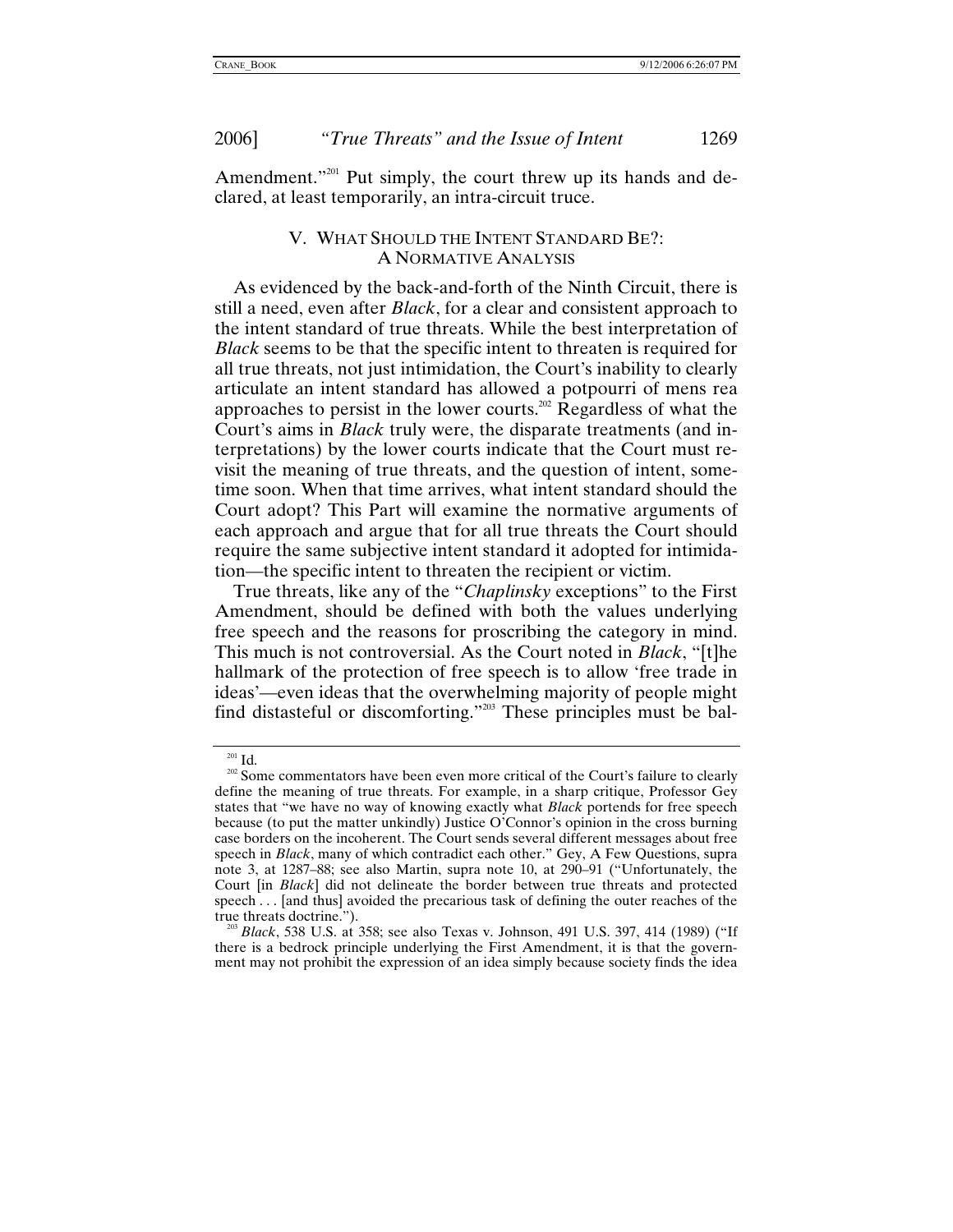<span id="page-45-0"></span>Amendment."<sup>201</sup> Put simply, the court threw up its hands and declared, at least temporarily, an intra-circuit truce.

# V. WHAT SHOULD THE INTENT STANDARD BE?: A NORMATIVE ANALYSIS

As evidenced by the back-and-forth of the Ninth Circuit, there is still a need, even after *Black*, for a clear and consistent approach to the intent standard of true threats. While the best interpretation of *Black* seems to be that the specific intent to threaten is required for all true threats, not just intimidation, the Court's inability to clearly articulate an intent standard has allowed a potpourri of mens rea approaches to persist in the lower courts.<sup>202</sup> Regardless of what the Court's aims in *Black* truly were, the disparate treatments (and interpretations) by the lower courts indicate that the Court must revisit the meaning of true threats, and the question of intent, sometime soon. When that time arrives, what intent standard should the Court adopt? This Part will examine the normative arguments of each approach and argue that for all true threats the Court should require the same subjective intent standard it adopted for intimidation—the specific intent to threaten the recipient or victim.

True threats, like any of the "*Chaplinsky* exceptions" to the First Amendment, should be defined with both the values underlying free speech and the reasons for proscribing the category in mind. This much is not controversial. As the Court noted in *Black*, "[t]he hallmark of the protection of free speech is to allow 'free trade in ideas'—even ideas that the overwhelming majority of people might find distasteful or discomforting."[203](#page-45-3) These principles must be bal-

<span id="page-45-2"></span>

<span id="page-45-1"></span><sup>&</sup>lt;sup>201</sup> Id.  $202$  Some commentators have been even more critical of the Court's failure to clearly define the meaning of true threats. For example, in a sharp critique, Professor Gey states that "we have no way of knowing exactly what *Black* portends for free speech because (to put the matter unkindly) Justice O'Connor's opinion in the cross burning case borders on the incoherent. The Court sends several different messages about free speech in *Black*, many of which contradict each other." Gey, A Few Questions, supra note 3, at 1287–88; see also Martin, supra note 10, at 290–91 ("Unfortunately, the Court [in *Black*] did not delineate the border between true threats and protected speech . . . [and thus] avoided the precarious task of defining the outer reaches of the true threats doctrine.").

<span id="page-45-3"></span><sup>&</sup>lt;sup>203</sup> *Black*, 538 U.S. at 358; see also Texas v. Johnson, 491 U.S. 397, 414 (1989) ("If there is a bedrock principle underlying the First Amendment, it is that the government may not prohibit the expression of an idea simply because society finds the idea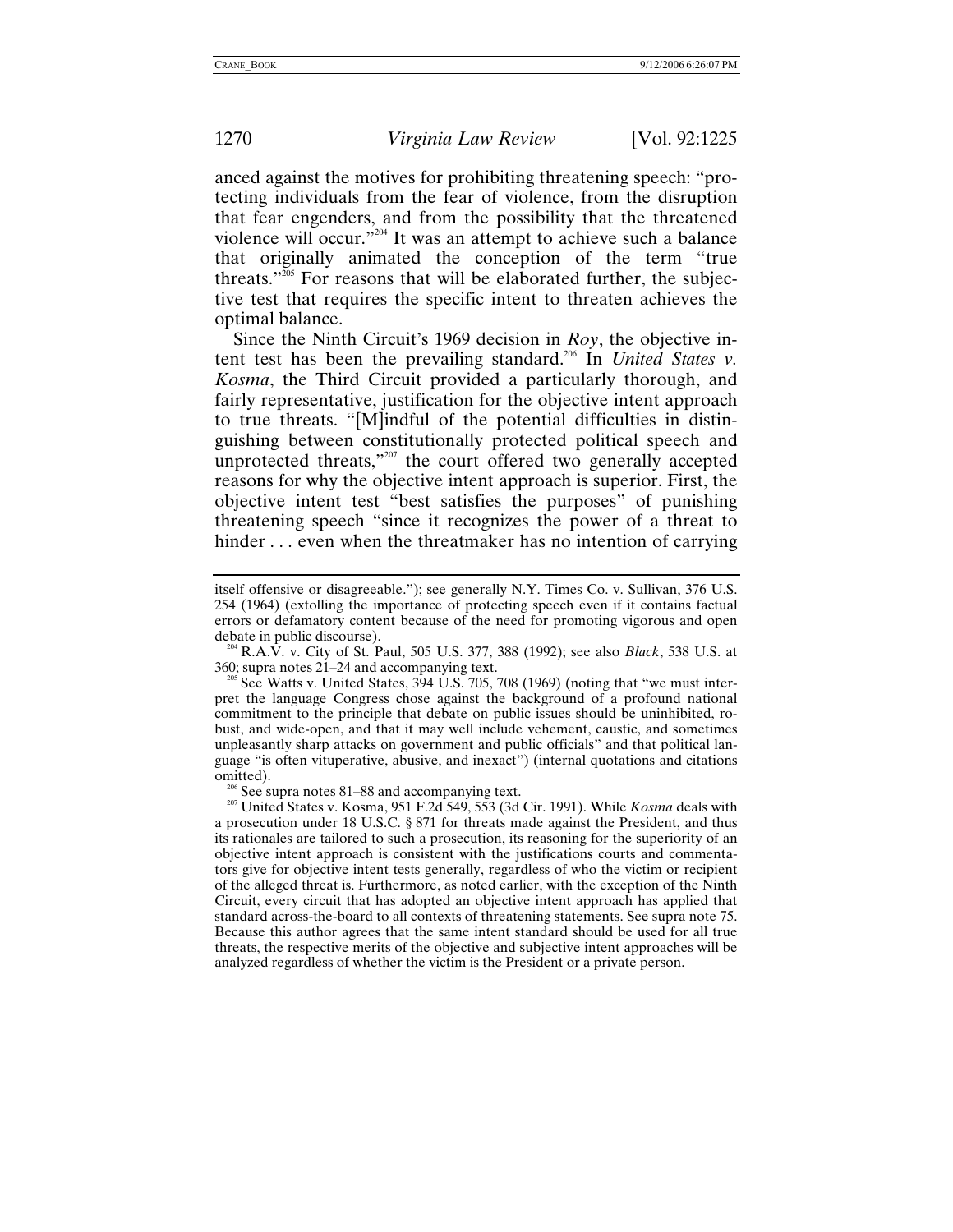anced against the motives for prohibiting threatening speech: "protecting individuals from the fear of violence, from the disruption that fear engenders, and from the possibility that the threatened violence will occur."<sup>204</sup> It was an attempt to achieve such a balance that originally animated the conception of the term "true threats."[205](#page-46-1) For reasons that will be elaborated further, the subjective test that requires the specific intent to threaten achieves the optimal balance.

Since the Ninth Circuit's 1969 decision in *Roy*, the objective intent test has been the prevailing standard[.206](#page-46-2) In *United States v. Kosma*, the Third Circuit provided a particularly thorough, and fairly representative, justification for the objective intent approach to true threats. "[M]indful of the potential difficulties in distinguishing between constitutionally protected political speech and unprotected threats,"<sup>207</sup> the court offered two generally accepted reasons for why the objective intent approach is superior. First, the objective intent test "best satisfies the purposes" of punishing threatening speech "since it recognizes the power of a threat to hinder ... even when the threatmaker has no intention of carrying

<span id="page-46-2"></span>

itself offensive or disagreeable."); see generally N.Y. Times Co. v. Sullivan, 376 U.S. 254 (1964) (extolling the importance of protecting speech even if it contains factual errors or defamatory content because of the need for promoting vigorous and open

<span id="page-46-0"></span>debate in public discourse).<br><sup>204</sup> R.A.V. v. City of St. Paul, 505 U.S. 377, 388 (1992); see also *Black*, 538 U.S. at 360; supra notes 21–24 and accompanying text.

<span id="page-46-1"></span>See Watts v. United States,  $394$  U.S. 705, 708 (1969) (noting that "we must interpret the language Congress chose against the background of a profound national commitment to the principle that debate on public issues should be uninhibited, robust, and wide-open, and that it may well include vehement, caustic, and sometimes unpleasantly sharp attacks on government and public officials" and that political language "is often vituperative, abusive, and inexact") (internal quotations and citations omitted).<br><sup>206</sup> See supra notes 81–88 and accompanying text.<br><sup>207</sup> United States v. Kosma, 951 F.2d 549, 553 (3d Cir. 1991). While *Kosma* deals with

<span id="page-46-3"></span>a prosecution under 18 U.S.C. § 871 for threats made against the President, and thus its rationales are tailored to such a prosecution, its reasoning for the superiority of an objective intent approach is consistent with the justifications courts and commentators give for objective intent tests generally, regardless of who the victim or recipient of the alleged threat is. Furthermore, as noted earlier, with the exception of the Ninth Circuit, every circuit that has adopted an objective intent approach has applied that standard across-the-board to all contexts of threatening statements. See supra note 75. Because this author agrees that the same intent standard should be used for all true threats, the respective merits of the objective and subjective intent approaches will be analyzed regardless of whether the victim is the President or a private person.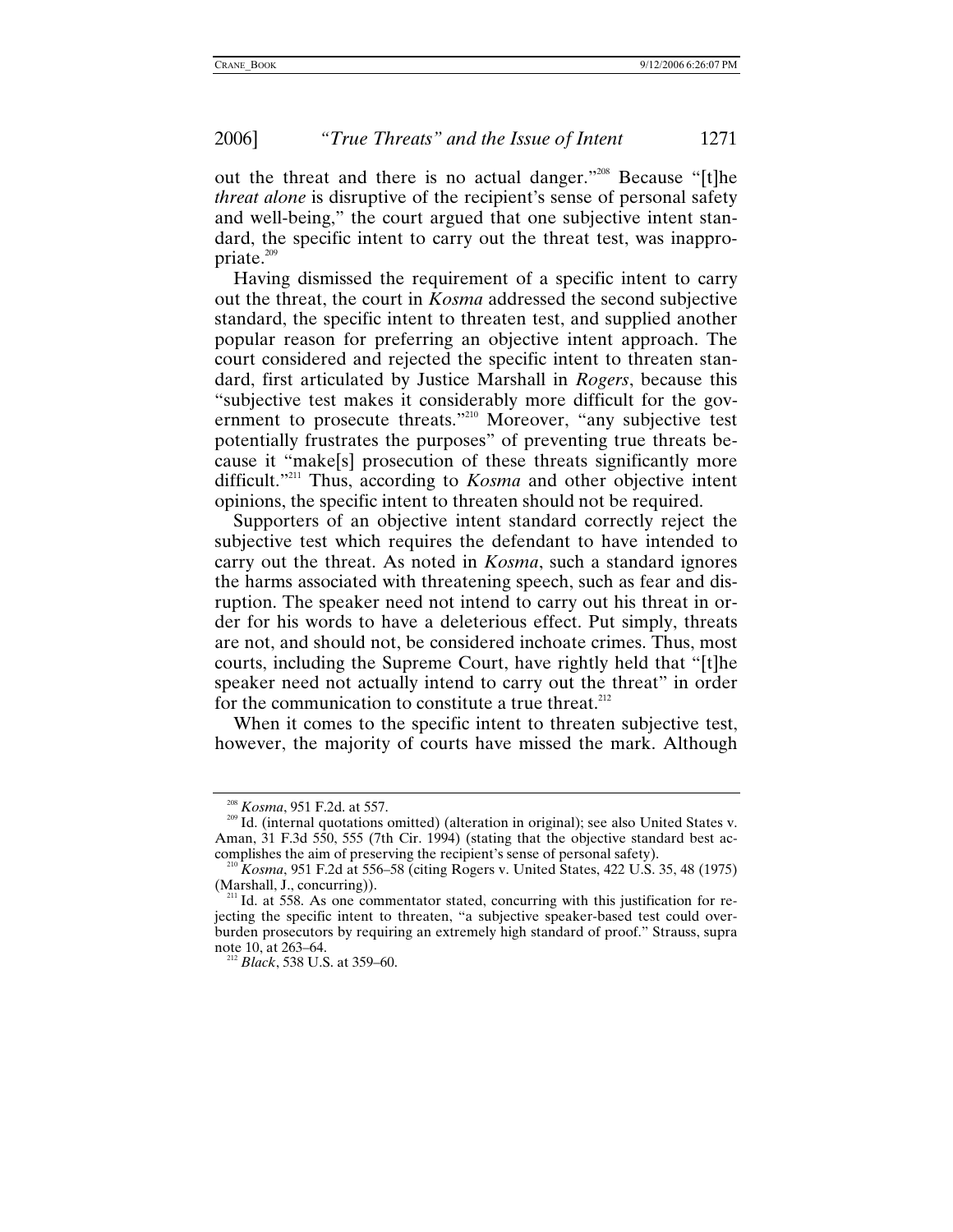out the threat and there is no actual danger."[208](#page-47-0) Because "[t]he *threat alone* is disruptive of the recipient's sense of personal safety and well-being," the court argued that one subjective intent standard, the specific intent to carry out the threat test, was inappropriate.<sup>209</sup>

Having dismissed the requirement of a specific intent to carry out the threat, the court in *Kosma* addressed the second subjective standard, the specific intent to threaten test, and supplied another popular reason for preferring an objective intent approach. The court considered and rejected the specific intent to threaten standard, first articulated by Justice Marshall in *Rogers*, because this "subjective test makes it considerably more difficult for the government to prosecute threats."<sup>210</sup> Moreover, "any subjective test potentially frustrates the purposes" of preventing true threats because it "make[s] prosecution of these threats significantly more difficult.["211](#page-47-3) Thus, according to *Kosma* and other objective intent opinions, the specific intent to threaten should not be required.

Supporters of an objective intent standard correctly reject the subjective test which requires the defendant to have intended to carry out the threat. As noted in *Kosma*, such a standard ignores the harms associated with threatening speech, such as fear and disruption. The speaker need not intend to carry out his threat in order for his words to have a deleterious effect. Put simply, threats are not, and should not, be considered inchoate crimes. Thus, most courts, including the Supreme Court, have rightly held that "[t]he speaker need not actually intend to carry out the threat" in order for the communication to constitute a true threat. $^{212}$  $^{212}$  $^{212}$ 

When it comes to the specific intent to threaten subjective test, however, the majority of courts have missed the mark. Although

<span id="page-47-1"></span><span id="page-47-0"></span><sup>&</sup>lt;sup>208</sup> *Kosma*, 951 F.2d. at 557.<br><sup>209</sup> Id. (internal quotations omitted) (alteration in original); see also United States v. Aman, 31 F.3d 550, 555 (7th Cir. 1994) (stating that the objective standard best accomplishes the aim of preserving the recipient's sense of personal safety).

<span id="page-47-2"></span><sup>&</sup>lt;sup>210</sup> *Kosma*, 951 F.2d at 556–58 (citing Rogers v. United States, 422 U.S. 35, 48 (1975) (Marshall, J., concurring)). 211 Id. at 558. As one commentator stated, concurring with this justification for re-

<span id="page-47-3"></span>jecting the specific intent to threaten, "a subjective speaker-based test could overburden prosecutors by requiring an extremely high standard of proof." Strauss, supra note 10, at 263–64. 212 *Black*, 538 U.S. at 359–60.

<span id="page-47-4"></span>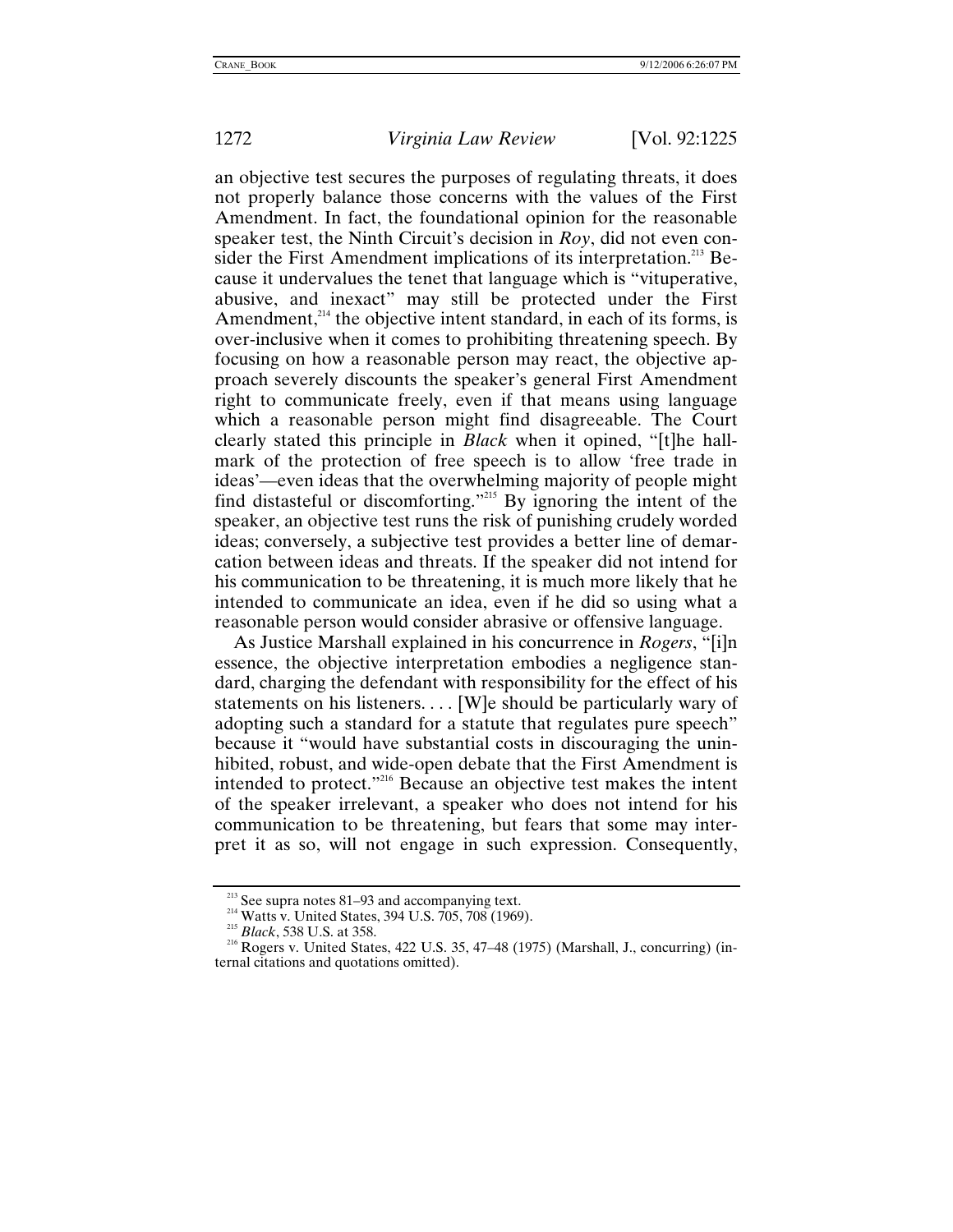an objective test secures the purposes of regulating threats, it does not properly balance those concerns with the values of the First Amendment. In fact, the foundational opinion for the reasonable speaker test, the Ninth Circuit's decision in *Roy*, did not even consider the First Amendment implications of its interpretation.<sup>213</sup> Because it undervalues the tenet that language which is "vituperative, abusive, and inexact" may still be protected under the First Amendment, $214$  the objective intent standard, in each of its forms, is over-inclusive when it comes to prohibiting threatening speech. By focusing on how a reasonable person may react, the objective approach severely discounts the speaker's general First Amendment right to communicate freely, even if that means using language which a reasonable person might find disagreeable. The Court clearly stated this principle in *Black* when it opined, "[t]he hallmark of the protection of free speech is to allow 'free trade in ideas'—even ideas that the overwhelming majority of people might find distasteful or discomforting.["215](#page-48-2) By ignoring the intent of the speaker, an objective test runs the risk of punishing crudely worded ideas; conversely, a subjective test provides a better line of demarcation between ideas and threats. If the speaker did not intend for his communication to be threatening, it is much more likely that he intended to communicate an idea, even if he did so using what a reasonable person would consider abrasive or offensive language.

As Justice Marshall explained in his concurrence in *Rogers*, "[i]n essence, the objective interpretation embodies a negligence standard, charging the defendant with responsibility for the effect of his statements on his listeners. . . . [W]e should be particularly wary of adopting such a standard for a statute that regulates pure speech" because it "would have substantial costs in discouraging the uninhibited, robust, and wide-open debate that the First Amendment is intended to protect."[216](#page-48-3) Because an objective test makes the intent of the speaker irrelevant, a speaker who does not intend for his communication to be threatening, but fears that some may interpret it as so, will not engage in such expression. Consequently,

<span id="page-48-2"></span><span id="page-48-1"></span>

<span id="page-48-3"></span>

<span id="page-48-0"></span><sup>&</sup>lt;sup>213</sup> See supra notes 81–93 and accompanying text.<br><sup>214</sup> Watts v. United States, 394 U.S. 705, 708 (1969).<br><sup>215</sup> *Black*, 538 U.S. at 358. <sup>216</sup> Rogers v. United States, 422 U.S. 35, 47–48 (1975) (Marshall, J., concurring) ternal citations and quotations omitted).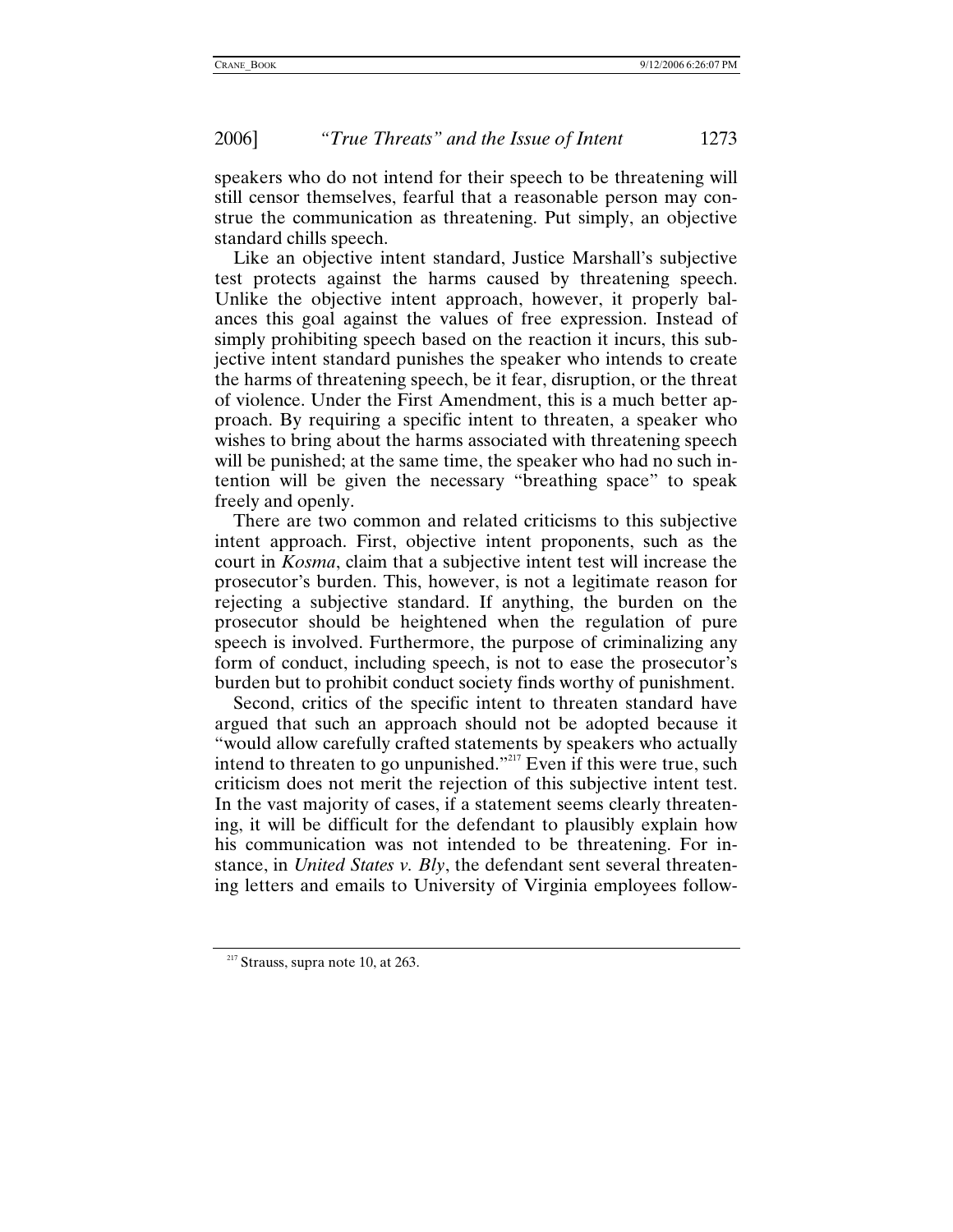speakers who do not intend for their speech to be threatening will still censor themselves, fearful that a reasonable person may construe the communication as threatening. Put simply, an objective standard chills speech.

Like an objective intent standard, Justice Marshall's subjective test protects against the harms caused by threatening speech. Unlike the objective intent approach, however, it properly balances this goal against the values of free expression. Instead of simply prohibiting speech based on the reaction it incurs, this subjective intent standard punishes the speaker who intends to create the harms of threatening speech, be it fear, disruption, or the threat of violence. Under the First Amendment, this is a much better approach. By requiring a specific intent to threaten, a speaker who wishes to bring about the harms associated with threatening speech will be punished; at the same time, the speaker who had no such intention will be given the necessary "breathing space" to speak freely and openly.

There are two common and related criticisms to this subjective intent approach. First, objective intent proponents, such as the court in *Kosma*, claim that a subjective intent test will increase the prosecutor's burden. This, however, is not a legitimate reason for rejecting a subjective standard. If anything, the burden on the prosecutor should be heightened when the regulation of pure speech is involved. Furthermore, the purpose of criminalizing any form of conduct, including speech, is not to ease the prosecutor's burden but to prohibit conduct society finds worthy of punishment.

Second, critics of the specific intent to threaten standard have argued that such an approach should not be adopted because it "would allow carefully crafted statements by speakers who actually intend to threaten to go unpunished."<sup>217</sup> Even if this were true, such criticism does not merit the rejection of this subjective intent test. In the vast majority of cases, if a statement seems clearly threatening, it will be difficult for the defendant to plausibly explain how his communication was not intended to be threatening. For instance, in *United States v. Bly*, the defendant sent several threatening letters and emails to University of Virginia employees follow-

<span id="page-49-0"></span> $217$  Strauss, supra note 10, at 263.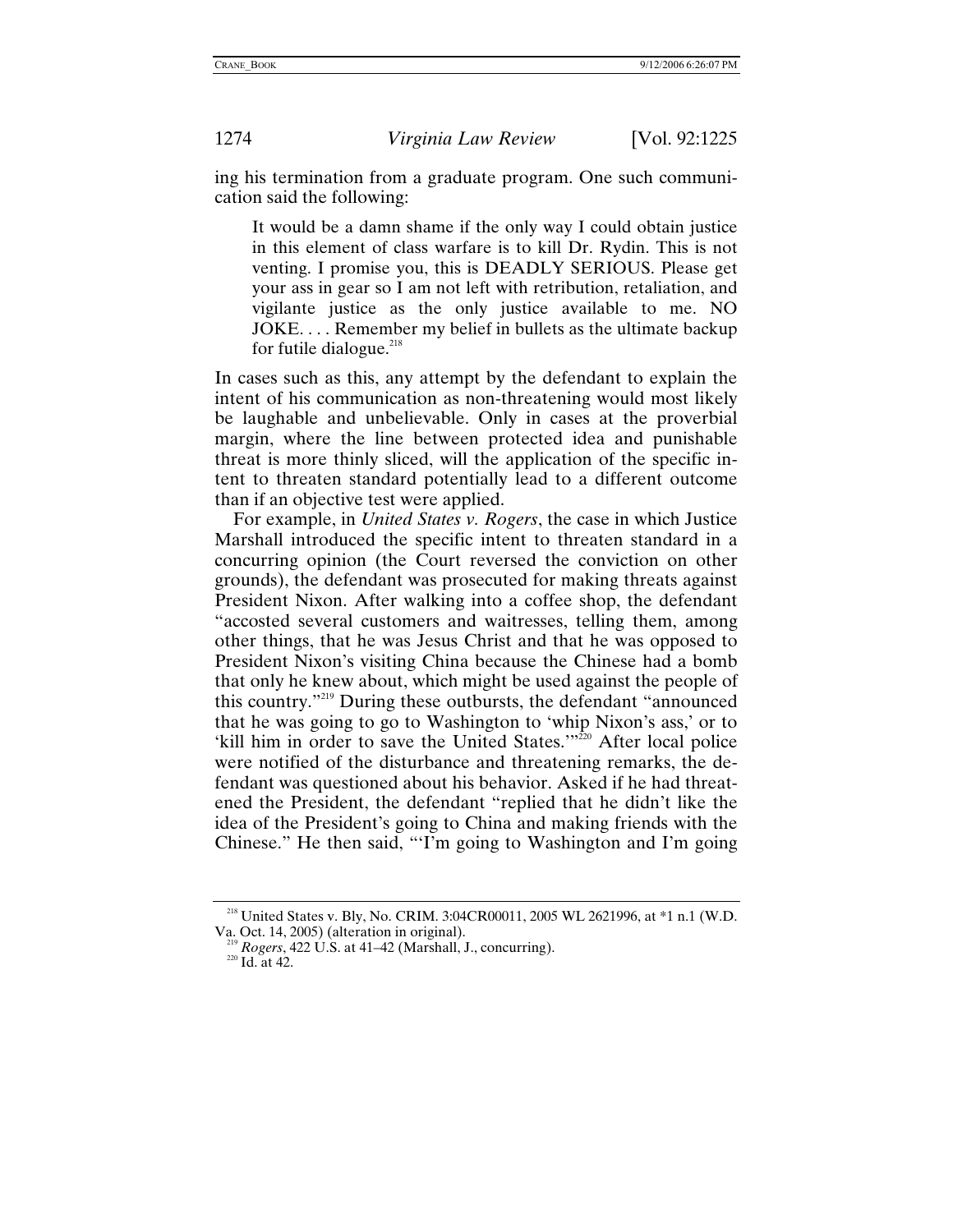ing his termination from a graduate program. One such communication said the following:

It would be a damn shame if the only way I could obtain justice in this element of class warfare is to kill Dr. Rydin. This is not venting. I promise you, this is DEADLY SERIOUS. Please get your ass in gear so I am not left with retribution, retaliation, and vigilante justice as the only justice available to me. NO JOKE. . . . Remember my belief in bullets as the ultimate backup for futile dialogue. $^{218}$ 

In cases such as this, any attempt by the defendant to explain the intent of his communication as non-threatening would most likely be laughable and unbelievable. Only in cases at the proverbial margin, where the line between protected idea and punishable threat is more thinly sliced, will the application of the specific intent to threaten standard potentially lead to a different outcome than if an objective test were applied.

For example, in *United States v. Rogers*, the case in which Justice Marshall introduced the specific intent to threaten standard in a concurring opinion (the Court reversed the conviction on other grounds), the defendant was prosecuted for making threats against President Nixon. After walking into a coffee shop, the defendant "accosted several customers and waitresses, telling them, among other things, that he was Jesus Christ and that he was opposed to President Nixon's visiting China because the Chinese had a bomb that only he knew about, which might be used against the people of this country.["219](#page-50-1) During these outbursts, the defendant "announced that he was going to go to Washington to 'whip Nixon's ass,' or to 'kill him in order to save the United States.'"<sup>220</sup> After local police were notified of the disturbance and threatening remarks, the defendant was questioned about his behavior. Asked if he had threatened the President, the defendant "replied that he didn't like the idea of the President's going to China and making friends with the Chinese." He then said, "'I'm going to Washington and I'm going

<span id="page-50-0"></span><sup>&</sup>lt;sup>218</sup> United States v. Bly, No. CRIM. 3:04CR00011, 2005 WL 2621996, at  $*1$  n.1 (W.D. Va. Oct. 14, 2005) (alteration in original).

<span id="page-50-1"></span><sup>&</sup>lt;sup>219</sup> Rogers, 422 U.S. at 41–42 (Marshall, J., concurring). <sup>220</sup> Id. at 42.

<span id="page-50-2"></span>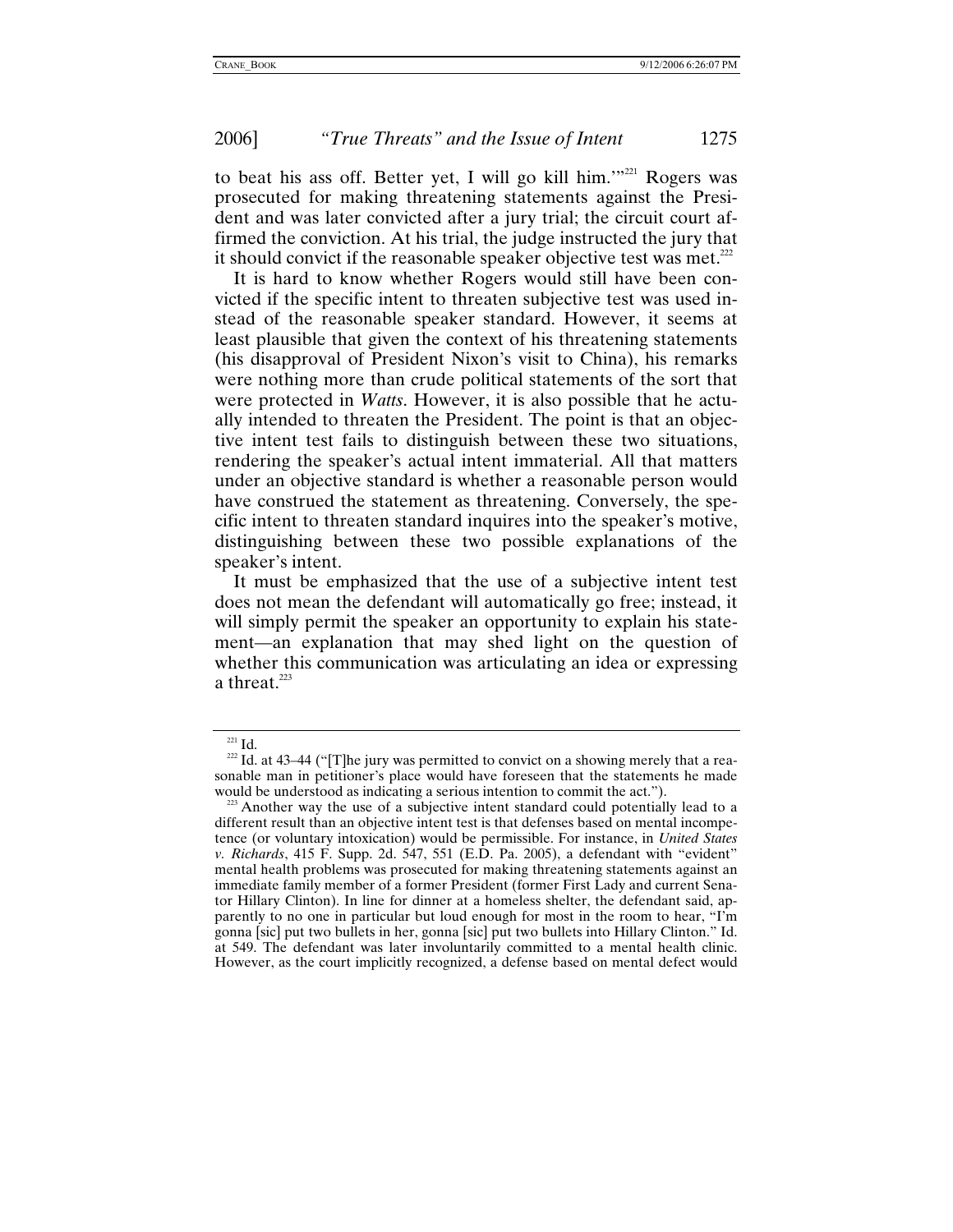to beat his ass off. Better yet, I will go kill him."<sup>221</sup> Rogers was prosecuted for making threatening statements against the President and was later convicted after a jury trial; the circuit court affirmed the conviction. At his trial, the judge instructed the jury that it should convict if the reasonable speaker objective test was met. $^{222}$ 

It is hard to know whether Rogers would still have been convicted if the specific intent to threaten subjective test was used instead of the reasonable speaker standard. However, it seems at least plausible that given the context of his threatening statements (his disapproval of President Nixon's visit to China), his remarks were nothing more than crude political statements of the sort that were protected in *Watts*. However, it is also possible that he actually intended to threaten the President. The point is that an objective intent test fails to distinguish between these two situations, rendering the speaker's actual intent immaterial. All that matters under an objective standard is whether a reasonable person would have construed the statement as threatening. Conversely, the specific intent to threaten standard inquires into the speaker's motive, distinguishing between these two possible explanations of the speaker's intent.

It must be emphasized that the use of a subjective intent test does not mean the defendant will automatically go free; instead, it will simply permit the speaker an opportunity to explain his statement—an explanation that may shed light on the question of whether this communication was articulating an idea or expressing a threat. $223$ 

<span id="page-51-1"></span>

<span id="page-51-0"></span><sup>&</sup>lt;sup>221</sup> Id.<br><sup>222</sup> Id. at 43–44 ("[T]he jury was permitted to convict on a showing merely that a reasonable man in petitioner's place would have foreseen that the statements he made would be understood as indicating a serious intention to commit the act.").<br><sup>223</sup> Another way the use of a subjective intent standard could potentially lead to a

<span id="page-51-2"></span>different result than an objective intent test is that defenses based on mental incompetence (or voluntary intoxication) would be permissible. For instance, in *United States v. Richards*, 415 F. Supp. 2d. 547, 551 (E.D. Pa. 2005), a defendant with "evident" mental health problems was prosecuted for making threatening statements against an immediate family member of a former President (former First Lady and current Senator Hillary Clinton). In line for dinner at a homeless shelter, the defendant said, apparently to no one in particular but loud enough for most in the room to hear, "I'm gonna [sic] put two bullets in her, gonna [sic] put two bullets into Hillary Clinton." Id. at 549. The defendant was later involuntarily committed to a mental health clinic. However, as the court implicitly recognized, a defense based on mental defect would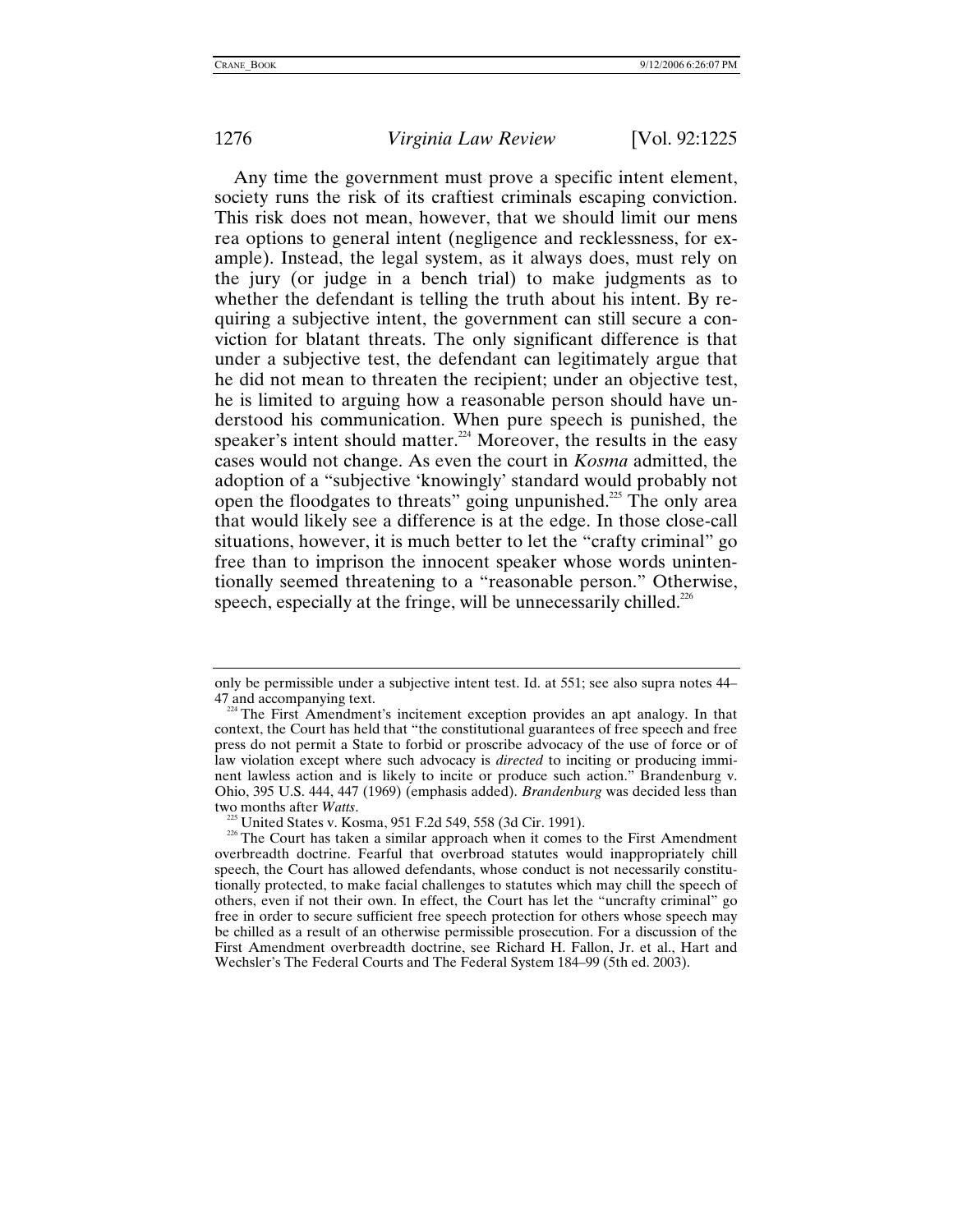Any time the government must prove a specific intent element, society runs the risk of its craftiest criminals escaping conviction. This risk does not mean, however, that we should limit our mens rea options to general intent (negligence and recklessness, for example). Instead, the legal system, as it always does, must rely on the jury (or judge in a bench trial) to make judgments as to whether the defendant is telling the truth about his intent. By requiring a subjective intent, the government can still secure a conviction for blatant threats. The only significant difference is that under a subjective test, the defendant can legitimately argue that he did not mean to threaten the recipient; under an objective test, he is limited to arguing how a reasonable person should have understood his communication. When pure speech is punished, the speaker's intent should matter.<sup>224</sup> Moreover, the results in the easy cases would not change. As even the court in *Kosma* admitted, the adoption of a "subjective 'knowingly' standard would probably not open the floodgates to threats" going unpunished.<sup>225</sup> The only area that would likely see a difference is at the edge. In those close-call situations, however, it is much better to let the "crafty criminal" go free than to imprison the innocent speaker whose words unintentionally seemed threatening to a "reasonable person." Otherwise, speech, especially at the fringe, will be unnecessarily chilled.<sup>226</sup>

only be permissible under a subjective intent test. Id. at 551; see also supra notes 44– 47 and accompanying text.<br><sup>224</sup> The First Amendment's incitement exception provides an apt analogy. In that

<span id="page-52-0"></span>context, the Court has held that "the constitutional guarantees of free speech and free press do not permit a State to forbid or proscribe advocacy of the use of force or of law violation except where such advocacy is *directed* to inciting or producing imminent lawless action and is likely to incite or produce such action." Brandenburg v. Ohio, 395 U.S. 444, 447 (1969) (emphasis added). *Brandenburg* was decided less than

<span id="page-52-2"></span><span id="page-52-1"></span>

two months after *Watts*.<br><sup>225</sup> United States v. Kosma, 951 F.2d 549, 558 (3d Cir. 1991).<br><sup>226</sup> The Court has taken a similar approach when it comes to the First Amendment overbreadth doctrine. Fearful that overbroad statutes would inappropriately chill speech, the Court has allowed defendants, whose conduct is not necessarily constitutionally protected, to make facial challenges to statutes which may chill the speech of others, even if not their own. In effect, the Court has let the "uncrafty criminal" go free in order to secure sufficient free speech protection for others whose speech may be chilled as a result of an otherwise permissible prosecution. For a discussion of the First Amendment overbreadth doctrine, see Richard H. Fallon, Jr. et al., Hart and Wechsler's The Federal Courts and The Federal System 184–99 (5th ed. 2003).